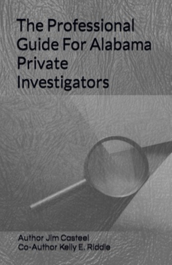# **The Professional Guide For Alabama** Private Investigators

**Author Jim Casteel** Co-Author Kelly E. Riddle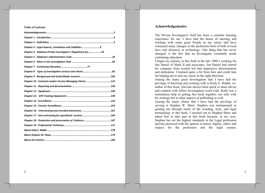#### **Table of Contents**

| Chapter 3 - Legal Aspects, Limitations and Liabilities 9    |  |
|-------------------------------------------------------------|--|
| Chapter 4 - Alabama Private Investigator's Regulatory Act25 |  |
|                                                             |  |
|                                                             |  |
|                                                             |  |
|                                                             |  |
|                                                             |  |
| Chapter 10 - Contracts and/or Service Managing Clients. 115 |  |
|                                                             |  |
|                                                             |  |
|                                                             |  |
|                                                             |  |
|                                                             |  |
|                                                             |  |
|                                                             |  |
| Chapter 18 - Production and preservation of Evidence: 167   |  |
|                                                             |  |
|                                                             |  |
|                                                             |  |
|                                                             |  |

## **Acknowledgements:**

The Private Investigative field has been a constant learning experience for me. I have had the honor of meeting and working with some great People in my career and have witnessed many changes in the profession born of both revised laws and advances in technology. One thing that has never changed, is the fact that an Investigator constantly needs continuing education.

I began my journey in this field in the late 1980's working for Jim Daniel of Mark II and associates. Jim Daniel had started his company from scratch but had impressive determination and dedication. I learned quite a bit from him and credit him for helping me to aim my career in the right direction.

Among the many great Investigators that I have had the privilege of knowing and working with is Kelly E. Riddle, coauthor of this book, who has always been quick to share advise and contacts with fellow Investigators word wide. Kelly was a tremendous help in getting this book together, not only with his writings but in other aspects of publishing as well.

Among the many clients that I have had the privilege of serving is Stephen W. Shaw. Stephen was instrumental in guiding me through much of the wording, style, and legal terminology in this book. I reached out to Stephen Shaw and asked him to take part in this book because, in my eyes, Stephen has set the highest standards in the Legal profession and has practiced with the upmost in honor, dignity, ethics and respect for the profession and the legal system.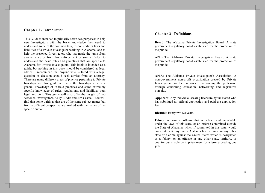## **Chapter 1 - Introduction**

This Guide is intended to primarily serve two purposes; to help new Investigators with the basic knowledge they need to understand some of the common task, responsibilities laws and liabilities of a Private Investigator working in Alabama, and to help the seasoned Investigator, who has made the jump from another state or from law enforcement or similar fields, to understand the basic rules and guidelines that are specific to Alabama for Private Investigators. This book is intended as a guide, but nothing in this book should be considered as legal advice. I recommend that anyone who is faced with a legal question or decision should seek advice from an attorney. There are many different areas of practice pertaining to Private Investigators; this guide will arm the Investigator with a general knowledge of in-field practices and some extremely specific knowledge of rules, regulations, and liabilities both legal and civil. This guide will also offer the insight of two seasoned Investigators, Kelly Riddle and Jim Casteel. You will find that some writings that are of the same subject matter but from a different perspective are marked with the names of the specific author.

## **Chapter 2 - Definitions**

Board: The Alabama Private Investigation Board. A state government regulatory board established for the protection of the public.

APIB: The Alabama Private Investigation Board. A state government regulatory board established for the protection of the public.

APIA: The Alabama Private Investigator's Association. A non-government non-profit organization created by Private Investigators for the purposes of advancing the profession through continuing education, networking and legislative pursuits.

Applicant: Any individual seeking licensure by the Board who has submitted an official application and paid the application fee.

**Biennial:** Every two (2) years.

Felony: A criminal offense that is defined and punishable under the laws of this state, or an offense committed outside the State of Alabama, which if committed in this state, would constitute a felony under Alabama law; a crime in any other state or a crime against the United States which is designated as a felony; or an offense in any other state, territory, or country punishable by imprisonment for a term exceeding one year.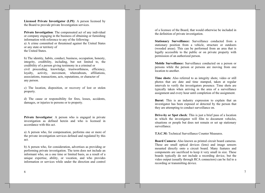Licensed Private Investigator (LPI): A person licensed by the Board to provide private Investigation services.

Private Investigation: The compensated act of any individual or company engaging in the business of obtaining or furnishing information with reference to any of the following: a) A crime committed or threatened against the United States or any state or territory of the United States.

b) The identity, habits, conduct, business, occupation, honesty, integrity, credibility, including, but not limited to, the credibility of a person giving testimony in a criminal or civil proceeding, knowledge, trustworthiness, efficiency, loyalty, activity, movement, whereabouts, affiliations, associations, transactions, acts, reputations, or character of any person.

c) The location, disposition, or recovery of lost or stolen property.

d) The cause or responsibility for fires, losses, accidents, damages, or injuries to persons or to property.

Private Investigator: A person who is engaged in private investigation as defined herein and who is licensed in accordance with this act.

a) A person who, for compensation, performs one or more of the private investigation services defined and regulated by this act.

b) A person who, for consideration, advertises as providing or performing private investigation. The term does not include an informant who, on a one time or limited basis, as a result of a unique expertise, ability, or vocation, and who provides information or services while under the direction and control

6

of a licensee of the Board, that would otherwise be included in the definition of private investigation.

Stationary Surveillance: Surveillance conducted from a stationary position from a vehicle, structure or outdoors (wooded areas). This can be performed from an area that is legally accessible to the public or on private property with permission of an authorized person.

Mobile Surveillance: Surveillance conducted on a person or persons while the person or persons are moving from one location to another.

Time shots: Also referred to as integrity shots; video or still photos that are date and time stamped, taken at regular intervals to verify the investigators presence. Time shots are typically taken when arriving in the area of a surveillance assignment and every hour until completion of the assignment.

**Burnt:** This is an industry expression to explain that an investigator has been exposed or detected by the person that they are attempting to conduct surveillance on.

Drive-by or Spot check: This is just a brief pass of a location in which the investigator will film to document vehicles, situations or people but does not remain or set up stationary surveillance.

**T.S.C.M:** Technical Surveillance Counter Measures.

Board Camera: Also known as printed circuit board cameras. These are small optical devices (lens) and image sensors mounted directly onto a circuit board. Many features and components are sacrificed to keep it very small in size. These boards typically do not include a recording device, but the video output (usually through RCA connectors) can be fed to a recording or transmitting device.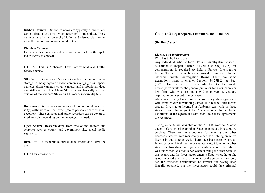Ribbon Camera: Ribbon cameras are typically a micro lens camera feeding to a small video recorder/ IP transmitter. These cameras usually can be easily hidden and viewed via internet as well as recording to an onboard SD card.

#### **Pin Hole Camera:**

Camera with a cone shaped lens and small hole in the tip to make it easy to conceal.

**L.E.T.S.** This is Alabama's Law Enforcement and Traffic Safety agency.

SD Card: SD cards and Micro SD cards are common media storage in many types of video cameras ranging from sports cameras, drone cameras, covert cameras and professional video and still cameras. The Micro SD cards are basically a small version of the standard SD cards. SD means (secure digital).

Body worn: Refers to a camera or audio recording device that is typically worn on the Investigator's person or carried as an accessory. These cameras and audio recorders can be covert or in plain sight depending on the investigator's needs.

**Open Source:** Research done from free online sources and searches such as county and government site, social media sights etc.

**Break off:** To discontinue surveillance efforts and leave the area.

L.E.: Law enforcement.

# **Chapter 3-Legal Aspects, Limitations and Liabilities**

(By Jim Casteel)

#### **License and Reciprocity:**

Who has to be Licensed?

Any individual, who performs Private Investigative services, as defined in chapter Section- 34-25B-2 et. Seq. (1975), for compensation is required to hold a Private Investigative license. The license must be a state issued license issued by the Alabama Private Investigation Board. There are some exemptions listed in chapter Section- 34-25B-24 et. Seq. (1975). But basically, if you advertise to do private investigative work for the general public or for a companies or law firms who you are not a W-2 employee of, you are required to be licensed in most cases.

Alabama currently has a limited license recognition agreement with some of our surrounding States. In a nutshell this means that an Investigator licensed in Alabama can work in those states on cases that originated in Alabama but are limited to the conditions of the agreement with each State these agreements are reciprocal.

The agreements are available on the A.P.I.B. website. Always check before entering another State to conduct investigative services. There are no exceptions for entering any other licensed states without reciprocity other than holding an active license in that state as well. There have been cases where an Investigator will feel that he or she has a right to enter another state if the Investigation originated in Alabama or if the subject was under mobile surveillance when entering the other State. If this occurs and the Investigator enters a State where he or she is not licensed and there is no reciprocal agreement, not only can the evidence accumulated be thrown out having been illegally obtained, but the Investigator could face criminal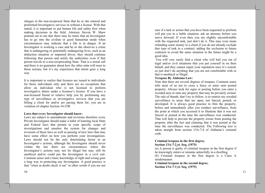charges in the non-reciprocal State that he or she entered and preformed Investigative services in without a license. With that stated, it is important to put human life and safety first when making decisions in the field. Attorney Steven W. Shaw pointed out to me that there may be times that an Investigator has to go into the civilian or good Samaritan mode when circumstances may indicate that a life is in danger. If an Investigator is working a case and he or she observes a crime that is endangering or potentially endangering lives, such as an abduction situation or impaired driver, they should continue following that person and notify the authorities even if that person travels to a non-reciprocating State. That is a moral call and there is no guarantee about how the other state will react to those actions, but it's my experience that intent goes a long way.

It is important to realize that licenses are issued to individuals for those individuals only and there are no exceptions that allow an individual who is not licensed to preform investigative duties under a licensee's license. If you have a non-licensed friend or relative help you by preforming any type of surveillance or investigative services that you are billing a client for and/or are paying them for; you are in violation of chapter Section 34-25B.

#### Laws that every Investigator should know:

Laws are subject to amendments and revisions therefore every Private Investigator should make a habit of learning local State and Federal laws that pertain to your specific scope of investigations and monitor the system for changes and revisions of these laws as well as passing of new laws that may have some effect on how you perform your investigations. Laws should not be the only determining factor in an Investigator's actions, although the Investigator should never violate the law there are circumstances where the Investigator's actions may not be illegal but may still be unethical and/or could put the Investigator in a civil suit. Common sense and a basic knowledge of right and wrong goes a long way in protecting any Investigator. A good practice is that "when in doubt check it out" in other words if you are not

sure if a task or action that you have been requested to preform will put you in a liable situation; ask an attorney before you move forward. If even then you are slightly uncomfortable with the requested task, just don't do it. This may even mean refunding some money to a client if you do not already exclude that type of task in a contract, adding the exclusion to future contracts to avoid the same situation in the future might be a good idea.

You will very rarely find a client who will bail you out of legal and/or civil situations that you put yourself in on their behalf, and they cannot repair your reputation once it's scared; so just don't do anything that you are not comfortable with or that is unethical or illegal.

#### **Trespass By Alabama Law:**

Note that there are several degrees of trespass. Common sense tells most of us not to cross a fence or enter onto posted property. Always look for signs or posting before you enter a wooded area or onto any property that may be privately owned. The rule of thumb, that I try to follow, is to restrict my wooded surveillance to areas that are open, not fenced, posted, or developed. It is always good practice to film the property, before and immediately after you conduct surveillance, from the point at which you accessed it to illustrate that it was not fenced or posted at the time the surveillance was conducted. That will help to prevent the property owner from posting the property after the fact and claiming that it was posted at the time the surveillance was conducted. The Following text is taken straight from section 13A-7-4 of Alabama's criminal code.

#### Criminal trespass in the first degree. Section 13A-7-2 et. Seq. (1975)

(a) A person is guilty of criminal trespass in the first degree if he knowingly enters or remains unlawfully in a dwelling. (b) Criminal trespass in the first degree is a Class A

misdemeanor.

Criminal trespass in the second degree. Section 13A-7-3 et. Seq. (1975)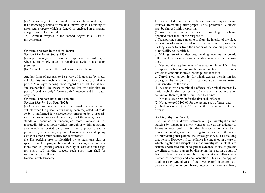(a) A person is guilty of criminal trespass in the second degree if he knowingly enters or remains unlawfully in a building or upon real property which is fenced or enclosed in a manner designed to exclude intruders.

(b) Criminal trespass in the second degree is a Class C misdemeanor.

#### Criminal trespass in the third degree. Section 13A-7-4 et. Seq. (1975)

(a) A person is guilty of criminal trespass in the third degree when he knowingly enters or remains unlawfully in or upon premises.

(b) Criminal trespass in the third degree is a violation.

Another form of trespass to be aware of is trespass by motor vehicle, this may include driving into a parking deck that is posted "employee parking only" regardless of whether it says "no trespassing". Be aware of parking lots or decks that are posted "residence only" Tenants only" "owners and their guest only" etc.

## **Criminal Trespass by Motor vehicle:** Section 13A-7-4.1 et. Seq. (1975)

(a) A person commits the offense of criminal trespass by motor vehicle when the person, after having been requested not to do so by a uniformed law enforcement officer or by a properly identified owner or an authorized agent of the owner, parks or stands an occupied or unoccupied motor vehicle in, or repeatedly drives a motor vehicle through or within, a parking area which is located on privately owned property and is provided by a merchant, a group of merchants, or a shopping center or other similar facility for customers if:

(1) The parking area is identified by at least one sign as specified in this paragraph, and if the parking area contains more than 150 parking spaces, then by at least one such sign for every 150 parking spaces, each such sign shall be substantially as follows:

Notice Private Property.

Entry restricted to our tenants, their customers, employees and invitees. Remaining after proper use is prohibited. Violators may be charged with trespassing.

(2) And the motor vehicle is parked, is standing, or is being operated other than for the purpose of:

a. Transporting some person to or from the interior of the place of business of a merchant identified by the sign or signs in the parking area or to or from the interior of the shopping center or other facility so identified.

b. Making use of a telephone, vending machine, automatic teller machine, or other similar facility located in the parking area.

c. Meeting the requirements of a situation in which it has unexpectedly become impossible or impractical for the motor vehicle to continue to travel on the public roads; or

d. Carrying out an activity for which express permission has been given by the owner of the parking area or an authorized representative of the owner.

(b) A person who commits the offense of criminal trespass by motor vehicle shall be guilty of a misdemeanor, and upon conviction thereof, shall be punished by a fine:

(1) Not to exceed \$50.00 for the first such offense;

(2) Not to exceed \$100.00 for the second such offense; and

(3) Not to exceed \$150.00 for the third or subsequent such offense.

## **Stalking:** (by Jim Casteel)

The line is often drawn between a legal investigation and stalking by intent. If a client wants to hire an Investigator to follow an individual to intimidate him or her or wear them down emotionally, and the Investigator does so with the intent of intimidating that person; the Investigator would be stalking that person. However, if surveillance is conducted in a case in which litigation is anticipated and the Investigator's intent is to remain undetected and/or to gather evidence to use to protect the client or client's assets by displaying the truth in a court of law; the Investigator is simply using covert surveillance as a method of discovery and documentation. This can be applied to almost any type of case. If the Investigator's intention is to cause mental or emotional harm; however, that can, and likely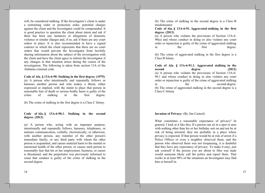will, be considered stalking. If the Investigator's client is under a restraining order or protection order, potential charges against the client and the Investigator could be compounded. It is good practice to question the client about intent and ask if there has been any instances or allegations of domestic violence or similar charges and, if so, ask if there are any court orders in place. It is also recommended to have a signed contract in which the client represents that there are no court orders that would prevent the Investigator from lawfully sharing information about the subject of the investigation with the client and have the client agree to inform the Investigator if any changes in that situation arises during the course of the investigation. The following is taken from section 13A of the Alabama criminal code.

Code of Ala. § 13A-6-90. Stalking in the first degree. (1975) (a) A person who intentionally and repeatedly follows or harasses another person and who makes a threat, either expressed or implied, with the intent to place that person in reasonable fear of death or serious bodily harm is guilty of the crime of stalking  $in$ the first degree.

(b) The crime of stalking in the first degree is a Class C felony.

Code of Ala. § 13A-6-90.1. Stalking in the second degree. (2012)

(a) A person who, acting with an improper purpose, intentionally and repeatedly follows, harasses, telephones, or initiates communication, verbally, electronically, or otherwise, with another person, any member of the other person's immediate family, or any third party with whom the other person is acquainted, and causes material harm to the mental or emotional health of the other person, or causes such person to reasonably fear that his or her employment, business, or career is threatened, and the perpetrator was previously informed to cease that conduct is guilty of the crime of stalking in the second degree.

14

(b) The crime of stalking in the second degree is a Class B misdemeanor.

Code of Ala. § 13A-6-91. Aggravated stalking in the first degree. (2012)

(a) A person who violates the provisions of Section 13A-6- $90(a)$  and whose conduct in doing so also violates any court order or injunction is guilty of the crime of aggravated stalking the first  $in$ degree.

(b) The crime of aggravated stalking in the first degree is a Class B felony.

Code of Ala. § 13A-6-91.1. Aggravated stalking in the second degree  $(2012)$ (a) A person who violates the provisions of Section 13A-6-90.1 and whose conduct in doing so also violates any court order or injunction is guilty of the crime of aggravated stalking the second-degree.  $in$ (b) The crime of aggravated stalking in the second degree is a Class-C-felony.

#### **Invasion of Privacy:** (By Jim Casteel)

What constitutes a reasonable expectance of privacy? In general, I look at it like this; If a person can sit in a spot or area with nothing other than his or her birthday suit on and not be at risk of being arrested, they are probably in a place where privacy is expected. If that person would be at risk of arrest if a Police Officer or even a neighbor observed them, and the person who observed them was not trespassing, it is doubtful that they have any expectancy of privacy. To make it easy, just ask yourself if the person you are about to film was nude would someone likely call the police and report them. That works in at least 90% of the situations an Investigator may find him or herself in.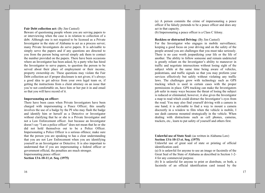#### **Fair Debt collection act:** (By Jim Casteel)

Beware of questioning people whom you are serving papers to or interviewing when the case is in relation to collection of a debt. Although one is not required to be licensed as a Private Investigator in the state of Alabama to act as a process server; many Private Investigators do serve papers. It is advisable to simply serve the papers and if any questions are directed to you from the person being served simply ask them to contact the number provided on the papers. There have been occasions where an Investigator has been asked, by a party who has hired the Investigator to serve papers, to question the person to be served about their place of employment or their income, property ownership etc. These questions may violate the Fair Debt collection act if proper disclosure is not given; it's always a good idea to get advice from your own legal team or, if getting the instructions from a client attorney on an issue that you're not comfortable on, have him or her put it in and email so that you will have record of it.

#### **Impersonating an officer:**

There have been cases when Private Investigators have been charged with impersonating a Peace Officer; this usually involves the use of a badge by the PI who may flash the badge and identify him or herself as a Detective or Investigator without clarifying that he or she is a Private Investigator and not a Law Enforcement officer. Just because an Investigator doesn't say "I am a police officer" does not mean that he or she did not hold themselves out to be a Police Officer. Impersonating a Police Officer is a serious offence; make sure that the person you are speaking to has a clear understanding that you are not Law Enforcement when you are identifying yourself as an Investigator or Detective. It is also important to understand that if you are impersonating a federal officer or government official, the penalties are much stronger. Impersonating peace officer:

Section 13A-10-11\_et. Seq. (1975)

(a) A person commits the crime of impersonating a peace officer if he falsely pretends to be a peace officer and does any act in that capacity.

(b) Impersonating a peace officer is a Class C felony.

#### **Reckless or distracted Driving:** (By Jim Casteel)

For the Investigator who engages in mobile surveillance; keeping a good focus on your driving and on the safety of the people around you are challenges that you must take seriously. There is no case worth jeopardizing your life or the life of another. The ability to follow someone and remain undetected is greatly reliant on the Investigator's ability to maneuver in traffic and negotiate intersections without losing sight of the subject while at the same time being aware of vehicles, pedestrians, and traffic signals so that you may preform your services effectively but safely without violating any traffic laws. The challenges grow with technology such as GPS tracking which is used in certain cases with the proper permissions in place. GPS tracking can make the Investigators job safer in many ways because the threat of losing the subject is reduced or eliminated; however, it also gives the Investigator a map to read which could distract the Investigator's eyes from the road. You may also find yourself driving with a camera in one hand; it is advisable to find a way to mount a camera discreetly in a window to film when the vehicle is mobile, I use dash cameras mounted strategically in the vehicle. When dealing with distractions such as cell phones, cameras, trackers, etc., learn to put safety of yourself and others first.

## Unlawful use of State Seal: (as written in Alabama Law) Section 13A-10-13 et. Seq. (1975)

Unlawful use of great seal of state or printing of official identification card.

(a) It is unlawful for anyone to use an image or facsimile of the Great Seal of the State of Alabama as described in Section 1-2-4 for any commercial purpose.

(b) It is unlawful for anyone to print or distribute, or both, a facsimile of an official identification card issued by the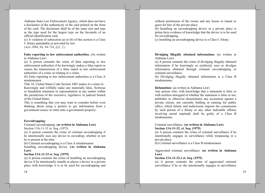Alabama State Law Enforcement Agency, which does not have a disclaimer of the authenticity of the card printed on the front of the card. The disclaimer shall be of the same size and type as the type used for the largest type on the facsimile of an official identification card.

(c) A violation of subsection (a) or (b) of this section is a Class C felony punishable as provided by law.  $(Acts 1994, No. 94-716, \S$1, 2.)$ 

## False reporting to law enforcement authorities. (As written in Alabama Law)

(a) A person commits the crime of false reporting to law enforcement authorities if he knowingly makes a false report or causes the transmission of a false report to law enforcement authorities of a crime or relating to a crime.

(b) False reporting to law enforcement authorities is a Class A misdemeanor.

Title 18, United States Code Section 1001 makes it a crime to: Knowingly and willfully make any materially false, fictitious or fraudulent statement or representation in any matter within the jurisdiction of the executive, legislative or judicial branch of the United States.

This is something that you may want to consider before even thinking about using a pretext to get information from a government source or enter onto a government property.

#### Eavesdropping:

## Criminal eavesdropping: (as written in Alabama Law) Section 13A-11-31 et. Seq. (1975)

(a) A person commits the crime of criminal eavesdropping if he intentionally uses any device to eavesdrop, whether or not he is present at the time.

(b) Criminal eavesdropping is a Class A misdemeanor.

Installing eavesdropping device. (As written in Alabama  $Law)$ 

## Section 13A-11-33 et. Seq. (1975)

(a) A person commits the crime of installing an eavesdropping device if he intentionally installs or places a device in a private place with knowledge it is to be used for eavesdropping and

without permission of the owner and any lessee or tenant or guest for hire of the private place.

(b) Installing an eavesdropping device in a private place is prima facie evidence of knowledge that the device is to be used for eavesdropping.

(c) Installing an eavesdropping device is a Class C felony.

Divulging Illegally obtained information: (as written in Alabama Law)

(a) A person commits the crime of divulging illegally obtained information if he knowingly or recklessly uses or divulges information obtained through criminal eavesdropping or criminal surveillance.

(b) Divulging illegally obtained information is a Class B misdemeanor.

#### **Defamation:** (as written in Alabama Law)

Any person who, with knowledge that a statement is false or with reckless disregard of whether the statement is false or not, publishes or otherwise disseminates any accusation against a private citizen, not currently holding or running for public office, which falsely and maliciously imports the commission by such person of a felony or any other indictable offense involving moral turpitude shall be guilty of a Class B misdemeanor.

## Criminal surveillance: (as written in Alabama Law) Section 13A-11-32. et. Seq. (1975)

(a) A person commits the crime of criminal surveillance if he intentionally engages in surveillance while trespassing in a private place.

(b) Criminal surveillance is a Class B misdemeanor.

Aggravated criminal surveillance: (as written in Alabama  $Law)$ 

### Section 13A-11-32.1 et. Seq. (1975)

(a) A person commits the crime of aggravated criminal surveillance if he or she intentionally engages in surveillance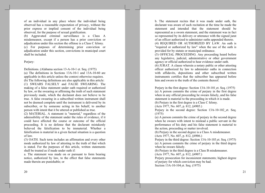of an individual in any place where the individual being observed has a reasonable expectation of privacy, without the prior express or implied consent of the individual being observed, for the purpose of sexual gratification.

(b) Aggravated criminal surveillance is a Class A misdemeanor, except if a person has a prior conviction or adjudication under this section the offense is a Class C felony. (c) For purposes of determining prior conviction or adjudication under this section, convictions in municipal court shall be included.

## Perjury:

Definitions. (Alabama section 13-A-10-1 et. Seq. (1975)

(a) The definitions in Sections 13A-10-1 and 13A-10-60 are applicable in this article unless the context otherwise requires. (b) The following definitions are also applicable in this article: (1) SWEARS FALSELY and FALSE SWEARING. The making of a false statement under oath required or authorized by law, or the swearing or affirming the truth of such statement previously made, which the declarant does not believe to be true. A false swearing in a subscribed written instrument shall not be deemed complete until the instrument is delivered by its subscriber, or by someone acting in his behalf, to another person with intent that it be uttered or published as true.

(2) MATERIAL. A statement is "material," regardless of the admissibility of the statement under the rules of evidence, if it could have affected the course or outcome of the official proceeding. It is no defense that the declarant mistakenly believed the falsification to be immaterial. Whether a falsification is material in a given factual situation is a question of law.

(3) OATH. Such term includes an affirmation and every other mode authorized by law of attesting to the truth of that which is stated. For the purposes of this article, written statements shall be treated as if made under oath if:

a. The statement was made on or pursuant to form bearing notice, authorized by law, to the effect that false statements made therein are punishable; or

b. The statement recites that it was made under oath, the declarant was aware of such recitation at the time he made the statement and intended that the statement should be represented as a sworn statement, and the statement was in fact so represented by its delivery or utterance with the signed jurat of an officer authorized to administer oaths appended thereto. (4) REQUIRED OR AUTHORIZED BY LAW. An oath is

"required or authorized by law" when the use of the oath is provided for by statute or municipal ordinance.

(5) OFFICIAL PROCEEDING. Any proceeding heard before any legislative, judicial, administrative or other government agency or official authorized to hear evidence under oath.

(6) JURAT. A clause wherein a notary public or other attesting officer authorized by law to administer oaths in connection with affidavits, depositions and other subscribed written instruments certifies that the subscriber has appeared before him and sworn to the truth of the contents thereof.

Perjury in the first degree: Section 13A-10-101 et. Seq. (1975) (a) A person commits the crime of perjury in the first degree when in any official proceeding he swears falsely, and his false statement is material to the proceeding in which it is made. (b) Perjury in the first degree is a Class C felony.

(Acts 1977, No. 607, p. 812, §4905.)

Perjury in the second degree: Section 13A-10-102 et. Seq.  $(1975)$ 

(a) A person commits the crime of perjury in the second degree when he swears with intent to mislead a public servant in the performance of his duty and his false statement is material to the action, proceeding or matter involved.

(b) Perjury in the second degree is a Class A misdemeanor. (Acts 1977, No. 607, p. 812, §4906.)

Periury in the third degree: Section 13A-10-103 et. Seq. (1975) (a) A person commits the crime of perjury in the third degree when he swears falsely.

(b) Perjury in the third degree is a Class B misdemeanor. (Acts 1977, No. 607, p. 812, §4907.)

Perjury prosecution for inconsistent statements; highest degree of perjury for which conviction may be had. Section 13A-10-104 et. Seq. (1975)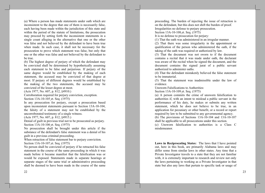(a) Where a person has made statements under oath which are inconsistent to the degree that one of them is necessarily false, each having been made within the jurisdiction of this state and within the period of the statute of limitations, the prosecution may proceed by setting forth the inconsistent statements in a single count alleging in the alternative that one or the other was false and not believed by the defendant to have been true when made. In such case, it shall not be necessary for the prosecution to prove which statement was false, but only that one or the other was false and not believed by the defendant to be true.

(b) The highest degree of perjury of which the defendant may be convicted shall be determined by hypothetically assuming each statement to be false and perjurious. If perjury of the same degree would be established by the making of each statement, the accused may be convicted of that degree at most. If perjury of different degrees would be established by the making of the two statements, the accused may be convicted of the lesser degree at most.

(Acts 1977, No. 607, p. 812, §4910.)

Corroboration required for perjury conviction, exception. Section 13A-10-105 et. Seq. (1975)

In any prosecution for periury, except a prosecution based upon inconsistent statements pursuant to Section 13A-10-104, the falsity of a statement may not be established by the uncorroborated testimony of a single witness.

(Acts 1977, No. 607, p. 812, §4915.)

Denial of guilt in previous trial not to be prosecuted as perjury. Section 13A-10-106 et. Seq. (1975)

No prosecution shall be brought under this article if the substance of the defendant's false statement was a denial of his guilt in a previous criminal proceeding.

When retraction of false statement bar to periury conviction. Section 13A-10-107 et. Seq. (1975)

No person shall be convicted of perfury if he retracted his false statement in the course of the same proceeding in which it was made before it became manifest that the falsification was or would be exposed. Statements made in separate hearings at separate stages of the same trial or administrative proceeding shall be deemed to have been made in the course of the same proceeding. The burden of injecting the issue of retraction is on the defendant, but this does not shift the burden of proof. Irregularities no defense to periury prosecution. Section 13A-10-108 et. Seq. (1975)

It is no defense to prosecution for perjury:

(1) That the oath was administered in an irregular manner.

(2) That there was some irregularity in the appointment or qualification of the person who administered the oath, if the taking of the oath was required or authorized by law.

(3) That the document was not sworn to if the document contains a recital that it was made under oath, the declarant was aware of the recital when he signed the document, and the document contains the signed jurat of a public servant authorized to administer oaths.

(4) That the defendant mistakenly believed the false statement to be immaterial.

(5) That the statement was inadmissible under the law of evidence.

**Unsworn Falsifications to Authorities:** 

Section 13A-10-109 et. Seq. (1975)

(a) A person commits the crime of unsworn falsification to authorities if, with an intent to mislead a public servant in the performance of his duty, he makes or submits any written statement, which he does not believe to be true, in an application for pecuniary or other benefit, or a record or report required by law to be submitted to any governmental agency.

(b) The provisions of Sections  $13A-10-104$  and  $13A-10-107$ shall be applicable to all prosecutions under this section.

(c) Unsworn falsification to authorities is a Class C misdemeanor.

Laws in Reciprocating States: The laws that I have pointed out, here in this book, are primarily Alabama laws and may differ some from similar laws in other states. Any time that a Private Investigator travels to a state that they are not familiar with, it is extremely important to research and review not only the laws pertaining to working as a Private Investigator in that state but also any laws that pertain to specific task or usage of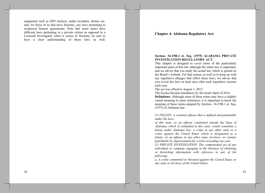equipment such as GPS trackers, audio recorders, drones etc. and, for those of us that have firearms, any laws pertaining to reciprocal firearm agreements. Note that some states have different laws pertaining to a private citizen as opposed to a Licensed Investigator when it comes to firearms, be sure to have a clear understanding of those laws as well.

## **Chapter 4- Alabama Regulatory Act:**

## Section- 34-25B-1 et. Seq. (1975) ALABAMA PRIVATE **INVESTIGATION REGULATORY ACT.**

This chapter is designed to cover some of the particularly important parts of this law although the entire law is important, and we advise that you study the actual law which is posted on the Board's website. For that reason, as well as to keep up with any legislative changes that effect these laws; we advise that you revisit the laws at least once after each legislative session each year.

The act was effective August 1, 2013.

The license became mandatory by the board April of 2014.

**Definitions:** Although some of these terms may have a slightly varied meaning in some references; it is important to know the meaning of these terms adopted by Section-34-25B-1 et. Seq.  $(1975)$  of Alabama law.

(1) FELONY. A criminal offense that is defined and punishable under the laws.

of this state, or an offense committed outside the State of Alabama, which if committed in this state, would constitute a felony under Alabama law; a crime in any other state or a crime against the United States which is designated as a felony; or an offense in any other state, territory, or country punishable by imprisonment for a term exceeding one year.

(2) PRIVATE INVESTIGATION. The compensated act of any individual or company engaging in the business of obtaining or furnishing information with reference to any of the following:

a. A crime committed or threated against the United States or any state or territory of the United States.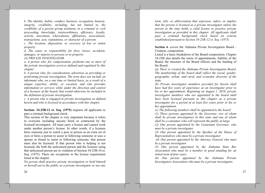b. The identity, habits, conduct, business, occupation, honesty, integrity, credibility, including, but not limited to, the credibility of a person giving testimony in a criminal or civil proceeding, knowledge, trustworthiness, efficiency, loyalty, activity, movement, whereabouts, affiliations, associations, transactions, acts, reputations, or character of a person.

c. The location, disposition, or recovery of lost or stolen property.

d. The cause or responsibility for fires, losses, accidents, damages, or injuries to persons or to property.

(3) PRIVATE INVESTIGATOR.

a. A person who, for compensation, performs one or more of the private investigation services defined and regulated by this chapter.

b. A person who, for consideration, advertises as providing or performing private investigation. The term does not include an informant who, on a one time or limited basis, as a result of a unique expertise, ability, or vocation, and who provides information or services while under the direction and control of a licensee of the board, that would otherwise be included in the definition of private investigation.

c. A person who is engaged in private investigation as defined herein and who is licensed in accordance with this chapter.

Section- 34-25B-12 et. Seq. (1975) requires all applicants to pass a criminal background check.

This section of the chapter is very important because it refers to everyone including anyone hired or contracted by the licensed investigator. All must carry a license and cannot work under another person's license. In other words, if a licensee hires someone just to watch a post or person as an extra set of eyes or hires a person to assist in following someone or uses a spouse or friend to assist in following someone, that person must also be licensed. If that person who is helping is not licensed, the both the unlicensed person and the licensee using that unlicensed person are in violation of Section 34-25B-10 et. Seq. (1975). There are exceptions to the license requirement listed in the chapter.

No person shall practice private investigation or hold himself or herself out to the public as a private investigator or use any

term, title, or abbreviation that expresses, infers, or implies that the person is licensed as a private investigator unless the person at the time holds a valid license to practice private investigation as provided in this chapter. All applicants shall pass a criminal background check based on criteria established pursuant to Section 34-25B-12 et. Seq. (1975)

Section 4. covers the Alabama Private Investigation Board – Creation, composition.

Listed is a basic breakdown of the Board composition. Chapter 34-25B also details the terms of appointments, liability of the Board, the structure of the Board officers and the funding of the Board.

(a) There is created the Alabama Private Investigation Board. The membership of the board shall reflect the racial, gender, geographic, urban, and rural, and economic diversity of the state.

(b) Private investigator members provided for herein shall have had five years of experience as an investigator prior to his or her appointment. Beginning on August 1, 2018, private investigator members who are appointed to the board shall have been licensed pursuant to this chapter as a private investigator for a period of at least five years prior to his or her appointment.

(c) The following members shall be appointed to the board:

 $(1)$  Three persons appointed by the Governor, two of whom shall be private investigators in this state and one of whom shall be a consumer who will represent the public at large.

(2) One person appointed by the Lieutenant Governor, who must be a private investigator.

 $(3)$  One person appointed by the Speaker of the House of Representatives who must be a private investigator.

(4) One person appointed by the Attorney General who must be a private investigator.

(5) One person appointed by the Alabama State Bar Association who must be a member in good standing for an initial term of four years.

 $(6)$  One person appointed by the Alabama Private Investigators Association who must be a private investigator.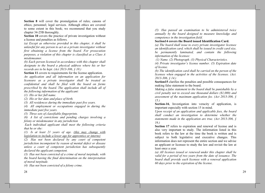**Section 8** will cover the promulgation of rules; canons of ethics; personnel; legal services. Although ethics are covered to some extent in this book; we recommend that you study chapter 34-25B thoroughly.

Section 10 covers the practice of private investigation without a license and penalties as follows.

(a) Except as otherwise provided in this chapter, it shall be unlawful for any person to act as a private investigator without first obtaining a license from the board. For prosecution purposes, a violation of this chapter is classified as a Class A misdemeanor.

(b) Each person licensed in accordance with this chapter shall designate to the board a physical address where his or her records are to be kept. (Act 2013-306, § 10.)

**Section 11** covers to requirements for the license application.

An application and all information on an application for licensure as a private investigator shall be treated as confidential and shall be filed with the board on forms prescribed by the board. The application shall include all of the following information of the applicant:

 $(1)$  His or her full name.

(2) His or her date and place of birth.

(3) All residences during the immediate past five years.

(4) All employment or occupations engaged in during the immediate past five years.

(5) Three sets of classifiable fingerprints.

 $(6)$  A list of convictions and pending charges involving a felony or misdemeanor in any jurisdiction

Each individual applicant shall meet the following criteria that he or she:

 $(1)$  Is at least 21 years of age. (this may change with legislation to include a lower age for apprentice or interns)

 $(2)$  Has not been declared by any court of competent jurisdiction incompetent by reason of mental defect or disease unless a court of competent jurisdiction has subsequently declared the applicant competent.

(3) Has not been convicted of a crime of moral turpitude, with the board having the final determination on the interpretation of moral turpitude.

(4) Has not been convicted of a felony crime.

(5) Has passed an examination to be administered twice annually by the board designed to measure knowledge and competence in the investigation field.

## Section14 covers the Board issued Identification Card.

(a) The board shall issue to every private investigator licensee an identification card, which shall be issued in credit card size, be permanently laminated, and contain the following information of the licensee:

(1) Name. (2) Photograph. (3) Physical Characteristics.

(4) Private investigator's license number. (5) Expiration date of license.

(b) The identification card shall be carried on the person of the licensee when engaged in the activities of the licensee. (Act.  $2013 - 306, \, \S$  14.)

**Section 15** clarifies the penalties and possible consequences for making false statement to the board.

Making a false statement to the board shall be punishable by a civil penalty not to exceed one thousand dollars  $(1,000)$  and assessment of the maximum application fee. (Act 2013-306,  $\delta$  $15.$ 

Section-16, Investigation into veracity of application, is important especially with section 15 in mind.

Upon receipt of an application and applicable fees, the board shall conduct an investigation to determine whether the statements made in the application are true. (Act 2013-306,  $\frac{1}{5}$ )  $16.$ 

Section 17 refers to expiration and renewal of license and is also very important to study. The information listed in this book refers to the law at the time the book is written and is subject to both legislative and executive changes. This information does not represent the entire section and we advise an applicant or licensee to study the law and revisit the law at least once a year.

(a) All licenses issued or renewed under this chapter shall be valid for a period of two years from the date of issuance. The board shall provide each licensee with a renewal application 60 days prior to the expiration of the license.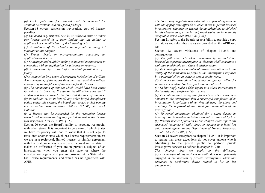(b) Each application for renewal shall be reviewed for criminal convictions and civil fraud findings.

Section-18 covers suspension, revocation, etc., of license, penalties.

(a) The board may suspend, revoke, or refuse to issue or renew any license issued by it upon finding that the holder or applicant has committed any of the following acts:

 $(1)$  A violation of this chapter or any rule promulgated pursuant to this chapter.

(2) Fraud, deceit, or misrepresentation regarding an application or license.

(3) Knowingly and willfully making a material misstatement in connection with an application for a license or renewal.

 $(4)$  A conviction by a court of competent jurisdiction of a felony.

 $(5)$  A conviction by a court of competent jurisdiction of a Class A misdemeanor, if the board finds that the conviction reflects unfavorably on the fitness of the person for the license.

(6) The commission of any act which would have been cause for refusal to issue the license or identification card had it existed and been known to the board at the time of issuance. (b) In addition to, or in lieu of, any other lawful disciplinary action under this section, the board may assess a civil penalty not exceeding two thousand dollars (\$2,000) for each violation.

 $(c)$  A license may be suspended for the remaining license period and renewed during any period in which the license was suspended. (Act 2013-306, § 18.)

Section-20 covers the Board's ability to negotiate reciprocity with other states. It is important to be aware of which States we have reciprocity with and to know that it is not legal to travel into another state which has license requirements unless we are in a reciprocal, limited license, or similar agreement with that State or unless you are also licensed in that state. It makes no difference if you are in pursuit a subject of an investigation when you enter the state or where the investigation originated if you are crossing into a State which has license requirements, and which has no agreement with APIB.

The board may negotiate and enter into reciprocal agreements with the appropriate officials in other states to permit licensed investigators who meet or exceed the qualifications established in this chapter to operate in reciprocal states under mutually acceptable terms. (Act 2013-306,  $\S$  20.)

Section 21 refers to the Boards responsibility to provide a copy of statutes and rules; these rules are provided on the APIB web site.

Section 22 covers violations of chapter 34-25B and consequences.

(a) The following acts when committed by an individual licensed as a private investigator in Alabama shall constitute a violation punishable as a Class A misdemeanor:

 $(1)$  To knowingly make a material misrepresentation as to the ability of the individual to perform the investigation required by a potential client in order to obtain employment.

(2) To make unsubstantiated monetary charges to a client for services not rendered or transportation not utilized.

 $(3)$  To knowingly make a false report to a client in relations to the investigation performed for a client.

(4) To continue an investigation for a client when it becomes obvious to the investigator that a successful completion of an investigation is unlikely without first advising the client and obtaining the approval of the client for continuation of the *investigation.* 

 $(5)$  To reveal information obtained for a client during an investigation to another individual except as required by law. (b) Persons licensed pursuant to this chapter shall report any suspected instances of child abuse or neglect to a local law enforcement agency or the Department of Human Resources, or both. (Act 2013-306, § 22.)

Section 24 covers exceptions to chapter 34-25B. It is important to realize that these exceptions do not cover anyone who is advertising to the general public to perform private investigative services as defined in chapter 34-25B

This chapter does not apply to the following:  $(1)$  An employee of any business or entity that is not primarily engaged in the business of private investigation when that employee is performing duties related to his or her employment.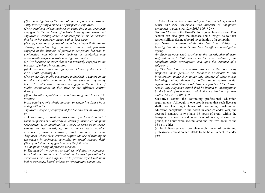$(2)$  An investigation of the internal affairs of a private business entity investigating a current or prospective employee.

 $(3)$  An employee of any business or entity that is not primarily engaged in the business of private investigation when that employee is working under a contract for his or her services that his or her employer signed with a third party.

(4) Any person or professional, including without limitation an attorney providing legal services, who is not primarily engaged in the business of private investigation, but who in conjunction with his or her business or profession may occasionally perform private investigation services.

 $(5)$  Any business or entity that is not primarily engaged in the business of private investigation.

 $(6)$  A consumer reporting agency as defined by the Federal Fair Credit Reporting Act.

(7) Any certified public accountant authorized to engage in the practice of public accountancy in the state or any entity licensed or otherwise permitted to engage in the practice of public accountancy in this state or the affiliated entities thereof.

(8) a. An attorney-at-law in good standing and licensed to practice  $law:$ 

b. An employee of a single attorney or single law firm who is acting within the

employee's scope of employment for the attorney or law firm; or

c. A consultant, accident reconstructionist, or forensic scientist when the person is retained by an attorney, insurance company representative, or appointed by a court to serve as an expert witness or to investigate, or to make tests, conduct experiments, draw conclusions, render opinions or make diagnoses, where those services require the use of training or experience in technical, scientific, or social science field.  $(9)$  Any individual engaged in any of the following:

a. Computer or digital forensic services.

b. The acquisition, review, or analysis of digital or computerbased information in order to obtain or furnish information for evidentiary or other purposes or to provide expert testimony before any court, board, officer, or investigating committee.

32

c. Network or system vulnerability testing, including network scans and risk assessment and analysis of computers connected to a network. (Act 2013-306,  $$24$ .)

Section 25 covers the Board's division of Investigation. This section can also give the licensee some insight as to their responsibilities during a board investigation of a complaint.

(a) There is created within the board a Division of Investigation that shall be the board's official investigative agency.

(b) Each licensee shall provide to the investigative division staff all records that pertain to the exact nature of the complaint under investigation and upon the issuance of a subpoena.

(c) The board or an executive director of the board may subpoena those persons or documents necessary to any investigation undertaken under this chapter if other means including, but not limited to, notification by return receipt registered United States mail, have not produced the desired results. Any subpoena issued shall be limited to investigations by the board of its members and shall not extend to any other matter. (Act 2013-306, § 25.)

Section 26 covers the continuing professional education requirements. Although in one area it states that each licensee shall complete eight hours of continuing professional education acceptable to the board in each calendar year, the accepted standard is two have 16 hours of credit within the two-year renewal period regardless of when, during that period, the hours were accumulated and that two hours of the 16 be in ethics.

(a) Each licensee shall complete eight hours of continuing professional education acceptable to the board in each calendar year.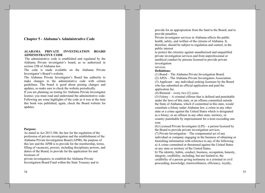# **Chapter 5 - Alabama's Administrative Code**

## ALABAMA PRIVATE INVESTIGATION BOARD **ADMINISTRATIVE CODE**

The administrative code is established and regulated by the Alabama Private investigator's board, as so authorized in section 25B of Alabama law.

The code is made available on the Alabama Private Investigator's Board's website.

The Alabama Private Investigator's Board has authority to make changes to the administrative code with certain guidelines. The board is good about posting changes and updates, so make sure to check the website periodically.

If you are planning on testing for Alabama Private Investigator license; you must read and understand the administrative code. Following are some highlights of the code as it was at the time this book was published; again, check the Board website for updates.

#### **Purpose:**

As stated in Act 2013-306, the law for the regulation of the profession of private investigation and the establishment of the Alabama Private Investigation Board (APIB), the purpose of this law and the APIB is to provide for the membership, terms, filling of vacancies, powers, including disciplinary powers, and duties of the Board; to provide for the application for and licensure of

private investigators; to establish the Alabama Private Investigation Board Fund within the State Treasury and to

34

provide for an appropriation from the fund to the Board; and to provide penalties.

Private investigator services in Alabama affects the public health, safety, and welfare of the citizens of Alabama. It, therefore, should be subject to regulation and control, in the public interest

to protect the citizenry against unauthorized and unqualified private investigation services and from unprofessional or unethical conduct by persons licensed to provide private investigation

#### services. **Definitions:**

(1) Board – The Alabama Private Investigation Board. (2) APIA – The Alabama Private Investigators Association.  $(3)$  Applicant – any individual seeking licensure by the Board who has submitted an official application and paid the application fee.

(4) Biennial – every two  $(2)$  years.

 $(5)$  Felony – A criminal offense that is defined and punishable under the laws of this state, or an offense committed outside the State of Alabama, which if committed in this state, would constitute a felony under Alabama law; a crime in any other state or a crime against the United States which is designated as a felony; or an offense in any other state, territory, or country punishable by imprisonment for a term exceeding one year.

(6) Licensed Private Investigator  $(LPI)$  – a person licensed by the Board to provide private investigation services.

 $(7)$  Private Investigation – The compensated act of any individual or company engaging in the business of obtaining or furnishing information with reference to any of the following: a) A crime committed or threatened against the United States or any state or territory of the United States.

b) The identity, habits, conduct, business, occupation, honesty, integrity, credibility, including, but not limited to, the credibility of a person giving testimony in a criminal or civil proceeding, knowledge, trustworthiness, efficiency, loyalty,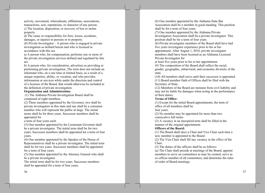activity, movement, whereabouts, affiliations, associations, transactions, acts, reputations, or character of any person. c) The location, disposition, or recovery of lost or stolen property.

d) The cause or responsibility for fires, losses, accidents, damages, or injuries to persons or to property.

 $(8)$  Private Investigator – A person who is engaged in private investigation as defined herein and who is licensed in accordance with this act.

a) A person who, for compensation, performs one or more of the private investigation services defined and regulated by this act.

b) A person who, for consideration, advertises as providing or performing private investigation. The term does not include an informant who, on a one time or limited basis, as a result of a unique expertise, ability, or vocation, and who provides information or services while under the direction and control of a licensee of the Board, that would otherwise be included in the definition of private investigation.

## **Organization and Administration:**

(1) The Alabama Private Investigation Board shall be composed of eight members.

(2) Three members appointed by the Governor, two shall be private investigators in this state and one shall be a consumer member who will represent the public at large. The initial terms shall be for three years. Successor members shall be appointed for

a term of four years each.

(3) One member appointed by the Lieutenant Governor shall be a private investigator. The initial term shall be for two years. Successor members shall be appointed for a term of four years.

(4) One member appointed by the Speaker of the House of Representatives shall be a private investigator. The initial term shall be for two years. Successor members shall be appointed for a term of four years.

(5) One member appointed by the Attorney General who shall be a private investigator.

The initial term shall be for two years. Successor members shall be appointed for a term of four years.

(6) One member appointed by the Alabama State Bar Association shall be a member in good standing. This position shall be for a term of four years.

(7) One member appointed by the Alabama Private Investigators Association shall be a private investigator. This position shall be for a term of four years.

(8) Private investigator members of the Board shall have had five years investigator experience prior to his or her appointment. After August 1, 2018, private investigator members shall have been licensed as an Alabama Licensed

Private Investigator for

at least five years prior to his or her appointment.

(9) The composition of the Board shall reflect the racial,

gender, geographic, urban/rural, and economic diversity of the state.

(10) All members shall serve until their successor is appointed. (11) Board member Oath of Offices shall be filed with the Secretary of State.

(12) Members of the Board are immune from civil liability and may not be liable for damages when acting in the performance of their duties.

## **Terms of Office:**

(1) Except for the initial Board appointments, the term of office of all members shall be

four years.

(2) No member may be appointed for more than two consecutive full terms.

(3) A vacancy in an unexpired term shall be filled in the manner of the original appointment.

## **Officers of the Board:**

(1) The Board shall elect a Chair and Vice Chair each time a new member is appointed to the Board.

(2) The Vice Chair shall fill any vacancy in the office of the Chair.

(3) The duties of the officers shall be as follows:

(a) The Chair shall preside at meetings of the Board, appoint members to serve on committees as may be created, serve as ex-officio member of all committees, and determine the rules of order of Board meetings.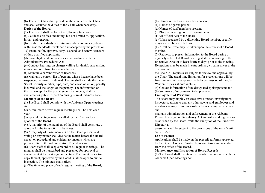(b) The Vice Chair shall preside in the absence of the Chair and shall assume the duties of the Chair when necessary.

# **Duties of the Board:**

(1) The Board shall perform the following functions:

(a) Set licensure fees, including, but not limited to, application, initial, and renewal.

(b) Establish standards of continuing education in accordance with those standards developed and accepted by the profession. (c) Examine for, approve, deny, suspend, and renew licensure of duly qualified applicants.

(d) Promulgate and publish rules in accordance with the Administrative Procedures Act.

(e) Conduct hearings on charges calling for denial, suspension, revocation, or refusal to renew a license.

(f) Maintain a current roster of licensees.

(g) Maintain a current list of persons whose license have been suspended, revoked, or denied. The list shall include the name, Social Security number, type, date, and cause of action, penalty incurred, and the length of the penalty. The information on the list, except for the Social Security numbers, shall be available for public inspection during normal business hours. **Meetings of the Board:** 

(1) The Board shall comply with the Alabama Open Meetings Act.

(2) A minimum of two regular meetings shall be held each year.

(3) Special meetings may be called by the Chair or by a quorum of the Board.

(4) A majority of the members of the Board shall constitute a quorum for the transaction of business.

(5) A majority of those members on the Board present and voting on any matter shall decide the matter before the Board, except on procedural and evidentiary matters which are provided for in the Administrative Procedures Act.

(6) Board staff shall keep a record of all regular meetings. The minutes shall be transcribed and presented for approval or amendment at the next regular meeting. The minutes or a true copy thereof, approved by the Board, shall be open to public inspection. The minutes shall reflect:

(a) The time and place of each regular meeting of the Board;

(b) Names of the Board members present;

(c) Names of guests present;

(d) Names of staff members present;

(e) Place of meeting notice advertisements;

(f) All official acts of the Board:

(g) When requested by a dissenting Board member, specific reasons shall be recorded; and

(h) A roll call vote may be taken upon the request of a Board member.

(7) Requests to present information to the Board during a regularly scheduled Board meeting shall be in writing to the Executive Director at least fourteen days prior to the meeting. Exceptions may be made in extraordinary circumstances at the direction of

the Chair. All requests are subject to review and approval by the Chair. The usual time limitation for presentations will be five minutes with exceptions made by permission of the Chair. Written requests should include:

(a) Contact information of the designated spokesperson; and (b) Summary of information to be presented.

## **Employment of Personnel:**

The Board may employ an executive director, investigators, inspectors, attorneys and any other agents and employees and assistants as may from time-to-time be necessary to establish and

maintain administration and enforcement of the Alabama Private Investigation Regulatory Act and rules and regulations established by the Board. With the exception of the Executive Director, all

personnel shall be subject to the provisions of the state Merit System Act.

#### **Use of Forms:**

Applications shall be made on the prescribed forms approved by the Board. Copies of instructions and forms are available from the office of the Board.

#### **Maintenance and Inspection of Board Records:**

(1) The Board shall maintain its records in accordance with the Alabama Open Meetings Act.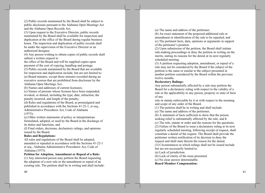(2) Public records maintained by the Board shall be subject to public disclosure pursuant to the Alabama Open Meetings Act and the Alabama Open Records Act.

(3) Upon request to the Executive Director, public records maintained by the Board shall be available for inspection and duplication at the office of the Board during regular business hours. The inspection and duplication of public records shall be under the supervision of the Executive Director or an authorized designee.

(4) Any person wishing to obtain copies of public records shall submit a written request to

the office of the Board and will be supplied copies upon payment of the cost of copying, handling and postage.

(5) Public records maintained by the Board that are available for inspection and duplication include, but are not limited to: (a) Board minutes, except those minutes recorded during an executive session that are prohibited from disclosure by the Alabama Open Meetings Act;

(b) Names and addresses of current licensees;

(c) Names of persons whose licenses have been suspended, revoked, or denied, including the type, date, infraction, the penalty incurred, and length of the penalty;

(d) Rules and regulations of the Board, as promulgated and published in accordance with the Sections 41-22-1, et seq., Administrative Procedures Act, Code of Alabama  $(1975)$ ;

(e) Other written statements of policy or interpretations formulated, adopted, or used by the Board in the discharge of its duties and functions; and

(f) Final orders, decisions, declaratory rulings, and opinions issued by the Board.

## **Rules and Regulations:**

All rules and regulations of the Board shall be adopted, amended or repealed in accordance with the Sections 41-22-1 et seq., Alabama Administrative Procedures Act, Code of Alabama (1975).

## Petition for Adoption, Amendment or Repeal of a Rule:

(1) Any interested person may petition the Board requesting the adoption of a new rule or the amendment or repeal of an existing rule. The petition shall be in writing and shall include: (a) The name and address of the petitioner;

(b) An exact statement of the proposed additional rule or amendment or identification of the rule to be repealed; and (c) The pertinent facts, data, opinions or arguments in support of the petitioner's position.

(2) Upon submission of the petition, the Board shall initiate rule-making proceedings or deny the petition in writing on the merits, stating its reasons for the denial at its next regularly scheduled meeting.

(3) A petition requesting adoption, amendment, or repeal of a rule may not be considered by the Board if the subject of the petition is the same or similar to the subject presented in another petition considered by the Board within the previous twelve months.

#### **Declaratory Rulings:**

Any person substantially affected by a rule may petition the Board for a declaratory ruling with respect to the validity of a rule or the applicability to any person, property or state of facts of any

rule or statute enforceable by it or with respect to the meaning and scope of any order of the Board.

(1) The petition shall be in writing and shall include:

(a) The name and address of the petitioner;

(b) A statement of facts sufficient to show that the person seeking relief is substantially affected by the rule; and 6

(c) The rule, statute or order and the reasons for the questions.

(2) Failure of the Board to issue a declaratory ruling at its next regularly scheduled meeting, following receipt of request, shall constitute a denial of the request. The Board shall provide the petitioner written notification of its decision to deny the request and shall state therein the reason for the denial.

(3) Circumstances in which rulings shall not be issued include but are not necessarily limited to:

(a) Lack of jurisdiction.

(b) Lack of clarity of the issue presented.

(c) No clear answer determinable.

**Board Member Compensation:**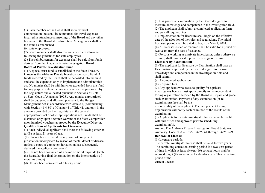(1) Each member of the Board shall serve without compensation, but shall be reimbursed for travel expenses incurred in attendance at meetings of the Board and any other business of the Board at its discretion. Mileage rates shall be the same as established

for state employees.

(2) Board members shall also receive a per diem allowance following the guidelines for state employees.

(3) The reimbursement for expenses shall be paid from funds derived from the Alabama Private Investigation Board.

#### **Board of Private Investigation Fund:**

(1) A special trust fund is established in the State Treasury known as the Alabama Private Investigation Board Fund. All funds received by the Board shall be deposited into the fund and shall be expended only to implement and administer this act. No monies shall be withdrawn or expended from this fund for any purpose unless the monies have been appropriated by the Legislature and allocated pursuant to Sections 34-27B-1, et. Seq., Code of Alabama (1975). Any monies appropriated shall be budgeted and allocated pursuant to the Budget Management Act in accordance with Article 4, (commencing) with Section 41-4-80) of Chapter 4 of Title 41, and only in the amounts provided by the Legislature in the general appropriations act or other appropriations act. Funds shall be disbursed only upon a written warrant of the State Comptroller upon itemized vouchers approved by the Executive Director.

## **Qualifications of Applicants for Licensure:**

(1) Each individual applicant shall meet the following criteria: (a) Be at least 21 years of age.

(b) Has not been declared by any court of competent jurisdiction incompetent by reason of mental defect or disease (unless a court of competent jurisdiction has subsequently declared the applicant competent).

(c) Has not been convicted of a crime of moral turpitude (with the Board having final determination on the interpretation of moral turpitude).

(d) Has not been convicted of a felony crime.

42

(e) Has passed an examination by the Board designed to measure knowledge and competence in the investigation field. (2) The applicant shall submit a completed application form and pay all required fees.

(3) Implementation for licensure shall begin on the effective date of the adoption of the rules and regulations. The initial licensure period shall be dated to begin on May 1, 2014. (4) All licenses issued or renewed shall be valid for a period of two years from the date of issuance.

(5) Persons working as a private investigator, unless otherwise exempt, shall have a valid private investigator license.

# **Licensure by Examination:**

(1) The applicant for licensure by Examination shall pass an Examination approved by the Board designed to measure knowledge and competence in the investigation field and shall submit:

(a) A completed application

(b) Required fees

(2) Any applicant who seeks to qualify for a private investigators license must apply directly to the independent testing organization selected by the Board to prepare and grade such examination. Payment of any examination (or reexamination) fee shall be the

responsibility of the applicant. The independent testing organization will notify each examinee of the results of the examination.

(3) Applicants for private investigator license must be on file with this office and approved prior to scheduling  $examination(s)$ .

Author: The Alabama Private Investigation Board Statutory Authority: Code of Ala. 1975, 34-25B-1 through 34-25B-29 **Renewal of License:** 

(1) Licensure periods:

The private investigator license shall be valid for two years. The continuing education earning period is a two-year period of time in which at least sixteen (16) contact hours shall be accrued (eight (8) hours in each calendar year). This is the time period of the current license.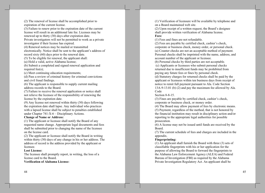(2) The renewal of license shall be accomplished prior to expiration of the current license.

(3) Failure to renew prior to the expiration date of the current license will result in an additional late fee. Licenses may be renewed up to thirty (30) days after expiration date. Private investigators will not be permitted to work as a private

investigator if their license has expired.

(4) Renewal notices may be mailed or transmitted

electronically. Notice shall be sent to the applicant's address of record sixty  $(60)$  days prior to the renewal date.

(5) To be eligible for renewal, the applicant shall:

(a) Hold a valid, active Alabama license;

(b) Submit a completed and signed renewal application and required fee $(s)$ ;

(c) Meet continuing education requirements;

(d) Pass a review of criminal history for criminal convictions and civil fraud findings.

 $(6)$  The applicant is responsible to supply current mailing address records to the Board.

(7) Failure to receive the renewal application or notice shall not relieve the licensee of the responsibility of renewing the license by the expiration date.

 $(9)$  Any license not renewed within thirty  $(30)$  days following the expiration date shall lapse. Any individual who practices with a lapsed license shall be subject to penalties established under Chapter  $741-X-6$  - Disciplinary Actions.

## **Change of Name or Address:**

(1) The applicant or licensee shall notify the Board of any requested name change. Appropriate legal documents and fees shall be submitted prior to changing the name of the licensee on the license card.

(2) The applicant or licensee shall notify the Board in writing within thirty (30) days of any change in his or her address. The address of record is the address provided by the applicant or licensee.

#### **Lost License:**

The licensee shall promptly report, in writing, the loss of a license card to the Board.

**Verification of Alabama License:** 

44

(1) Verification of licensure will be available by telephone and on a Board maintained web site.

(2) Upon receipt of a written request, the Board's designee shall provide written verification of Alabama license. Fees:

(1) Fees and fines are not refundable.

(2) Fees are payable by certified check, cashier's check, corporate or business check, money order, or personal check. (a) Counter checks are not an acceptable method of payment. Personal checks shall be imprinted with the name, address, and account number of the applicant or licensee.

(b) Personal checks by third parties are not acceptable.

(c) Applicants or licensees who submit personal checks returned due to insufficient funds may be prohibited from paying any future fees or fines by personal check.

(d) Statutory charges for returned checks shall be paid by the applicant or licensees within ten business days from receipt of notice to remit full payment pursuant to Ala. Code Section 13A-9-13.01 (b) (2) and pay the maximum fee allowed by Ala. Code

Section 8-8-15.

(3) Fines are payable by certified check, cashier's check, corporate or business check, or money order.

(4) The Board may allow payment of fees by electronic means.

(5) Payment, regardless of the method, that is not honored by the financial institution may result in disciplinary action and/or reporting to the appropriate legal authorities for possible prosecution.

(6) A license may not be issued until funds are received by the Board.

(7) The current schedule of fees and charges are included in the appendix.

## **Fingerprinting:**

 $(1)$  An applicant shall furnish the Board with three  $(3)$  sets of classifiable fingerprints with his or her application for the purpose of allowing the Board to forward the fingerprints to the Alabama Law Enforcement Agency (ALEA) and Federal Bureau of Investigation (FBI) as required by the Alabama Private Investigation Regulatory Act. An applicant shall be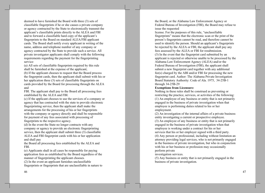deemed to have furnished the Board with three (3) sets of classifiable fingerprints if he or she causes a private company or agency contracted by the State to electronically transmit the applicant's classifiable prints directly to the ALEA and FBI and to forward a classifiable hard copy of the applicant's fingerprints to the Board on standard ALEA/FBI applicant cards. The Board shall notify every applicant in writing of the name, address and telephone number of any company or agency contracted by the State to provide such a service. All private investigator applicants shall comply with the following requirements regarding the payment for the fingerprinting service:

(a) All sets of classifiable fingerprints required by this rule shall be furnished at the expense of the applicant;

(b) If the applicant chooses to request that the Board process the fingerprint cards, then the applicant shall submit with his or her application three (3) sets of classifiable fingerprints on cards provided by the Board for processing through the ALEA and

FBI. The applicant shall pay to the Board all processing fees established by the ALEA and FBI.

(c) If the applicant chooses to use the services of a company or agency that has contracted with the state to provide electronic fingerprinting service, then the applicant shall make the arrangements for the processing of his or her fingerprints with the company or agency directly and shall be responsible for payment of any fees associated with processing of fingerprints to the respective agency.

(d) In the event the State no longer contracts with any company or agency to provide an electronic fingerprinting service, then the applicant shall submit three (3) classifiable ALEA and FBI fingerprint cards with his or her application and shall pay

the Board all processing fees established by the ALEA and FBI.

(e) Applicants shall in all cases be responsible for paying application fees as established by the Board regardless of the manner of fingerprinting the applicant chooses.

(2) In the event an applicant furnishes unclassifiable fingerprints or fingerprints that are unclassifiable in nature to the Board, or the Alabama Law Enforcement Agency or Federal Bureau of Investigation (FBI), the Board may refuse to issue the requested

license. For the purposes of this rule, "unclassifiable" fingerprints" means that the electronic scan or the print of the person's fingerprints cannot be read, and therefore cannot be used to identify the person. Should an applicant's fingerprints be rejected by the ALEA or FBI, the applicant shall pay any fees assessed by the ALEA or FBI for resubmission. (3) In the event that the fingerprint card submitted by an applicant is rejected or otherwise unable to be processed by the Alabama Law Enforcement Agency (ALEA) and/or the Federal Bureau of Investigation (FBI), the applicant shall submit a new fingerprint card together with any additional  $fee(s)$  charged by the ABI and/or FBI for processing the new fingerprint card. Author: The Alabama Private Investigation Board Statutory Authority: Code of Ala. 1975, 34-25B-1 through  $34-25B-29$ 

## **Exemptions from Licensure:**

Nothing in these rules shall be construed as preventing or restricting the practice, services, or activities of the following: (1) An employee of any business or entity that is not primarily engaged in the business of private investigation when that employee is performing duties related to his or her employment.

(2) An investigation of the internal affairs of a private business entity investigating a current or prospective employee. (3) An employee of any business or entity that is not primarily engaged in the business of private investigation when that employee is working under a contract for his or her services that his or her employer signed with a third party. (4) Any person or professional, including without limitation an attorney providing legal services, who is not primarily engaged in the business of private investigation, but who in conjunction with his or her business or profession may occasionally perform private

investigation services.

(5) Any business or entity that is not primarily engaged in the business of private investigation.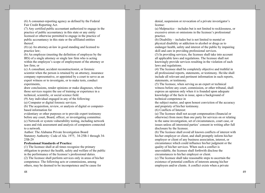(6) A consumer-reporting agency as defined by the Federal Fair Credit Reporting Act.

(7) Any certified public accountant authorized to engage in the practice of public accountancy in this state or any entity licensed or otherwise permitted to engage in the practice of public accountancy in this state or the affiliated entities thereof.

(8) (a) An attorney-at-law in good standing and licensed to practice law;

(b) An employee (meeting the definition of employee by the IRS) of a single attorney or single law firm who is acting within the employee's scope of employment of the attorney or law firm; or

(c) A consultant, accident reconstructionist, or forensic scientist when the person is retained by an attorney, insurance company representative, or appointed by a court to serve as an expert witness or to investigate, or to make tests, conduct experiments,

draw conclusions, render opinions or make diagnoses, where those services require the use of training or experience in a technical, scientific, or social science field.

(9) Any individual engaged in any of the following:

(a) Computer or digital forensic services.

(b) The acquisition, review, or analysis of digital or computerbased information for

evidentiary or other purposes or to provide expert testimony before any court, Board, officer, or investigating committee. (c) Network or system vulnerability testing, including network scans and risk assessment and analysis of computers connected

to a network.

Author: The Alabama Private Investigation Board Statutory Authority: Code of Ala. 1975, 34-25B-1 through 34-25B-29

#### **Professional Standards of Practice:**

(1) The licensee shall at all times recognize the primary obligation to protect the health, safety and welfare of the public in the performance of the licensee's professional duties.

(2) The licensee shall perform services only in areas of his/her competence. The following acts or commissions, among others, may be deemed to be incompetence and be cause for

denial, suspension or revocation of a private investigator's license:

(a) Malpractice – includes but is not limited to recklessness, or excessive errors or omissions in the licensee's professional practice.

(b) Disability – includes but is not limited to mental or physical disability or addiction to alcohol or drugs as to endanger health, safety and interest of the public by impairing skill and care in providing professional services.

(3) In providing services, the licensee shall take into account all applicable laws and regulations. The licensee shall not knowingly provide services resulting in the violation of such laws and regulations.

(4) The licensee shall be completely objective and truthful in all professional reports, statements, or testimony. He/she shall include all relevant and pertinent information in such reports, statements, or testimony.

(5) The licensee, when serving as an expert or technical witness before any court, commission, or other tribunal, shall express an opinion only when it is founded upon adequate knowledge of the facts in issue, upon a background of technical competence in

the subject matter, and upon honest conviction of the accuracy and propriety of his/her testimony.

(6) Conflicts of Interest:

(a) The licensee shall not accept compensation (financial or otherwise) from more than one party for services on or relating to the same investigation, set of circumstances, court case, or issues unless all interested parties' consent in writing after full disclosure by the licensee.

(b) The licensee shall avoid all known conflicts of interest with his/her employer or client, and shall promptly inform his/her employer or client of any business association, interest, or circumstance which could influence his/her judgment or the quality of his/her services. When such a conflict is unavoidable, the licensee shall forthwith disclose the circumstances to his/her employer or client.

(c) The licensee shall take reasonable steps to ascertain the existence of potential conflicts of interests among his/her employers and/or clients. A conflict exists when a private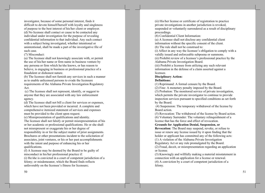investigator, because of some personal interest, finds it difficult to devote himself/herself with loyalty and singleness of purpose to the best interest of his/her client or employer. (d) No licensee shall contact or cause to be contacted any individual under investigation for the purpose of revealing confidential information to that individual. Any such contact with a subject being investigated, whether intentional or unintentional, shall be made a part of the investigative file of such case.

(7) Misconduct:

(a) The licensee shall not knowingly associate with, or permit the use of his/her name or firm name in business venture by any persona or firm which he/she knows, or has reason to believe, is engaging in business or professional practice of a fraudulent or dishonest nature.

(b) The licensee shall not furnish any services in such a manner as to enable unlicensed persons to evade the licensure requirements of the Alabama Private Investigation Regulatory Act.

(c) The licensee shall not represent, identify, or suggest to anyone that they are associated with any law enforcement agency.

(d) The licensee shall not bill a client for services or expenses. which have not been provided or incurred. A complete and comprehensive itemized statement of services and expenses must be provided to the client upon request.

(e) Misrepresentation of qualifications and identity.

The licensee shall not falsify or permit misrepresentation of his or her academic or professional qualifications. He or she shall not misrepresent or exaggerate his or her degree of responsibility in or for the subject matter of prior assignments. Brochures or other presentations incident to the solicitation of associates, joint ventures, or his or her past accomplishments with the intent and purpose of enhancing his or her qualifications.

(f) A licensee may be deemed by the Board to be guilty of misconduct in his/her professional practice if: (i) He/she is convicted in a court of competent jurisdiction of a felony; or misdemeanor, which the Board finds reflects unfavorably on the licensee's fitness for licensure;

(ii) His/her license or certificate of registration to practice private investigations in another jurisdiction is revoked, suspended or voluntarily surrendered as a result of disciplinary proceedings.

(8) Confidential Client Information:

(a) A licensee shall not disclose any confidential client information without the specific consent of the client. (b) The rule shall not be construed to:

(i) Affect in any way the licensee's obligation to comply with a validly issued and enforceable subpoena or summons.

(ii) Prohibit review of a licensee's professional practice by the Alabama Private Investigation Board.

(iii) Prohibit a licensee from utilizing any such relevant information in the defense of a claim asserted against a licensee.

#### **Disciplinary Action:**

## **Definitions:**

(1) Reprimand: A formal censure by the Board.

(2) Fine: A monetary penalty imposed by the Board.

(3) Probation: The monitored service of private investigation, which permits the private investigator to continue to provide inspection services pursuant to specified conditions as set forth by the Board.

(4) Suspension: The temporary withdrawal of the license by Board action.

(5) Revocation: The withdrawal of the license by Board action. (6) Voluntary Surrender: The voluntary relinquishment of a license that has the force and effect of revocation.

**Grounds for Application Denial, Suspension, or** 

**Revocation:** The Board may suspend, revoke, or refuse to issue or renew any license issued by it upon finding that the holder or applicant has committed any of the following acts: (1) A violation of the Alabama Private Investigation

Regulatory Act or any rule promulgated by the Board. (2) Fraud, deceit, or misrepresentation regarding an application

or license.

(3) Knowingly and willfully making a material misstatement in connection with an application for a license or renewal. (4) A conviction by a court of competent jurisdiction of a felony.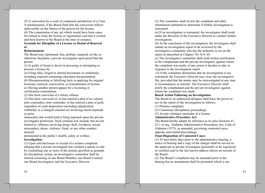(5) A conviction by a court of competent jurisdiction of a Class A misdemeanor, if the Board finds that the conviction reflects unfavorably on the fitness of the person for the license.

(6) The commission of any act which would have been cause for refusal to issue the license or registration card had it existed and been known to the Board at the time of issuance.

## **Grounds for Discipline of a License or Denial of Renewal**  $\mathbf{or}$

## **Reinstatement:**

The Board may reprimand, fine, probate, suspend, revoke or otherwise discipline a private investigator upon proof that the person:

(1) Is guilty of fraud or deceit in procuring or attempting to procure a license by:

(a) Filing false, forged or altered documents or credentials, including required continuing education documentation.

(b) Misrepresenting or falsifying facts in applying for original licensure, renewal, reactivation, or reinstatement of license. (c) Having another person appear for a licensing or certification examination.

(2) Has been convicted of a felony offense.

(3) Has been convicted of, or has entered a plea of no contest, nolo contendere, nolo contender, or has entered a plea of guilt, regardless of court disposition (including adjudication withheld), to a charged criminal act involving moral turpitude or gross

immorality that would tend to bring reproach upon the private investigator profession. Such criminal acts include, but are not limited to, offenses involving drugs, theft, lewdness, sexual misconduct, abuse, violence, fraud, or any other conduct deemed

detrimental to the public's health, safety or welfare. **Investigation:** 

(1) Upon self-disclosure or receipt of a written complaint alleging that a private investigator has violated a statute or rule by committing one or more of the actions specified as grounds for disciplinary action, an investigative committee shall be formed consisting of one Board Member, one Board Counsel, one Board Investigator, and the Executive Director.

52

(2) The committee shall review the complaint and other information submitted to determine if further investigation is warranted.

(a) If an investigation is warranted, the investigator shall work under the direction of the Executive Director to conduct further investigation.

(b) At the conclusion of the investigation, the investigator shall submit an investigation report to be reviewed by the investigative committee who has the authority to act on the report as described in Chapter 741-X-6-05.

(c) The investigative committee shall send written notification to the complainant and the private investigator, against whom the complaint was made, of any action it decides to take in response to the investigation report.

(3) If the committee determines that an investigation is not warranted, the Executive Director may close the investigative file, provided that the matter may be reinvestigated at any time if circumstances so warrant. The Executive Director shall notify the complainant and the private investigator, against whom the complaint was made.

## **Board Action Following an Investigation:**

The Board or its authorized designee shall have the power to act on the report of the investigation as follows:

(1) Dismiss complaint.

(2) Commence disciplinary proceedings.

(3) Accept voluntary surrender of a license.

## **Administrative Procedure Act:**

The Board hereby adopts by reference as its rules Sections 41-22-1 et seq., Alabama Administrative Procedures Act, Code of Alabama (1975), as amended, governing contested cases, appeals, and related proceedings.

# **Final Disposition of Contested Cases:**

(1) At least thirty days prior to the administrative hearing, a notice of hearing and a copy of the charges shall be served on the applicant or private investigator personally or by registered or certified mail to the last known address shown on records of the Board.

(2) The Board's complaint may be amended prior to the hearing but no amendment shall be permitted which is not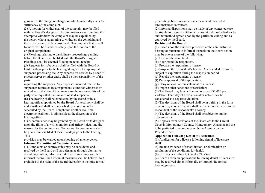germane to the charge or charges or which materially alters the sufficiency of the complaint.

(3) A motion for withdrawal of the complaint may be filed with the Board's designee. The circumstances surrounding the attempt to withdraw the complaint may be explained by the person who is attempting to withdraw the complaint and the explanation shall be considered. No complaint that is well founded will be dismissed solely upon the motion of the original complainant.

(4) Pleadings relating to disciplinary proceedings pending before the Board shall be filed with the Board's designee. Pleadings shall be deemed filed upon actual receipt.

(5) Requests for subpoenas shall be filed with the Board at least ten days prior to the hearing along with the appropriate subpoena-processing fee. Any expense for service by a sheriff, process server or other entity shall be the responsibility of the party

requesting the subpoena. Any expenses incurred relative to subpoenas requested by a respondent, either for witnesses or related to production of documents are the responsibility of the party who requested the issuance of said subpoena.

(6) The hearing shall be conducted by the Board or by a hearing officer appointed by the Board. All testimony shall be under oath and shall be transcribed by a court reporter scheduled by the Board. Telephonic or other real-time electronic testimony is admissible at the discretion of the hearing officer.

(7) A continuance may be granted by the Board or its designee upon the filing of a written motion and affidavit detailing the reasons for the continuance. No motion for continuance shall be granted unless filed at least five days prior to the hearing. **This** 

provision may be waived upon showing of an emergency.

# **Informal Disposition of Contested Cases:**

(1) Complaints or controversies may be considered and resolved by the Board or Board designee through alternative dispute resolution, informal conferences, meetings, or other informal means. Such informal measures shall be held without prejudice to the right of the Board thereafter to institute formal

proceedings based upon the same or related material if circumstances so warrant.

(2) Informal dispositions may be made of any contested case by stipulation, agreed settlement, consent order or default or by another method agreed upon by the parties in writing and as approved by the Board.

## **Decisions of the Board:**

(1) Based upon the evidence presented at the administrative hearing or pursuant to informal disposition the Board action may be one or more of the following:

(a) Dismiss the complaint.

(b) Reprimand the respondent.

(c) Probate the respondent's license.

(d) Suspend the respondent's license. A suspended license is subject to expiration during the suspension period.

(e) Revoke the respondent's license.

(f) Deny approval of the application.

(g) Deny renewal or reinstatement of a license.

(h) Impose other sanctions or restrictions.

(2) The Board may levy a fine not to exceed \$1,000 per violation. Each day of a violation after notice may be considered as a separate violation.

(3) The decisions of the Board shall be in writing in the form of an order, a copy of which shall be mailed or delivered to the respondent or the respondent's attorney.

(4) The decisions of the Board shall be subject to public dissemination.

(5) Appeals from decisions of the Board are to the Circuit Court in Montgomery County, Montgomery, Alabama and are to be perfected in accordance with the Administrative Procedure Act.

**Application Following Denial of Licensure:** 

(1) Application for a license following denial of licensure shall:

(a) Include evidence of rehabilitation, or elimination or resolution of the conditions for denial.

(b) Be made according to Chapter 741-X-6.

(2) Board action on applications following denial of licensure may be resolved either informally or through the formal hearing process.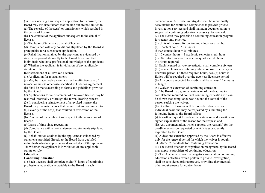(3) In considering a subsequent application for licensure, the Board may evaluate factors that include but are not limited to: (a) The severity of the  $act(s)$  or omission(s), which resulted in the denial of license.

(b) The conduct of the applicant subsequent to the denial of license.

(c) The lapse of time since denial of license.

(d) Compliance with any conditions stipulated by the Board as prerequisite for a subsequent application.

(e) Rehabilitation attained by the applicant as evidenced by statements provided directly to the Board from qualified individuals who have professional knowledge of the applicant. (f) Whether the applicant is in violation of any applicable statute or rule.

## **Reinstatement of a Revoked License:**

(1) Application for reinstatement:

(a) May be made twelve months after the effective date of revocation unless otherwise specified in Order or Agreement. (b) Shall be made according to forms and guidelines provided by the Board.

(2) Applications for reinstatement of a revoked license may be resolved informally or through the formal hearing process. (3) In considering reinstatement of a revoked license, the

Board may evaluate factors that include but are not limited to: (a) Severity of the act(s) that resulted in revocation of the license.

(b) Conduct of the applicant subsequent to the revocation of license.

(c) Lapse of time since revocation.

(d) Compliance with all reinstatement requirements stipulated by the Board.

(e) Rehabilitation attained by the applicant as evidenced by statements provided directly to the Board from qualified individuals who have professional knowledge of the applicant. (f) Whether the applicant is in violation of any applicable statute or rule.

#### **Education**

### **Continuing Education:**

 $(1)$  Each licensee shall complete eight  $(8)$  hours of continuing professional education acceptable to the Board in each

calendar year. A private investigator shall be individually accountable for continued competence to provide private investigation services and shall maintain documentation to support all continuing education necessary for renewal. (2) The Board may prescribe a continuing education program

for reentry into practice.

(3) Units of measure for continuing education shall be:

(a) 1 contact hour = 50 minutes

(b) 0.5 contact hour =  $25$  minutes

(c) 15 contact hours = 1 academic semester credit hour

(d) 10 contact hours  $= 1$  academic quarter credit hour (4) Hours required.

(a) Each licensed private investigator shall complete sixteen  $(16)$  contact hours of continuing education over the two-year licensure period. Of these required hours, two (2) hours in Ethics will be required over the two-year licensure period. (b) Any course accepted for credit shall be at least 25 minutes in length.

(5) Waiver or extension of continuing education.

(a) The Board may grant an extension of the deadline to complete the required hours of continuing education if it can be shown that compliance was beyond the control of the person seeking the waiver.

(b) Deadline extensions will be considered only on an individual basis and may be requested by submitting the following items to the Board office:

(i) A written request for a deadline extension and a written and signed explanation of the reason for the request; and (ii) Any documentation, which supports the reason(s) for the deadline extension requested or which is subsequently requested by the Board.

(c) A deadline extension approved by the Board is effective only for the renewal period for which the waiver is sought. 741-X-7-.02 Standards for Continuing Education

(1) The Board or another organization recognized by the Board may approve providers of continuing education.

(2) The Alabama Private Investigators Association continuing education activities, which pertain to private investigation, shall be considered prior approved, providing they meet all other requirements for contact hours.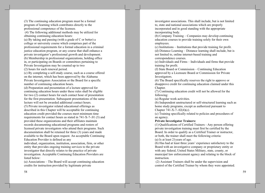(3) The continuing education program must be a formal program of learning which contributes directly to the professional competence of the licensee.

(4) The following additional methods may be utilized for obtaining continuing education hours:

(a) By taking and passing (with a grade of  $C$  or better) a college or university course which comprises part of the professional requirements for a formal education in a criminal justice education program, or any course that shall enhance a private investigator's professional growth and development. (b) Membership in professional organizations, holding office in, or participating on Boards or committees pertaining to Private Investigation may be counted up to two

(2) hours for each renewal period.

(c) By completing a self-study course, such as a course offered on the internet, which has been approved by the Alabama Private Investigators Association or the Board for a specific number of continuing education hours.

(d) Preparation and presentation of a lecture approved for continuing education hours under these rules shall be eligible for two (2) contact hours for each contact hour of presentation for the first presentation. Subsequent presentations of the same lecture will not be awarded additional contact hours.

(5) Private investigator related educational offerings as described in this Chapter will be acceptable for continuing education credit provided the courses meet minimum time requirements for contact hours as stated in 741-X-7-.01 (3) and provided these organizations and their affiliates maintain records documenting educational programs and rosters of licensed private investigators who attend their programs. Such documentation shall be retained for three (3) years and made available to the Board upon request. An acceptable Continuing Education Provider is defined as any

individual, organization, institution, association, firm, or other entity that provides ongoing training services to the private investigator that directly relates to the practice of private investigation. Acceptable Continuing Education Providers are listed below:

(a) Associations – The Board will accept continuing education credits for instruction provided by legitimate private

investigator associations. This shall include, but is not limited to, state and national associations which are properly incorporated and in good standing with the appropriate incorporating body.

(b) Company Training – Companies may develop continuing education courses to provide training solely for their own employees.

 $(c)$  Institutions – Institutions that provide training for profit. (d) Distance Learning – Distance learning shall include, but is not limited to, online internet-based training and correspondence courses.

(e) Individuals and Firms – Individuals and firms that provide training for profit.

(f) State Board or Commission – Continuing Education approved by a Licensure Board or Commission for Private Investigators.

(6) The Board specifically reserves the right to approve or disapprove credit for continuing education claimed under this Chapter.

(7) Continuing education credit will not be allowed for the following:

(a) Regular work activities.

(b) Independent unstructured or self-structured learning such as home study programs, except as authorized pursuant to Chapter  $741-X-7-.02(4)(c)$ .

(c) Training specifically related to policies and procedures of an agency.

#### **Private Investigator Trainers:**

(1) Qualifications of Certified Trainers - Any person offering private investigation training must first be certified by the Board. In order to qualify as a Certified Trainer or instructor, or both, the trainer shall meet the following criteria: (a) Is at least 21 years of age.

(b) Has had at least three years' experience satisfactory to the Board with an investigative company or proprietary entity or with any federal, United States Military, state, county, or municipal law enforcement agency and relating to the block of instruction.

(2) Assistant Trainers shall be under the supervision and control of the Certified Trainer by whom they were appointed.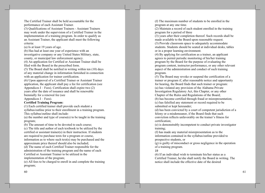The Certified Trainer shall be held accountable for the performance of each Assistant Trainer.

(3) Oualifications of Assistant Trainers - Assistant Trainers may work under the supervision of a Certified Trainer in the implementation of a training program. In order to qualify as an Assistant Trainer, the applicant shall meet the following criteria:

(a) Is at least 19 years of age.

(b) Has had at least one year of experience with an investigative company or any United States Military, state, county, or municipal law enforcement agency.

(4) An application for Certified or Assistant Trainer shall be filed with the Board in the prescribed form.

(5) The Board shall be notified in writing within ten (10) days of any material change in information furnished in connection with an application for trainer certification.

(6) Upon approval of a Certified Trainer or Assistant Trainer application, the applicant shall pay a fee for certification (see Appendices I – Fees). Certification shall expire two  $(2)$ years after the date of issuance and shall be renewable biennially for a renewal fee (see

Appendices  $I - Fees$ ).

## **Certified Training Program:**

(1) Each certified trainer shall provide each student a syllabus/outline prior to their enrollment in a training program. This syllabus/outline shall include:

(a) the number and type of course(s) to be taught in the training program;

(b) The amount of time to be devoted to each course;

(c) The title and author of each textbook to be utilized by the certified or assistant trainer(s) in their instruction. If students are required to purchase texts for a program or course, information as to where such text(s) may be purchased and the approximate price thereof should also be included;

(d) The name of each Certified Trainer responsible for the administration of the training program and the name of each Certified or Assistant Trainer to be utilized in the implementation of the program;

(e) All fees to be charged to enroll in and complete the training program;

(f) The maximum number of students to be enrolled in the program at any one time.

(2) Maintain a record of each student enrolled in the training program for a period of three

(3) years after their completion thereof. Such records shall be made available to the Board upon reasonable request. (3) Provide classroom space to adequately accommodate students. Students should be seated at individual desks, tables or in a proper learning environment.

 $(4)$  By applying for certification as a trainer, an applicant agrees to permit periodic monitoring of his/her training program by the Board for the purpose of evaluating the program content, instructor performance, or any other relevant aspect of the administration and conduct of such training program.

(5) The Board may revoke or suspend the certification of a trainer or program if, after reasonable notice and opportunity for hearing, the Board finds that such trainer or program: (a) has violated any provision of the Alabama Private Investigation Regulatory Act, this Chapter, or any other Chapter of the Rules and Regulations of the Board;

(b) has become certified through fraud or misrepresentation; (c) has falsified any statement or record required to be submitted or kept hereunder;

(d) has been convicted by a court of competent jurisdiction of a felony or a misdemeanor, if the Board finds that such conviction reflects unfavorably on the trainer's fitness for certification;

(e) is demonstrably incompetent to conduct private investigator training;

(f) has made any material misrepresentation as to the information contained in the syllabus/outline provided to prospective students, or

 $(g)$  is guilty of misconduct or gross negligence in the operation of a training program.

## 19

(6) If an individual wish to terminate his/her status as a Certified Trainer, he/she shall notify the Board in writing. The notice shall include the effective date of the desired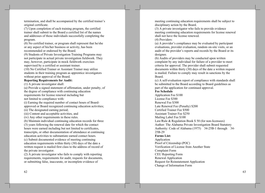termination, and shall be accompanied by the certified trainer's original certificate.

(7) Upon completion of each training program, the certified trainer shall submit to the Board a certified list of the names and addresses of those individuals successfully completing the program.

(8) No certified trainer, or program shall represent that he/she or any aspect of his/her business or activity, has been recommended or endorsed by the Board.

(9) Students of Private Investigation Training Programs may not participate in actual private investigation fieldwork. They may, however, participate in mock fieldwork exercises supervised by a certified or assistant trainer.

(10) No Certified Trainer or Assistant Trainer may utilize students in their training program as apprentice investigators without prior approval of the Board.

**Reporting Requirements for Audit:** 

(1) A private investigator shall:

(a) Provide a signed statement of affirmation, under penalty, of the degree of compliance with continuing education requirements for license renewal including but not limited to compliance with:

(i) Earning the required number of contact hours of Boardapproved or Board recognized continuing education activities; (ii) The designated earning period;

(iii) Content and acceptable activities, and

(iv) Any other requirements in these rules.

(b) Maintain individual continuing education records for three

(3) years following the renewal date for which the contact hours were earned including but not limited to certificates, transcripts, or other documentation of attendance at continuing education activities to substantiate earned contact hours. (c) Submit documented evidence of meeting continuing education requirements within thirty (30) days of the date a written request is mailed first class to the address of record of

the private investigator. (2) A private investigator who fails to comply with reporting

requirements, requirements for audit, requests for documents, or submitting false, inaccurate, or incomplete evidence of

62

meeting continuing education requirements shall be subject to disciplinary action by the Board.

(3) A private investigator who fails to provide evidence meeting continuing education requirements for license renewal shall not have the license renewed.

(4) Providers:

(a) A provider's compliance may be evaluated by participant evaluations, provider evaluation, random on-site visits, or an audit of the provider's reports and records by the Board or its designee.

(b) Audits of providers may be conducted upon written complaint by any individual for failure of a provider to meet criteria for approval. The provider shall submit requested documents within thirty (30) days of the date a written request is mailed. Failure to comply may result in sanctions by the Board.

(c) A self-evaluation report of compliance with standards shall be submitted to the Board according to Board guidelines as part of the application for continued approval.

**Fee Schedule** 

Application Fee \$100 License Fee \$300 Renewal Fee \$300 Late Renewal Fee (Penalty) \$200 Certified Trainer Fee \$500 **Assistant Trainer Fee \$250** Mailing Label Fee \$100 Law/Rule & Regulation Book \$50 (for non-licensees) Author: The Alabama Private Investigation Board Statutory Authority: Code of Alabama (1975) 34-25B-1 through 34-25B-29 **Forms List:** Application Proof of Citizenship (POC) Verification of License from Another State Complaint Form **CEU** Reporting Form Renewal Application **Request for Reinstatement Application** 

Change of Information Form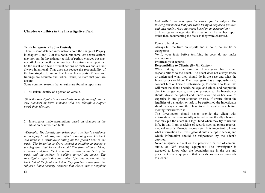# **Chapter 6 - Ethics in the Investigative Field**

#### Truth in reports: (By Jim Casteel)

There is some detailed information about the charge of Perjury in chapters 3 and 19 of this book, but some less severe actions may not put the Investigator at risk of perjury charges but may nevertheless be unethical in practice. An untruth in a report can be the result of a few different actions or mistakes and are not always intentional. That does not reduce the responsibility of the Investigator to assure that his or her reports of facts and findings are accurate and, when unsure, to state that you are unsure.

Some common reasons that untruths are found in reports are:

1. Mistaken identity of a person or vehicle.

(It is the Investigator's responsibility to verify through tag or VIN numbers or have someone who can identify a subject verify their identity.)

2. Investigator made assumptions based on changes in the situation or unverified facts.

(Example: The Investigator drives past a subject's residence in an injury fraud case, the subject is standing near his truck and there is a lawnmower sitting on the ground next to the truck. The Investigator drove around a building to access a parking area that he or she could film from without risking exposure and finds the lawnmower is now in the bed of the truck and the subject is walking toward the house. The Investigator reports that the subject lifted the mower into the truck but at the final court date they produce video from the subject's home security cameras that shows that a neighbor

had walked over and lifted the mower for the subject. The Investigator missed that part while trying to acquire a position and then made a false statement based on an assumption.) 3. Investigator exaggerates the situation in his or her report rather than documenting the facts as they were observed.

#### Points to be taken:

Always tell the truth on reports and in court, do not lie or exaggerate.

Verify your facts before testifying in court do not make assumptions.

Proofread your reports.

**Responsibility to Clients:** (By Jim Casteel)

When taking in a case an Investigator has certain responsibilities to the client. The client does not always know or understand what they should do in the case and what the Investigator should do. The Investigator has a responsibility to conduct him or herself professionally, to commit to tasks that will meet the client's needs, be legal and ethical and not put the client in danger legally, civilly or physically. The Investigator should always be upfront and honest about his or her level of expertise in any given situation or task. If unsure about the legalities of a situation or task to be performed the Investigator should always advise the client to seek legal advice before moving forward with it.

The Investigator should never provide the client with information that is unlawfully obtained or unethically obtained, that may put the client in a legal bind when they try to use the info. In that, I am speaking of records such as phone records, medical records, financial records etc. It is important to know what information the Investigator should attempt to access, and which information should be subpoenaed by the client's attorney.

Never misguide a client on the placement or use of camera, audio, or GPS tracking equipment. The Investigator is expected to know what the boundaries are in the use and placement of any equipment that he or she uses or recommends to a client.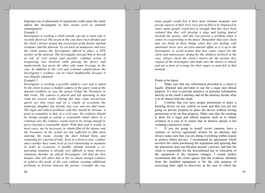Improper use or placement of equipment could cause the client and/or the Investigator to face severe civil or criminal consequences.

#### Example 1.

Investigator is working a child custody case for a client who is recently divorced. The assets in the case have been divided and the client's former spouse has possession of the former marital residence and the minivan. To cut back on manpower and save the client money the Investigator offered to place a GPS tracker on the minivan. The Investigator just put him or herself at risk of civil action and possibly criminal action if trespassing was involved while placing the device and inadvertently has given the other side some leverage in the case. In addition to the civil and criminal complications the Investigator's evidence can be ruled inadmissible because it was illegally obtained.

Example 2.

Investigator is working a possible adultery case and is asked by the client to place a hidden camera in the guest room of the marital residence in case the spouse brings the Paramore in that room. The camera is placed and left operating in that room for several weeks. During this time, some out-of-town guests use that room and on a couple of occasions the underage daughter has friends stay over and use that room. The legal and ethical problems with this should be obvious. A point to remember is that, in a civil case, the evidence should be strong enough to satisfy a reasonable mind where in a criminal case the evidence would need to be strong enough to prove beyond a reasonable doubt. With that said it would, in most cases, not be necessary to obtain film of the spouse and the Paramore in the actual act but sufficient to film them entering the room, closing the door behind them, and remaining for a period of time. Even in a divorce case, a father and a mother have some level of civil relationship to maintain in order to co-parent. A healthy attitude towards a coparenting situation is already very difficult in many divorce situations therefor an ethical Investigator will find the best balance that will allow him or her to obtain enough evidence to achieve the goals of the case without creating additional problems or friction between the parties. Consider the way

violated that they will develop a deep and lasting hatred towards the spouse, and this can present a problem when it comes to co-parenting in the future. Remember that your client may not think of these things when they are dealing with emotional stress over an extra marital affair so it is up to the Investigator to avoid actions that may cause regret for the client and unnecessary drama for the children involved in the case. Always check the client's motive for the actions they request of the investigator and make sure the motive is ethical and not a form of revenge for their anger or pain felt at that moment. Points to be taken:

Make sure that any information provided to a client is  $\mathbf{1}$ . legally obtained and provided to use for a legal and ethical purpose. It's best to provide sensitive or personal information directly to the client's attorney and let the attorney decide what is to be shared with the client.

many people would feel if their most intimate moments and

private aspects of their lives were put on film to be displayed in

court; many people would feel so strongly that they have been

Confirm that you have proper permission to place a  $2.$ tracking device on any vehicle or asset and that you are not going on private property to place the device without having permission to be on that property. Make sure that the tracking is done for a legal and ethical purpose such as to obtain evidence in a case or to assure that an abusive spouse is not violating a protective order.

 $3.$ If you are going to install covert cameras, have a contract or service agreement written by an attorney and always make sure that you are doing everything within reason to protect others privacy. I recommend an agreement which involves the client purchasing the equipment and agreeing that the placement does not threaten anyone's privacy and that the client is responsible for the discontinued use or relocation of the equipment if the situation changes. I would further recommend that the client agrees that the evidence obtained from the installed equipment is for the sole purpose of exercising their right to discovery in the case in which the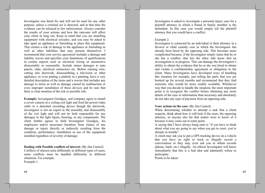Investigator was hired for and will not be used for any other purpose, unless a criminal act is detected, and at that time the evidence can be released to law enforcement. Always consider the results of your actions and how the outcome will affect your client in long run. Keep in mind that you are installing equipment with electrical circuitry, and you may be asked to take apart an appliance or furnishing to place this equipment. This creates a risk of damage to the appliance or furnishing as well as other liabilities that may present themselves. I recommend that your service agreement includes a damage and liability wavier and specifies your limitations of qualifications in certain aspects such as electrical wiring or automotive disassembly or reassembly. Include minor damages to auto panels, clips, electrical connectors etc. Before running wire, cutting into ductwork, disassembling a television or other appliance, or even putting a pinhole in a painting, have a very detailed description of the items and a wavier that includes any damage to items as well as damage caused by malfunction or even improper installation of these devices and be sure that there is clear mention of the risk or possible risk.

**Example:** Investigator Goodguy, and company agree to install a covert camera in a ceiling exit light and feed the power/video cable to a detached recording device though the ductwork, investigator is not an expert in the assembly and disassembly of the exit light and will not be held responsible for any damages to the light figure, housing, or any components. The client further agrees to hold Investigator Goodguy, his employees and/or associates harmless from claims of any damage or injury directly or indirectly resulting from the condition, performance, installation or use of the equipment installed regardless of severity of damage.

**Dealing with Possible conflicts of interest:** (By Jim Casteel) Conflicts of interest arise differently in different types of cases; some conflicts must be handled differently in different situations. For example. Example 1.

Investigator is asked to investigate a personal injury case for a plaintiff attorney in which a friend or family member is the defendant. In this case you would simply tell the plaintiff attorney that you would have a conflict.

#### Example 2.

Investigator is contacted by an individual or their attorney in a divorce or child custody case in which the Investigator has already been hired by the opposing side. This becomes more complicated because, if the Investigator simply states that he or she has a conflict, that lets the other side know that an investigation is in progress. This can damage the Investigator's ability to obtain the evidence that he or she was hired to obtain and violate a confidentiality agreement or obligation to the client. Many Investigators have developed ways of handling this situation for example, just telling the party that you are booked up for several months and recommend that they find someone who would be more readily available. Whichever way that you decide to handle the situation; the most important point is to recognize the conflict before obtaining any more details of the case or information than necessary and absolutely do not take any type of payment from an opposing side.

#### Your actions in the case: (By Jim Casteel)

When determining whether to attempt a task that a client requests, think about how it will look if the court, the opposing attorney, or anyone else for that matter were to know of it because it may come out at some point.

A saying that I have always hung onto is "if you have to think about what you are going to say when you get to court, you're already in trouble".

A client may ask you to put a GPS tracking device on a vehicle that you have no right to track or illegally record a conversation or they may even ask you to obtain records (phone, bank, etc.) illegally. An ethical Investigator will know immediately that this is a bad idea and adamantly refuse to participate.

Points to be taken: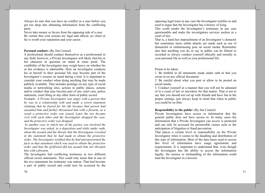Always be sure that you have no conflict in a case before you get too deep into obtaining information from the conflicting party.

Never take money or favors from the opposing side of a case. Be certain that your actions are legal and ethical, no client or fee is worth your reputation and your career.

#### **Personal conduct:** (By Jim Casteel)

A professional should conduct themselves as a professional in any field; however, a Private Investigator will likely find his or her character in question on stand at some point. The credibility of the Investigator may weigh heavy on whether his or her evidence is admissible. How an investigator conducts his or herself in their personal life may become part of the Investigator's resume on stand during a trial. It is important to consider your conduct when doing anything that may be made publicly available. That includes postings on any type of social media or networking sites, actions in public places, actions and/or conduct that may become part of any court case, police statement, court filing or any other form of public record.

Example: A Private Investigator was angry with a person that he was in a relationship with and made a sworn statement claiming that he feared for his life because that person had assaulted him and further threatened him with a firearm, as a result a protective order was issued. Later the two became civil with each other and the Investigator dropped the case, and the protective order was dropped.

In another case in which one of the parties was involved the Investigator was asked, in a deposition and while under oath, about the assault and the threats that the Investigator revealed in the statement that he had made to obtain the protective order. The Investigator testified that he had misrepresented the facts in that statement which was used to obtain the protective order and that the girlfriend did not assault him nor threaten him with a firearm.

The Investigator had conflicting testimony in two different official sworn statements. This could only mean that in one of the two statements his testimony was untrue. That had become a part of public record and could now be accessed by the

opposing legal team in any case the Investigator testifies in and used to argue that the Investigator has a history of lying. This could render the Investigator's testimony in any case questionable and make the investigators services useless in a court of law.

That is, a hard-fact impeachment of an Investigator's character but sometimes more subtle attacks are made such as use of distasteful or embarrassing post on social media. Remember also that anything you do or say in public can be filmed or recorded so always conduct yourself ethically and morally in your personal life as well as your professional life.

Points to be taken:

1. Be truthful in all statements made under oath or that you swear to on any official document.

2. Be careful about what you post or allow to be posted on social media.

3. Conduct yourself in a manner that you will not be ashamed of in a court of law or anywhere for that matter. That is not to say that you should not cut up with friends and have fun in the proper settings, just always keep in mind that when in public you could be on film.

### **Responsibility to the public:** (By Jim Casteel)

Private Investigators have access to information that the general public does not have access to. In many cases the information that a Private Investigator can access is protected and can only be accessed for permissible causes such as the anticipation of litigation or fraud prevention.

That places a certain level or responsibility on the Private Investigator when it comes to the handling and distribution of this type of information. Most of the data bases used to access this level of information have usage agreements and requirements. It is important to understand that, even though the Investigator has the ability to access the information legally, the misuse or mishandling of the information could land the Investigator in a lawsuit.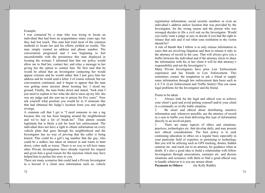#### Example:

I was contacted by a man who was trying to locate an individual that had been an acquaintance many years ago, but they had lost touch. This man had tried most of the common methods to locate her and his efforts yielded no results. The man simply wanted an address and phone number. The conversation progressed and I was beginning to feel uncomfortable with the persistence this man displayed in locating the woman; I informed him that our policy would allow me to find her, contact her, and relay a message to her giving her the option to contact him. He first said that he would be afraid that an Investigator contacting her would appear extreme and he would rather that I just gave him her address and he would send a letter. I of course refused, but our conversation continued, and it began to appear that the man was getting more anxious about locating her. I stood my ground. Finally, the man broke down and stated, "look man I just need to explain to her what she did to mess up my life; she was my judge and she sent me to prison for five years". Now ask yourself what position you would be in if someone like that had obtained the Judge's location from you and sought revenge.

A common call that I get is "I need someone to run a tag because this car has been hanging around the neighborhood and we've had a lot of break-ins". That almost sounds legitimate but is likely a job for local law enforcement. The individual does not have a right to obtain information on every vehicle plate that goes through his neighborhood and the Investigator has no way of proving that the caller is being honest. This could be a girl's tag number that the guy, who could be a stalker, has taken an interest in and wants to hunt down, cyber stalk or worse. There is no way to tell how many other Private Investigators have already rejected his request and given him a good reason for the rejection which may have helped him to perfect his story to you.

There are many scenarios that could land a Private Investigator in a lawsuit if a client uses information such as, vehicle

registration information, social security numbers or even an individual's address and/or location that was provided by the Investigator, for the wrong reason and the person who was wronged decides to file a civil suit on the Investigator. Would you really want a judge or jury to decide if you had the right to release that info and if not what your restitution to the victim should be?

A rule of thumb that I follow is to only release information in cases that are involving litigation and then to release it only to the attorney of record in the case. That will always give you a buffer between the individual and if the attorney elects to share the information with his or her client it will be that attorney's responsibility and not the Investigator's.

Many Private Investigators have prior Law Enforcement experience and has friends in Law Enforcement. This sometimes creates the temptation to ask a friend to supply some information through law enforcement data basis such as L.E.T.S. (Law Enforcement and Traffic Safety) This can cause legal problems for the Investigator and the friend.

Points to be taken:

Always look for the legal and ethical way to achieve your client's goal and avoid putting yourself and/or your client in a criminally or civilly liable situation.

Be smart and ethical about distributing sensitive  $\overline{2}$ information and, whenever possible, use the attorney of record in a case to buffer you from delivering this type of information directly to an involved party.

There are many aspects of ethics and situations,  $\mathfrak{Z}$ practices, technologies etc. that develop daily, and may present new ethical considerations. The best policy is to seek continuing education in ethics on a regular basis especially in your particular field of expertise or pertaining to technology that you will be utilizing such as GPS tracking, drones, hidden cameras etc. and reach out to an attorney for guidance when in doubt. It's also a good idea to build a relationship with fellow Investigators through associations, seminars etc. and discuss situations and scenarios with them to find a good ethical way to handle whatever it is you are unsure about.

**Payments to Others:** (by Kelly Riddle)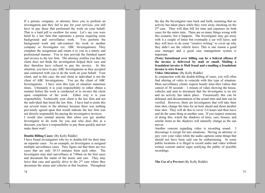If a person, company, or attorney hires you to perform an investigation and they fail to pay for your services, you still have to pay those that performed the work on your behalf. That is a hard pill to swallow for some. Let's say you were hired by a law firm that represents a person requiring some background and surveillance work. You perform the background work and sub-contract the work to another company or Investigator (ex: ABC Investigations). They complete the assignment and return it to you in a timely and professional manner. You in turn provide the finished report and invoice to the law firm. The attorney notifies you that the client does not think the investigation helped their case and they therefore have refused to pay the invoice. In this situation, you have to pay ABC Investigations as they accepted and contracted with you to do the work on your behalf. Your client, and in this case, the end client or individual is not the client of ABC Investigations. You are the client of ABC Investigations. I have seen this type of situation numerous times. Ultimately it is your responsibility to either obtain a retainer before the work is conducted or to invoice the client upon completion of the work. Either way it is your responsibility. Technically your client is the law firm and not the individual that hired the law firm. I have had to point this out several times to the attorney because there was nothing previously agreed upon that would indicate the law firm was not directly responsible for paying the investigative invoices. I would also remind anyone that when you get another Investigator to do work for you and who does this at a discount, you have a responsibility to pay them quickly and not

#### **Double Billing Cases: (By Kelly Riddle)**

make them wait!

I have found investigators who try to double-bill for their time on separate cases. As an example, an Investigator is assigned multiple surveillance cases. They figure out that there are two cases that are only 10-15 minutes from each other. The Investigator may start surveillance at 7:00am on the first cases and document the status of the house and cars. They may leave that case and quickly drive to the  $2<sup>nd</sup>$  case where they document the status and vehicles at that location. Throughout

the day the Investigator runs back and forth, assuming that no activity has taken place while they were away checking on the 2<sup>nd</sup> case. They will then bill for time and expenses on both cases for the entire time. There are so many things wrong with this scenario, but it happens. The Investigator may get away with it a couple of times but eventually a car will leave, and they will have to do some "creative writing" to cover up why they didn't see the vehicle leave. This is one reason a good case manager and a good case management system is important.

(Note) Intentional over billing can be a federal offence if the invoice is delivered by mail or email. Mailing a fraudulent invoice is Mail fraud and e-mailing a fraudulent invoice is wire fraud.

Video Alteration: (By Kelly Riddle)

In conjunction with the double-billing of cases, you will often find altering of video to coincide with this type of situation. Most surveillance clients request hourly time-shot videos that consist of 30 seconds  $-1$  minute of video showing the house, vehicles and area to document that the Investigator is on site and no activity has taken place. Forensically this can be defeated, and documentation of the actual time and date can be verified. However, there are Investigators that will take their time shot, change the time for an hour ahead and shoot another time shot. They will do this to cover 3-4 hours and then leave and do the same thing at another case. If you suspect someone of doing this, watch the shadows of trees, cars, houses, and similar items as the shadows will naturally change as the sun moves.

Another concern regarding video is recording sound. I discourage it except for rare situations. Having an attorney or jury view your video while the audio captures some things that should not have been said can be embarrassing. In some public locations it is illegal to record audio and video without written consent and/or signs notifying the public of possible recordings.

The Use of a Pre-text (By Kelly Riddle)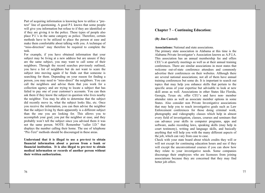Part of acquiring information is knowing how to utilize a "pretext" line of questioning. A good P.I. knows that some people will give you information but refuse to if they are identified or if they are giving it to the police. These types of people also place P.I.'s in the same category as police. Therefore, certain methods have to be utilized to place the person at ease and make them comfortable about talking with you. A technique of "miss-direction" may therefore be required to complete the task.

For example, if you have obtained information that your subject may be living at a new address but are unsure if they are the same subject, you may want to call some of their neighbors. Through the record searches previously outlined, you have a list of neighbors but do not want to scare the subject into moving again if he finds out that someone is searching for them. Depending on your reason for finding a person, you may need to "miss-direct" the neighbors. You can call the neighbors and advise them that you work for a collection agency and are trying to locate a subject that has failed to pay one of your customer's accounts. You can then ask them if they know the subject in question who lives nearby the neighbor. You may be able to determine that the subject did recently move in, what the subject looks like, etc. Once you receive the information, you can then advise the neighbor that the subject living by them apparently is a different subject than the one you are looking for. This allows you to accomplish your goal, you put the neighbor at ease, and they probably won't tell the subject since you advised them it was not the same person. NOTE: Remember "caller I.D." that displays the number calling their home. The use of telephone "Pre-Text" methods should be discouraged in these areas.

Understand that it is illegal to use a pre-text to obtain financial information about a person from a bank or financial institution. It is also illegal to pre-text to obtain medical information or records of another person without their written authorization.

# **Chapter 7 – Continuing Education:**

## (By Jim Casteel)

**Associations:** National and state associations.

The primary state association in Alabama at this time is the Alabama Private Investigator's Association known as A.P.I.A. This association has an annual membership fee and offers CEU's at quarterly meetings as well as at their annual training conferences. There are similar associations in most states that welcome out-of-state conference attendees and commonly advertise their conferences on their websites. Although there are several national associations; not all of them have annual training conferences but some do. It is important to search out topics that may help you enhance skills that pertain to the specific areas of your expertise but advisable to look at new skill areas as well. Associations in other States like Florida, Georgia, Texas etc. offer CEU's and have non- member attendee rates as well as associate member options in some States. Also consider non Private Investigative associations that may help you to reach investigative goals such as Law Enforcement conferences for those doing criminal work, photography and videography classes which help in almost every field of investigation, classes, courses and seminars that can advance your skills in computer programs, apps and software, audio recording laws, speaking skills (may help in court testimony), writing and language skills, and basically anything that will help you with the many different aspects of the job, which can vary from case to case.

Check with your state board about which credits they will or will not except for continuing education hours and see if they will except the unconventional courses if you can show how they relate to your investigative needs. Some companies discourage their employees who are licensees from joining associations because they are concerned that they may find better job offers.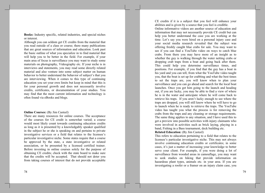**Books:** Industry specific, related industries, and special niches or interest.

Although you can seldom get CE credits from the material that you read outside of a class or course; there many publications that are great sources of information and education. Look past the basic outline of what you specialize in to find material that will help you to be better in the field. For example, if your main area of focus is surveillance you may want to study some materials on photography, Videography etc. If your niche is in interviews and statements, you may read some directly related material and also venture into some subject matter on human behavior to better understand the behavior of subject's that you are interviewing. When it comes to this type of continuing education you set your own limits but keep in mind that this is for your personal growth and does not necessarily involve credits, certificates, or documentation of your studies. You may find that the most current information and technology is often found via eBooks and blogs.

### **Online Courses:** (By Jim Casteel)

There are many resources for online courses. The acceptance of the courses for CE credit is somewhat varied; a course would most likely count towards continuing education credits as long as it is presented by a knowledgably speaker qualified in the subject he or she is speaking on and pertains to private investigative services or a field that relates to the licensee's particular investigative niche. Some states require that a course be approved by the state, a state investigative or related association, or be presented by a licensed certified trainer. Before investing in online courses solely for the purpose of obtaining CE credits; check with the state board to make sure that the credits will be accepted. That should not deter you from taking courses of interest that do not provide acceptable

78

CE credits if it is a subject that you feel will enhance your abilities and is given by a source that you feel is credible.

Online informative videos are another source of education and information that may not necessarily provide CE credit but can help you better understand the case you are working at the time. Let's say you were hired on a personal injury case and your social media research revealed that the subject was offering freshly caught blue crabs for sale. You may want to see if you can find a YouTube video on ways to catch blue crabs. From there you may have more of an insight as to whether the guy is walking through the water netting crabs or dropping crab traps from a boat and going back after them. This could help you determine surveillance times, and positions. For example, if you find that the guy has a boat in his yard and you can tell, from what the YouTube video taught you, that the boat is set up for crabbing and what the best times to set the traps are, you will know when to plan your surveillance and you can go ahead and search for the local boat launches. Once you get him going to the launch and heading out, if you are lucky, you may be able to find a view of where he is in the water and anticipate where he will come back to retrieve his traps. If you aren't lucky enough to see where the traps are dropped, you will still know where he will have to go to launch when he is ready to retrieve the traps. The YouTube video has taught you what the process is for removing the crabs from the traps and any cleaning or storage requirements. The same thing applies to any situation, and I have used this to get a preview into possible activities with injury claimants who were involved in activities such as brick laying, playing in a band, Fishing in a Bass tournament, deck building etc.

#### **Related Education:** (By Jim Casteel)

This refers to education pertaining to a field that relates to the licensee's particular investigative niche. This may not always involve continuing education credits or certificates; in some cases, it's just a matter of increasing your knowledge to better serve your client. For example, if you were doing a lot of surveillance from wooded areas in camouflage, you may want to seek studies on hiking that provide information on hazardous plant types, animals etc. in your area. If you are investigating a roofer or a framer on an injury claim case, you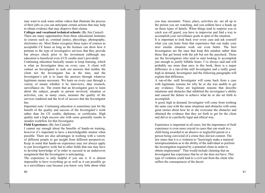may want to seek some online videos that illustrate the process of their jobs so you can anticipate certain actions that may help to obtain evidence that may disprove their claims.

Colleges and vocational technical schools: (By Jim Casteel) There are many opportunities from these educational institutes in courses such as, criminal justice, phycology, photography, electronics etc. Most States recognize these types of courses as acceptable CE hours as long as the licensee can show how it pertains to the type of investigative services that they provide but always check prior to the investment (although any education is beneficial even if CE credits aren't provided).

Continuing education basically means to keep learning, which is what an Investigator does on every case. A client will contact an Investigator to seek out answers that neither the client nor the Investigator has at the time, and the Investigator's job is to learn the answers through whatever legitimate means necessary. We learn on every case through a variety of means whether it be interviews, data research, surveillance etc. The extent that an Investigator goes to learn about the subject, people or person involved, situation or activities, can, in many cases, measure the quality of the services rendered and the level of success that the Investigator has.

Important note: Continuing education is sometimes just for the benefit of the quality and success of the Investigator's work rather than for CE credits, diplomas, or certificates. High quality and a high success rate with cases generally results in steadier workflow for that Investigator.

## **Field Experience:** (By Jim Casteel)

I cannot say enough about the benefits of hands-on training, however it's important to have a knowledgeable mentor when possible. There are also advantages in working with a variety of different people to get insight from different perspectives. Keep in mind that hands-on experience may not always apply to just Investigative work but to other fields that one may have to develop knowledge of in order to succeed in an undercover assignment that the Investigator is anticipating.

The experience is only helpful if you use it. It is almost impossible to have everything go as well as it can possibly go in a surveillance case because you know very little about what

you may encounter. Times, place, activities etc. are all up to the person you are watching, and you seldom have a heads up on those types of details. When things tend to surprise you or catch you off guard, you have to improvise and find a way to accomplish your surveillance goals in spite of the situation.

It is important to look back over every case and ask yourself what you can learn from that experience that can make your next similar situation work out even better. The best Investigators are the ones that keep this mindset rather than those that get bored with the job but not the paycheck. Those are the Investigators who tend to start looking to accomplish just enough to justify billable hours. I've always said and will probably say more than once in this book, there is a major difference in a run-of-the mill Investigator and a really good, high in demand, Investigator and the following paragraphs will explain that difference.

A run-of-the -mill Investigator will come back from a case with legitimate reasons for why he or she was unable to get any evidence. These are legitimate reasons that describe situations and obstacles that inhibited the investigator's ability and caused the failure to achieve what he or she set forth to accomplish.

A good, high in demand, Investigator will come from working the same case with the same situations and obstacles with some great stories about how he or she overcame the obstacles and obtained the evidence that they set forth to get for the client and did so in a perfectly legal and ethical way.

Experience is important in all cases, but the importance of field experience is even more crucial in cases that can result in a child being awarded to an abusive or neglectful parent or a person being convicted of a crime they did not commit. The law states that it is a violation to "knowingly make a material misrepresentation as to the ability of the individual to perform the investigation required by a potential client in order to obtain employment". That would include claiming that an Investigator has experience that he or she does not have. This type of violation could lead to a civil suit from the client who suffers the consequences of the deceit.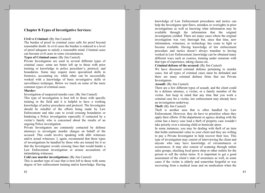# **Chapter 8-Types of Investigative Services:**

## Civil vs Criminal: (By Jim Casteel)

The burden of proof in criminal cases calls for proof beyond reasonable doubt. In civil cases the burden is reduced to a level of proof adequate to satisfy a reasonable mind. Criminal cases can become civil cases in some circumstances.

## **Types of Criminal cases:** (By Jim Casteel)

Private Investigators are used in several different types of criminal cases; some are better left up to those with prior training or knowledge in police procedure's, protocol, and boundaries. Some may require more specialized skills in forensics, accounting etc. while other can be successfully worked with a knowledge of basic investigative skills or surveillance technique. Below we touch on some of the more common types of criminal cases.

#### **Murder:**

Investigation of suspected murder case: (By Jim Casteel)

This type of investigation is best left to those with specific training in the field and it is helpful to have a working knowledge of police procedures and protocol. The Investigator should be mindful of the efforts being made by Law Enforcement and take care to avoid crossing boundaries or hindering a Police investigation especially if contacted by a victim's family who is concerned about the results of an ongoing Police investigation.

Private Investigators are commonly contacted by defense attorneys to investigate murder charges on behalf of the accused. This could involve speaking with alibi witnesses and/or actual witnesses. I, again, recommend that these types of investigations be handled by those who are trained for it so that the Investigator avoids crossing lines that would hinder a Law Enforcement investigation or arouse accusations of intimidating witnesses.

Cold case murder investigations: (By Jim Casteel)

This is another type of case that is best left to those with some degree of law enforcement training and/or knowledge. Having

knowledge of Law Enforcement procedures and tactics can help the Investigator spot flaws, mistakes or oversights in prior investigations as well as knowing what information may be available through the information that the original investigation yielded. There are many cases where the original investigation was very thorough but, since that time, new information, witnesses, or technology has come to light or become available. Having knowledge of law enforcement procedure and tactics doesn't always translate to having worked in Law Enforcement; knowledge can be obtained many different ways such as courses, training under someone with that type of experience, taking classes etc.

# Criminal defense of the accused: (By Jim Casteel)

We have discussed criminal defense pertaining to murder cases, but all types of criminal cases must be defended and there are many criminal defense firms that use Private Investigators.

## **Assault:** (By Jim Casteel)

There are a few different types of assault, and the client could be a defense attorney, a victim, or a family member of the victim. Just keep in mind that any time that you work a criminal case for a victim, law enforcement may already have an investigation underway.

## **Theft:** (By Jim Casteel)

Theft is another area that is often handled by Law Enforcement. However, they do have to prioritize where they apply their efforts. If the department or agency dealing with the crime has a heavy case load a theft of property case wouldn't take priority over a missing child or homicide spree.

In some instances, you may be dealing with the ft of an item that holds sentimental value to your client and they are willing to pay a Private Investigator to help recover their loss. This type of investigation may consist of interviewing the client and anyone who may have knowledge of circumstances or occurrences. It may also consist of scanning through online sales groups, checking local pawn shop or other outlets for the person to sell the stolen items. It is important to get a good assessment of the client's state of awareness as well, in some cases if the victim is elderly and somewhat forgetful or was recovering from a medical issue and on medication when the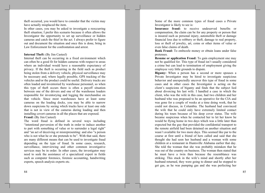theft occurred, you would have to consider that the victim may have actually misplaced the item.

In other cases, you may be asked to investigate a reoccurring theft situation; I prefer this scenario because it often allows the Investigator the opportunity to set up surveillance or hidden cameras and catch the thief in the act. I always prefer to figure out and document the situation and once this is done, bring in Law Enforcement for the confrontation and arrest

## **Internal Theft:** (By Jim Casteel)

Internal theft can be occurring in a fixed environment which can often be a good fit for hidden cameras with respect to areas where an individual would have a reasonable expectancy of privacy. If the theft is occurring in the field such as product being stolen from a delivery vehicle, physical surveillance may be necessary and, where legally possible, GPS tracking of the vehicles and/or the product could be useful. Delivery trucks are often loaded and inventoried by warehouse personnel, so when this type of theft occurs there is often a payoff situation between one of the drivers and one of the warehouse loaders responsible for inventorying and logging the merchandise on that vehicle. Since most warehouses have at least some cameras on the loading docks, you may be able to narrow down suspicions by seeing which trucks have at least one side that is not in view of the cameras during loading and then installing covert cameras in all the places that are exposed.

## Fraud: (By Jim Casteel) The word fraud is defined in several ways including

"intentional perversion of the truth in order to induce another to part with something of value or to surrender a legal right" and "an act of deceiving or misrepresenting: and also "a person who is not what he or she pretends to be". With that said, there are many different means that can be used to investigate fraud depending on the type of fraud. In some cases, research, surveillance, interviewing and other common investigative services may be in order. In other cases, the investigator may need to seek the assistance of a specialized expert in fields such as computer forensics, forensic accounting, handwriting experts, speech analysis experts etc.

84

Some of the more common types of fraud cases a Private Investigator is likely to see is:

Insurance fraud: to receive undeserved benefits or compensation, the claim can be for any property or person that is insured such as personal injury, automobile theft or damage financial loss due to robbery or theft, damage to real property, loss or theft of jewelry, art, coins or other items of value or even false claims of death.

Bank Fraud: To embezzle money or obtain loans under false pretenses.

**Resume or application Fraud:** To gain employment one may not be qualified for. This type of fraud isn't usually considered a crime but can lead to termination of employment giving the employee very little grounds to dispute.

Bigamy: When a person has a second or more spouses a Private Investigator may be hired to investigate suspicious behavior and unexpectedly uncover this type of fraud in some cases and in other cases the Investigator is acting on the client's suspicions of bigamy and finds that the subject lied about divorcing his last wife. I handled a case in which the client, who was the wife in this case, had two children and her husband who was proposed to be an operative for the CIA and was gone for a couple of weeks at a time doing work, that he could not discuss, in Columbia. The husband had convinced the wife that he could only have extremely limited contact during his tours because of his deep cover status. The wife became suspicious when he contacted her to let her know he would be flying home in two days which was a little later than expected but the guy that provided the confidential transport to the remote airfield had been detained on another situation and wasn't available for two more days. This seemed like par to the course at first until a friend of hers called and said that she thought she had seen her husband and a woman with some children at a restaurant in Huntsville Alabama earlier that day. She told the woman that she was probably mistaken that he was out of the country on business. The woman then stated that he must have a twin then because the resemblance was striking. This stuck in the wife's mind and shortly after her husband returned, they were going to dinner and he stopped to get gas, as he was pumping gas and she was perfecting her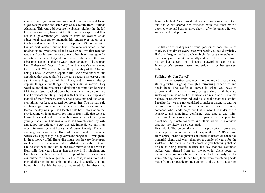makeup she began searching for a napkin in the car and found a gas receipt dated the same day of his return from Cullman Alabama. This was odd because he always told her that he left his car in a military hanger at the Birmingham airport and flew out in a government jet. When in town he worked at an educational concern to maintain his undercover status as a teacher and substituted between a couple of different facilities. On his next mission out of town, the wife contacted us and retained us to investigate what he was up to. My first reaction was that I would turn the case down rather than investigate the activities of a Federal Agent, but the more she talked the more I became suspicious that he wasn't even an agent. The woman had all these red flags in front of her but wasn't even seeing them herself. When I mentioned the possibility of the CIA job being a hoax to cover a separate life, she acted shocked and explained that that couldn't be the case because his career as an agent was a huge part of their lives, and he would always explain things about things CIA agents did in movies they watched and there was just no doubt in her mind that he was a CIA Agent. So, I backed down but was even more convinced that he wasn't shooting straight with her when she explained that all of their finances, credit, phone accounts and just about everything was kept separated not protect her. The woman paid a retainer, gave me some of his personal information and left. Before the day was up, I had located data base information that provided me with an address for him in Huntsville that went to house he owned and shared with a woman about two years vounger than him. This woman also had two children, my wife and fellow Investigator, Betty Casteel, immediately put in an order for marriage certificates in Madison County. The next evening, we traveled to Huntsville and found his vehicle, which was supposedly in a government hanger in Birmingham, in the driveway of his Huntsville house. As the case developed, we learned that he was not at all affiliated with the CIA nor had he ever been and that he had been married to the wife in Huntsville four years longer than the one in Birmingham and had children with her as well. This type of fraud is sometimes committed for financial gain but in this case, it was more of a mental disorder in my opinion, the guy just really got into living this fake life he was so admired for by these two

families he had. As it turned out neither family was that into it and the client shared her evidence with the other wife's attorney who had been retained shortly after the other wife was subpoenaed to deposition.

The list of different types of fraud goes on as does the list of motives. For almost every case you work you could probably find a colleague that has dealt with similar case somewhere in the country or even internationally and can help you learn from his or her success or mistakes, networking can be an Investigator's greatest asset and pride his or her greatest liability.

#### **Stalking:** (by Jim Casteel)

This is a very sensitive case type in my opinion because a true stalking victim is going through a terrorizing experience and needs help. The confusion comes in when you have to determine if the victim is truly being stalked or if they are suffering from some sort of delusion as a result of a mental off balance or possibly drug induced delusional behavior disorder. I realize that we are not qualified to make a diagnosis and we certainly don't want to make the wrong call and turn away someone who needs help; but that is why I consider this a sensitive, and sometimes confusing, case type to deal with. There are those cases where it is apparent that the potential client has legitimate concerns and others where it is obvious that they are likely to be delusional.

Example 1: The potential client had a protection from abuse order against an individual but despite the PFA (Protection from abuse) order the person continued to harass or abuse the potential client and was jailed for a couple of years for the violation. The potential client comes to you believing that he or she is being stalked because the day that the convicted stalker was released from jail, the potential client began to receive anonymous calls and the caller had obviously used a voice altering device. In addition, there were threatening texts made from untraceable phone numbers to the victim and a rock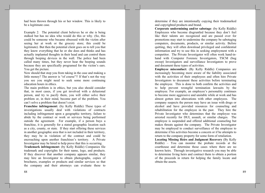had been thrown through his or her window. This is likely to be a legitimate case.

Example 2: The potential client believes he or she is being stalked but has no idea who would do this or why. (So, this could be someone who became obsessed with the victim after seeing her at work or the grocery store; this could be legitimate). But then the potential client goes on to tell you that they know everything that he or she does and thinks and has actually implanted thoughts in their head and can control them through beeping devices in the wall. The police had been called many times, but they never hear the beeping sounds because they are specifically programed for the victim's ears. You get the picture.

Now should that stop you from taking in the case and making a little money? The answer is "of course"!! If that's not the way you see you might need to seek some more continuing education hours in ethics.

The main problem is in ethics, but you also should consider that, in most cases, if you get involved with a delusional person, and try to pacify them, you will either solve their problem or, in their mind, become part of the problem. You can't solve a problem that doesn't exist.

Franchise infringement: (by Kelly Riddle) These types of investigations usually deal with violations of contracts including infringement upon a geographic territory, failure to abide by the contract or work or services being performed outside the agreement. For example, if a person buys a franchise, it is generally for a stated geographic location such as a city, county, or state. If they start offering these services in another geographic area that is not included in their territory, they may be in violation of the contract and could be encroaching upon another franchises's territory. A Private Investigator may be hired to help prove that this is occurring.

Trademark infringement: (by Kelly Riddle) Companies file trademark and copyrights for their name, logo, and products. If they discover that another company appears similar, they may hire an Investigator to obtain photographs, copies of brochures, examples or products and similar services so that the company and their attorneys can evaluate these to

determine if they are intentionally copying their trademarked and copyrighted products and brand.

Corporate undermining and/or sabotage: (by Kelly Riddle) Employees who become disgruntled because they don't feel like their talents are recognized and are passed over for promotions may start to undermine the company be sabotaging computers, documents, products, or similar activity. Before quitting, they will often download privileged and confidential information and try to use this in seeking employment with a competitor. The Private Investigator will often work hand-inhand with Computer Forensic Investigators, TSCM (bug sweep) Investigators and surveillance Investigators to prove and document these types of activities.

Employee misconduct: (By Kelly Riddle) Companies are increasingly becoming more aware of the liability associated with the activities of their employees and often hire Private Investigators to document these activities before terminating the employee. This is done to both confirm the activities and to help prevent wrongful termination lawsuits by the employee. For example, an employee's personality continues to become more aggressive and unstable while at work and has almost gotten into altercations with other employees. The company suspects the person may have an issue with drugs or alcohol and have provided resources for counseling and rehabilitation for the employee in the past. They hire the Private Investigator who determines that the employee was arrested recently for DUI, assault, or similar charges. The employee is suspended and offered additional counseling but makes threats against the company. The Private Investigator may be employed to conduct surveillance of the employee to determine if his activities become a concern or if he attempts to return to the company property for some form of retaliation.

**Locating Missing Heirs and Judgment Recovery (By Kelly** Riddle) – You can monitor the probate records at the courthouse and determine those cases where there are no known heirs. Through investigative research you may be able to determine living heirs and contract them to obtain a portion of the proceeds in return for helping the family locate and obtain the assets.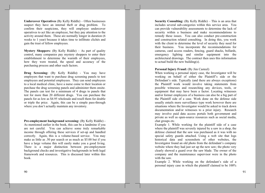**Undercover Operatives** (By Kelly Riddle) – Often businesses suspect they have an internal theft or drug problem. To confirm their suspicions, they will employee undercover operatives to act like an employee, but they pay attention to the activity around them. These are normally longer in duration (6) weeks to 1 year) because it takes time to infiltrate clichés and gain the trust of fellow employees.

**Mystery Shoppers:** (By Kelly Riddle)  $-$  As part of quality control, many companies pay mystery shoppers to enter their establishment to determine the warmth of their employees, how they were treated, the speed and accuracy of the purchasing process and other such factors.

Drug Screening: (By Kelly Riddle) - You may have employers that want to purchase drug screening panels to test employees and potential employees. They can send employees to a local medical clinic, have a nurse come to their location or purchase the drug screening panels and administer them onsite. The panels can test for a minimum of 4 drugs to panels that test for more than 20 different drugs. You can purchase the panels for as low as \$4.95 wholesale and resell them for double or triple the price. Again, this can be a simple pass-through where you don't actually maintain any inventory.

**Pre-employment background screening:** (By Kelly Riddle) -As mentioned earlier in the book, this can be a landmine if you are not careful. You can achieve some truly remarkable income through offering these services if set-up and handled correctly. Again, this is a volume-based service. You may make as little as .50 per search or as much as \$5.00 but if you have a large volume this will easily make you a good living. There is a major distinction between pre-employment background checks and investigative backgrounds in both legal framework and resources. This is discussed later within this book.

**Security Consulting:** (By Kelly Riddle)  $-$  This is an area that includes several sub-categories within this service area. You can provide vulnerability assessments to determine the lack of security within a business and make recommendations to remedy these issues. You can also conduct pre-construction and construction related consulting. In doing this, you work with the client to determine the level of security they need for their business. You incorporate the recommendations for cameras, card access readers, fencing, guard shacks, bollards, emergency lighting and similar equipment into the architectural drawings. The contract then uses this information to actual build the new building(s).

## **Personal Injury Fraud:** (By Jim Casteel)

When working a personal injury case, the Investigator will be working on behalf of either the Plaintiff's side or the Defendant's side. Typically (and there are always exceptions) the Plaintiff work would involve taking statements from possible witnesses and researching any devices, tools, or equipment that may have been a factor. Locating witnesses and/or former employees of a business can also be a big part of the Plaintiff side of a case. Work done on the defense side usually entails more surveillance type work however there are situations where the Investigator would be asked to track down documentation and/or witnesses to a prior injury. Research may involve paid data access portals both government and private as well as open-source resources such as social media, chat groups etc.

Example 1. While working for the plaintiff side of a case where the plaintiff was severely injured by a saw in a shop, the defense claimed that the saw was purchased as it was with no special safety guards attached. Using a web site that logs historical data and screenshots of other websites, the Investigator found an old photo from the defendant's company website where they had just set up the new saw; the photo very clearly showed a guard over the saw blade. The owner of the company and the maintenance supervisor were in the photo with the saw.

Example 2. While working on the defendant's side of a personal injury case in which the plaintiff claimed to be 100%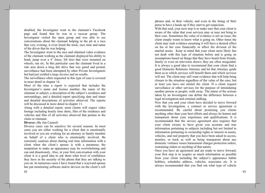disabled, the Investigator went to the claimant's Facebook page and found that he was in a racecar group. The Investigator visited the open group and was able to see conversations about the claimant helping in the pit at a race that very evening, it even listed the track, race time and name of the driver that he was helping.

The Investigator went to the race and obtained video evidence of the claimant working as the claimant displayed his ability to bend, jump over a 4' fence, lift tires that were mounted on wheels, run etc. In this particular case the claimant lived in a rule area down a long dirt drive that was gated and posted, surveillance had been attempted by other Private Investigators but had just yielded a large invoice and no results.

The surveillance often requested in this type of case is covered in more detail in chapter 14.

Most of the time a report is expected that includes the Investigator's name and license number, the name of the claimant or subject, a description of the subject's residence and surroundings, and a detailed report specifying date and times and detailed descriptions of activities observed. The reports will be discussed in more detail in chapter 11.

Along with a detailed report, most clients will expect video footage including hourly time shots, film of the residence and vehicles and film of all activities observed that pertain to the claim or claimant.

#### **Divorce:** (By Jim Casteel)

Divorce cases can be sensitive for several reasons. In most cases you are either working for a client that is emotionally involved or you are working for an attorney or family member on behalf of a client who is emotionally involved. Be extremely cautious about sharing real time information with a client when the client's spouse is with a paramour, the temptation to make an appearance may be overwhelming and can end disastrously. Also, in your first conversation with your client it is a good idea to ask them what level of confidence they have in the security of the phone that they are talking to you on. In numerous cases I have found that a wayward spouse has put monitoring software and/or devices on the client's cell phones and, in their vehicle, and even in the lining of their purse to have a heads up if they start to get suspicious.

With that said, your next step is to make sure that your client is aware of the value that your services may or may not bring to their case. Sometimes the value of evidence is not an issue; the client simply wants to know what is going on. Other times the client may seek evidence assuming it will have a desired effect on his or her case financially or affect the division of the marital assets. Keep in mind that your client most likely has not dealt with this type of situation before and is going on assumptions based on things that they have heard from friends, family or even on television shows; they are often misguided. It is always a good idea to recommend that your client find a good Domestic Relations Attorney and let that Attorney guide them as to which services will benefit them and which services will not. The client may still want evidence that will help bring closure to the situation regardless of the value of the case; but at least you have not misled the client. If a client request surveillance or other services for the purpose of intimidating another person or people; walk away. The intent of the actions taken by an Investigator can define the difference between a legal investigation and criminal stalking.

Now that you and your client have decided to move forward with the investigation, a contract or service agreement is recommended. Be careful about promising you clients anything other than your best efforts and always be honest and transparent about your experience and qualifications. It is recommended that the service agreement also requires that your client swears to have given you accurate and true information pertaining to subjects including but not limited to information pertaining to ownership rights or interest in assets, vehicles, and real property that you have been asked to access, monitor, or track as well as being transparent about any domestic violence issues harassment charges protection orders, restraining orders or anything of that nature.

Once you have an agreement and are ready to move forward, your first step is to acquire as much information as possible from your client including the subject's appearance habits hobbies, schedules address, vehicles, associates etc. It is always recommended that you find out what type of vehicle

92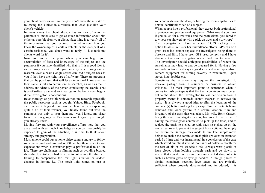your client drives as well so that you don't make the mistake of following the subject in a vehicle that looks just like your client's vehicle.

In many cases the client already has an idea of who the paramour is; make sure to get as much information about him or her as possible from your client. Next thing is to verify all of the information that you received, if asked in court how you knew the ownership of a certain vehicle or the occupant of a certain residence, you don't want to reply, "I just took my clients word for it".

Now you are at the point where you can begin your accumulation of facts and knowledge of the subject and the paramour if you have identified who that is. It is a good idea to use a proxy server to hide your identity when doing online research, even a basic Google search can lead a subject back to you if they have the right type of software. There are programs that can be purchased that will let an individual know anytime their name is put into certain online searches, as well as the IP address and identity of the person conducting the search. That type of software can end an investigation before it even begins if the Investigator is not cautious.

Be as thorough as possible with your online research especially the public resources such as google, Yahoo, Bing, Facebook, etc. It never feels good to inform the client that, after spending quite a bit of their retainer, you finally found out who the paramour was only to hear them say "yea I know, my sister found that on google or Facebook a week ago, I just thought you already knew".

Moving forward with your surveillance efforts now that you are armed with as much knowledge as you can reasonably be expected to gain of the situation, it is time to think about strategy and preparation.

Most anyone could buy a home video camera and try to follow someone around and take video of them; but there is a lot more expectations when a consumer pays a professional to do the job. There are challenges in filming such as avoiding blurred shots due to autofocus, bad film due to not having the ability or training to compensate for low light situation or sudden changes in lighting i.e. The porch light comes on just as

94

someone walks out the door, or having the zoom capabilities to obtain identifiable video of a subject.

When people hire a professional, they expect both professional experience and professional equipment. What would you think if you called for a tow truck and the professional you hired to tow your car showed up with a pick-up truck and a tow rope?

The Investigator will have to decide if GPS tracking is an option to assist in his or her surveillance efforts. GPS can be a great asset but cannot replace the Investigator being there to observe and film. I have seen GPS used correctly and I have also seen it ruin an investigation when relied upon too much.

The Investigator should anticipate possibilities of where the surveillance may lead to and be prepared for it. Having a few wardrobe options is always a good idea and some specialized camera equipment for filming covertly in restaurants, liquor stores, hotel lobbies etc.

Sometimes the situation may require the Investigator to retrieve garbage from a residence or business to obtain evidence. The most important point to remember when it comes to trash pickups is that the trash containers must be set out to the street; the Investigator (unless permission from a property owner is obtained) cannot trespass to retrieve the trash. It is always a good idea to film the location of the container(s) before making the pickup, film the contents being removed and, once you're in a secure location, film and inventory of the trash that was taken. My wife, Betty Casteel, being the sharp Investigator, she is, has gone to the extent of having the Investigator contracted to pick up the trash, and to replace the trash he picked up with bags he picked up on the next street over to prevent the subject from noticing the empty can before the Garbage truck made its run. That simple move helped to enable the continued trash pick-ups over an extended period of time and was instrumental in a conclusion of the case which saved our client several thousands of dollars a month for the rest of his or his ex-wife's life. Always wear plastic or latex cloves when looking through trash and go slowly to assure that you do not run into any unexpected sharp objects such as broken glass or syringe needles. Although photos of alcohol containers, receipts, love letters etc. are typically sufficient when properly documented and introduced, it is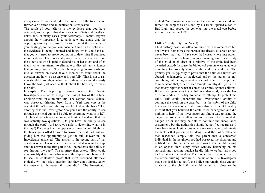always wise to save and index the contents of the trash incase further verification and authentication is requested.

The result of your efforts is the evidence that you have obtained, and a report that describes your efforts and results in detail and, in many cases, your testimony. I cannot express enough how important is to anticipate any angle that the opposing attorney may use to try to discredit the accuracy of your findings, so that you can document well in the field when the evidence is being obtained and judge when you have all that you will need to prove your point or determine if you need more evidence. There is usually someone with a law degree on the other side who is paid to defend his or her client and often that involves an attempt to eliminate or discredit any evidence that you may produce. Never let the opposing counsel rush you into an answer on stand, take a moment to think about the question and how to best answer it truthfully. That is not to say you should think about what the truth is; you should already know the truth just need to think about the best way to make the point.

**Example:** The opposing attorney opens the Private Investigator's report to a page that has photos of the subject drinking from an aluminum cup. The caption reads "subject" was observed drinking beer from a Yeti type cup as he operated the ATV with the 5-year-old child on the back." The attorney asks the Investigator "do you have the ability to see through the metal cup and be able to determine what is in it?". The Investigator takes a moment to think and realized that this was actually two questions, (Do you have the ability to see through the cup?) And (Are you able to determine what is in the cup?) Knowing that the opposing counsel would likely cut the Investigator off if he were to answer the first part, without giving him the opportunity to get the full answer in, the Investigator answered "The answer to the second part of that question is yes I was able to determine what was in the cup, and the answer to the first part is no, I do not have the ability to see through the cup.". The attorney then asked, "How could you possibly determine what was in the cup without being able to see the contents?" (Note that most seasoned attorneys typically will not ask a question that they don't already know the answer to; however, this one did.) The Investigator

replied, "As shown on page seven of my report; I observed and filmed the subject as he stood by his truck, opened a can of Bud Light and poured the contents into the metal cup before walking over to the ATV.

## **Child Custody:** (By Jim Casteel)

Child custody cases are often combined with divorce cases but not always. Sometimes the parents are already divorced or had never been married. I have even had cases where one parent was deceased, and a family member was fighting for custody of the child or children or a relative of the child had been awarded custody because the biological parents were unable or unwilling to properly care for the child or children. The primary goal is typically to prove that the child or children are abused, endangered, or neglected and/or the parent is not complying with an agreement or a court order. It is important to understand that, as a licensed Private Investigator, you are a mandatory reporter when it comes to crimes against children. If the Investigator sees that a child is endangered, he or she has a responsibility to notify someone to attempt to protect the child. This could jeopardize the Investigator's ability to continue the work on the case; but it is the safety of the child that should always come first. It may also be difficult to testify in court that you believed the child to be endangered and did nothing to help. If the Investigator can find a way to bring the danger to someone's attention and remove the immediate danger, he or she may be able to continue the surveillance assignment, but the authorities should be notified regardless. I have been in such situations where we were able to eliminate the factors that presented the danger and the Police Officers that responded simply told the parent that a concerned individual in the neighborhood had observed the situation and notified them. In that situation there was a small child playing in an opened third story office window balancing on his stomach and reaching outside he did this twice but had stood back up inside the window. The mother was in another part of the office building unaware of the situation. The Investigator made the decision to notify the Police but remain close enough to shout to the child if the child moved too close to the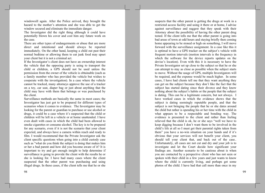windows ill again. After the Police arrived, they brought the hazard to the mother's attention and she was able to get the window secured and eliminate the immediate danger.

The Investigator did the right thing although it could have potentially blown his cover and cost him any future work on the case.

There are other types of endangerments or abuse that are more direct and intentional and should always be reported immediately. On the other hand, keeping a child out past their normal bedtime or allowing them to eat junk food may upset your client but it is not a criminal act.

If the Investigator's client does not have an ownership interest the vehicle that the opposing party is using to transport the child or children, a GPS should not be used unless the permission from the owner of the vehicle is obtainable (such as a family member who has provided the vehicle but wishes to cooperate with the investigation). In a case where the vehicle cannot be tracked, many attorneys approve the use of a tracker on a toy, car seat, diaper bag or just about anything that the child may have with them that belongs or was purchased by the client.

Surveillance methods are basically the same in most cases; the Investigator has just got to be prepared for different types of scenarios when it comes to evidence. The Investigator may be looking for the parent or guardian to purchase or use alcohol or drugs, it could be a case where it's suspected that the child or children will be left in a vehicle or at home unattended. I have even dealt with cases in which the child had been allowed to smoke cigarettes or consume alcohol. The key is to be prepared for any scenario, even if it is not the scenario that your client expected, and always have a camera within reach and ready to film. I would recommend that the Private Investigator ask the client specific questions when going into a child custody case such as "what do you think the subject is doing that makes him or her a bad parent and how did you become aware of it? It is important to try and get enough insight to help determine if surveillance is going to provide the client with the results he or she is looking for. I have had many cases where the client suspected that the other parent was purchasing and using illegal drugs. In these cases, if the client tells me that he or she

restricted access facility and using it there or at home, I advise against surveillance and suggest that they speak with their Attorney about the possibility of having the other parent drug tested. If the client tells me that the other parent is going into bad areas of town at odd hours and staying briefly then coming home appearing to be stoned or high on something, I will move forward with the surveillance assignment. In a case like this it is optimal to have a GPS tracker on the subject's vehicle with frequent motion intervals (motion intervals is the frequency in which the software for the device reports updates on the devise's location). Even with this it is necessary to have the Private Investigator set up close to the subject so that he or she can attempt to stay as close as possible when the subject starts to move. Without the usage of GPS, multiple Investigators will be required, and the expense would be much higher. In some cases, I have had clients tell me that they want anything they can get on the subject because they don't like the fact that the subject has started dating since their divorce and they know nothing about the subject's habits or the people that the subject is dating. This can be a legitimate concern, but not always. I have worked cases in which the evidence shows that the subject is dating seemingly reputable people, and that the subject is not bringing the people that he or she dates around the child but rather is spending his or her time with the child in what appears to be a respectable and bonding way. The evidence is presented to the client and rather than feeling relieved that the child is ok, he or she says "well we have to keep digging because I don't want them to be involved in the child's life at all so I must get their parental rights taken from them" you have a no-win situation on your hands and if it's obvious that your services will not benefit your client, you should tell your client that, and back out of the case... Unfortunately, all cases are not cut and dry and your job is to investigate and let the Court decide how significant your findings are. Another scenario to be cautious about is when you are contacted by a perspective client who has not seen or spoken with their child in a few years and just wants to know where the child is currently living, and perhaps get some photos of the child. I have had that call more than once in my

suspects that the other parent is getting the drugs at work in a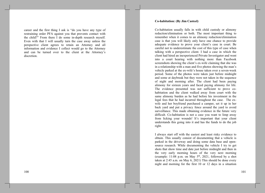career and the first thing I ask is "do you have any type of restraining order PFA against you that prevents contact with the child?" From there I do some in-depth research myself. Even with that I will usually turn the case away unless the perspective client agrees to retain an Attorney and all information and evidence I collect would go to the Attorney and can be turned over to the client at the Attorney's discretion.

#### **Co-habitation: (By Jim Casteel)**

Co-habitation usually falls in with child custody or alimony reduction/elimination or both. The most important thing to remember when it comes to an alimony reduction/elimination case is that you will likely only have one chance to provide adequate evidence to prove your client's case in court. Be careful not to underestimate the cost of this type of case when talking with a perspective client. I had a case in which the client had hired an inexperienced Private Investigator and went into a court hearing with nothing more than Facebook screenshots showing the client's ex-wife claiming that she was in a relationship with a man and five photos showing the man's vehicle parked at the ex-wife's house taken over a seven-week period. Some of the photos were taken just before midnight and some at daybreak but they were not taken in the sequence of night and morning after. The client had been paying alimony for sixteen years and faced paying alimony for life. The evidence presented was not sufficient to prove cohabitation and the client walked away from court with the same alimony burden as he had before his investment in the legal fees that he had incurred throughout the case. The exwife and her boyfriend purchased a camper, set it up in her back yard and put a privacy fence around the yard to avoid surveillance. This made obtaining evidence in the future very difficult. Co-habitation is not a case you want to limp away from licking your wounds! It's important that your client understands this going into it and has the funds to do the job right.

I always start off with the easiest and least risky evidence to obtain. This usually consist of documenting that a vehicle is parked in the driveway and doing some data base and opensource research. While documenting the vehicle I try to get shots that show time and date just before midnight and then in the very early morning hours of the very next morning (example: 11:08 p.m. on May  $5<sup>th</sup>$ , 2021, followed by a shot taken at 2:45 a.m. on May 6, 2021) This should be done every night and morning for the first 10 or 12 days in a situation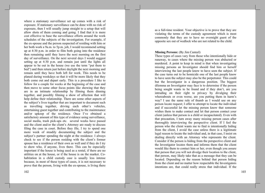where a stationary surveillance set up comes with a risk of exposure. If stationary surveillance can be done with no risk of exposure, then I will usually jump straight to a setup that will allow shots of them coming and going. I find that it is more cost effective to base the surveillance efforts around the work schedules of the subjects of the investigation. For example, if the ex-spouse and the person suspected of residing with him or her both work a 9a.m. to 5p.m. job, I would recommend setting up at 4:30 p.m. in order to film both going into the residence then remaining until they leave the next morning on the first day of surveillance. On the next several days I would suggest setting up at 4:30 p.m. and remain just until the lights all appear to be out in the house (we use the term "put them to bed") and then return just before daylight the next morning and remain until they have both left for work. This needs to be planed during weekdays so that it will be more likely that they both come out and depart early. This is a procedure I like to follow for a couple for weeks at the beginning of the case and then move to some other focus points like showing that they are in an intimate relationship by filming them dinning together, and possibly filming a show of affection that will help define their relationship. There are some other aspects of the subject's lives together that are important to document such as travelling together, driving each other's vehicles, entertaining guest together and contributing to the maintenance and/or upkeep of the residence. Once I've obtained a satisfactory amount of this type of evidence using surveillance, social media, trash pick-ups etc. several weeks have passed and the client and/or the client's Attorney are ready to discuss filing the case in court. Before they file, I try to spend one more week of steadily documenting the subject and the subject's partner spending the night at the residence. I always check to see if the person residing with the client's former spouse has a residence of their own as well and if they do I try to show who, if anyone, lives there. This can be especially important if the house is being used as a rental, if there are no utilities on at the house, or if the house is on the market. Cohabitation in a child custody case is usually less intense because, in most of these types of cases, it is not necessary to prove that the person, living with the ex-spouse, is living there

as a full-time resident. Your objective is to prove that they are violating the terms of the custody agreement which is most commonly that they are to have no overnight guest of the opposite sex out of wedlock who are not related to the child.

#### **Missing Persons:** (By Jim Casteel)

These types of cases vary from those who intentionally hide or runaway, to cases where the missing person was abducted or murdered. A point to keep in mind is that when investigating missing persons an Investigator should find him or herself interviewing the last people know to have seen the subject. If the case turns out to be homicide one of the last people know to have seen the subject may also be the perpetrator. This could but the Investigator in a dangerous position. The biggest dilemma an Investigator may face is to determine if the person being sought wants to be found and if they don't, are you intruding on their right to privacy by divulging their whereabouts or even worse, are you putting them in harm's way? I use the same rule of thumb as I would use on any person locate request; I offer to attempt to locate the individual and if successful let the missing person know that someone wishes them to make contact and let that person contact your client (unless that person is a child or incapacitated). Even with that precaution, I turn away many missing person cases after thoroughly interviewing the perspective client. If I feel the person who the client wants me to find is intentionally hiding from the client, I avoid the case unless there is a legitimate legal reason to locate the individual and, in that case, I insist on dealing directly with an Attorney who represents the client. Consider if the person is hiding from the perspective client and the Investigator locates them and informs them that the client would like them to contact him or her, even though you assure that person that you will not divulge their location to the client, that person, may likely take that as a message that they can be located. Depending on the reason behind that person hiding from the client and no matter how respectable the Investigators intentions are, that could really stress that individual. If the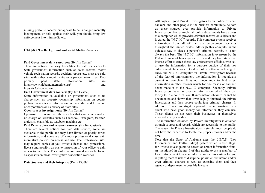missing person is located but appears to be in danger, mentally incompetent, or held against their will, you should bring law enforcement into it immediately.

## Chapter 9 – Background and social Media Research

Paid Government data resources: (By Jim Casteel)

There are options that vary from State to State for access to State government information such as court records, motor vehicle registration records, accident reports etc. most are paid sites with either a monthly fee or a pay-per search fee. Two primary paid state information sites are https://www.alabamainteractive.org/ and https://v2.alacourt.com/.

Free Government data sources: (By Jim Casteel)

Some information is available on government sites at no charge such as property ownership information on county probate court sites or information on ownership and formation of corporations on Secretary of State sites.

**Open-source investigations:** (By Jim Casteel)

Open-source research are the searches that can be accessed at no charge on websites such as Facebook, Instagram, tweeter, craigslist, chats, blogs, wayback machine etc.

Paid Private data and research sources: (By Jim Casteel)

There are several options for paid data service, some are available to the public and may have limited or poorly sorted information, and some are of a more professional class with more strict policies on access and use. The professional sites may require copies of you driver's license and professional license and possibly an onsite inspection of your office to gain access to their data. These information providers can be found as sponsors on most Investigative association websites.

Data Sources and their integrity: (Kelly Riddle)

Although all good Private Investigators know police officers, bankers, and other people in the business community, seldom do these sources ever provide information to Private Investigators. For example, all police departments have access to a computer which provides criminal records on subjects and is called the "N.C.I.C." records. This computer system receives information from all of the law enforcement agencies throughout the United States. Although this computer is the quickest way to check a person's criminal records, it is not always the best. The N.C.I.C. information is overseen by the Federal Bureau of Investigation (FBI), and they have started an intense effort to catch those law enforcement officials who sell or use the information for a purpose outside of their law enforcement functions. Besides police officers refusing to check the N.C.I.C. computer for Private Investigators because of the fear of imprisonment, the information is not always current or complete. It is not uncommon to find arrest information in other records which for one reason or another. never made it to the N.C.I.C. computer. Secondly, Private Investigators have to provide information which they can testify to in a court of law. If information obtained cannot be documented and shown that it was legally obtained, the Private Investigator and their source could face criminal charges. In addition, Private Investigators provide the information for a client who pays good money for information they can use. These clients do not want their businesses or themselves involved in any scandals.

The information obtained by Private Investigators is obtained through sources and records which are accessible to the public. The reason for Private Investigators is simple: most people do not have the expertise to locate the proper records and/or the time.

Note that the State of Alabama uses the L.E.T.S. (Law Enforcement and Traffic Safety) system which is also illegal for Private Investigators to access or obtain information from. As mentioned in chapter 6 of this guide; to ask a member of Law Enforcement to access information on this system for you is putting them at risk of discipline, possible termination and/or even criminal charges as well as exposing them and their agency or department to possible lawsuits.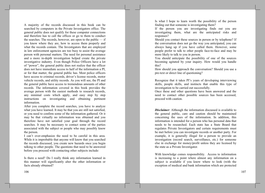A majority of the records discussed in this book can be searched by computers in the Private Investigators office. The general public does not qualify for these computer connections and therefore has to call the offices or go to them to conduct the searches. The records, however, are open to the public  $-$  if you know where they are, how to access them properly and what the records contain. The Investigators that are employed in law enforcement agencies are too busy to assist the average person with personal matters. The need for personal assistance and a more in-depth investigation helped create the private investigative industry. Even though Police Officers have a lot of "power", the general public does not realize that the officer does not have immediate access to half of the information a PI, or for that matter, the general public has. Most police officers have access to criminal records, driver's license records, motor vehicle records, and utility records. As you will see, the PI and the general public have access to tremendous amounts of other records. The information covered in this book provides the average person with the easiest methods to research records, any minimal costs which apply, and easy step by step instructions on investigating and obtaining pertinent information.

After you complete the record searches, you have to analyze what you have learned. It may be that you are still not satisfied, or you need to confirm some of the information gathered. Or it may be that virtually no information was obtained and you therefore have not satisfied your goal through the record searches. It may be necessary to contact some of the parties associated with the subject or people who may possibly know the person.

I can't over-emphasize the need to be careful in this area. While it is improbable that anyone will know that you searched the records discussed, you create new hazards once you begin talking to other people. The questions that need to be answered before you proceed with contacting other subjects include:

Is there a need? Do I really think any information learned in this manner will significantly alter the other information or facts already obtained?

Is what I hope to learn worth the possibility of the person finding out that someone is investigating them?

If the person you are investigating finds out you are investigating them, what are the anticipated risks and responses?

Should you contact these sources in person or by telephone? If the conversation does not go the way you anticipated, you can always hang up if you have called them. However, some people prefer to talk to other people face-to-face and may be more likely to talk to you in person.

You should anticipate the possibility of one of the sources becoming agitated by your inquiry. How would you handle this?

How should you approach the conversation? Should you use a pre-text or direct line of questioning?

Recognize that it takes PI's years of developing interviewing skills, people skills, and instincts that enable this type of investigation to be carried out successfully.

Once these and other questions have been answered and the need to contact other possible sources has been accessed, proceed with caution.

**Disclaimer:** Although the information discussed is available to the general public, care and caution should be maintained concerning the uses of the information. In addition, this information is intended for a person who has personal data that needs to be researched. Each state has a State Board that regulates Private Investigators and certain requirements must be met before you can investigate records or another party. For example, it is generally illegal for a person to provide an investigation (record search, surveillance, etc.) for someone else in exchange for money/profit unless they are licensed by the state as a Private Investigator.

With knowledge comes responsibility. Access to information is increasing to a point where almost any information on a subject is available if you know where to look (with the exception of medical and bank information which are protected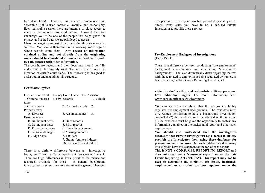by federal laws). However, this data will remain open and accessible if it is used correctly, lawfully, and responsibly. Each legislative session there are attempts to close access to many of the records discussed herein. I would therefore encourage you to be one of the people that helps guard the privacy and sacred data we are privileged to access.

Many Investigators are lost if they can't find the data in on-line sources. You should therefore have a working knowledge of where records come from. Any record or information obtained on-line and not directly from the originating source should be considered an unverified lead and should be collaborated with other information.

The courthouse records and their locations should be fully understood to be properly used. The records are under the direction of certain court clerks. The following is designed to assist you in understanding this structure.

#### **Courthouse Offices**

| <b>District Court Clerk</b> | <b>County Court Clerk</b><br><b>Tax Assessor</b> |                             |            |  |
|-----------------------------|--------------------------------------------------|-----------------------------|------------|--|
| 1. Criminal records         | 1. Civil records                                 |                             | 1. Vehicle |  |
| taxes                       |                                                  |                             |            |  |
| 2. Civil records            | 2. Criminal records                              | 2.                          |            |  |
| Property taxes              |                                                  |                             |            |  |
| A. Divorces                 | 3. Assumed names                                 | 3.                          |            |  |
| Business taxes              |                                                  |                             |            |  |
| B. Delinquent debts         | 4. Deed records                                  |                             |            |  |
| C. Delinquent taxes         | 5. Birth records                                 |                             |            |  |
| D. Property damages         | 6. Financing statements                          |                             |            |  |
| E. Personal damages         | 7. Marriage records                              |                             |            |  |
| F. Judgements               | 8. Tax liens                                     |                             |            |  |
|                             |                                                  | 9. Grantor/grantee indexes  |            |  |
|                             |                                                  | 10. Livestock brand indexes |            |  |

There is a definite difference between an "investigative" background" and a "pre-employment background" check. There are huge differences in laws, penalties for misuse and resources available for these. A general background investigation is often done to determine the general character

of a person or to verify information provided by a subject. In almost every state, you have to be a licensed Private Investigator to provide these services.

## **Pre-Employment Background Investigations** (Kelly Riddle)

There is a difference between conducting "pre-employment" background investigations and conducting "investigative backgrounds". The laws dramatically differ regarding the two with those related to employment being regulated by numerous laws including the Fair Credit Reporting Act or FCRA.

• Identity theft victims and active-duty military personnel have additional rights. For more information, visit www.consumerfinance.gov/learnmore.

You can see from the above that the government highly regulates pre-employment backgrounds. The candidate must give written permission to have a background investigation conducted (2) the candidate must be advised of the outcome (3) the candidate must be given the opportunity to contest any information contained in the background report and other such requirements.

You should also understand that the investigative databases that Private Investigators have access to strictly prohibit the Investigator from using these databases for pre-employment purposes. One such database used by many investigators have this statement at the top of each report:

This is NOT a CONSUMER REPORTING REPORT and does not constitute a "consumer report" under the Fair Credit Reporting Act ("FCRA"). This report may not be used to determine the eligibility for credit, insurance, employment, or any other purpose regulated under the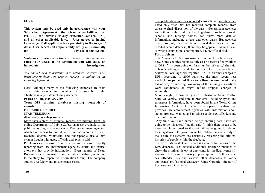## FCRA.

This system may be used only in accordance with your Subscriber Agreement, the Gramm-Leach-Bliley Act ("GLB"), the Driver's Privacy Protection Act ("DPPA") and all other applicable laws. User agrees to having knowledge of all applicable laws pertaining to the usage of data. User accepts all responsibility civilly and criminally any use of this system. for

Violations of these restrictions or misuse of this system will cause your access to be terminated and will cause an immediate investigation.

You should also understand that database searches have limitations (including government records) as outlined by the following information:

Note: Although many of the following examples are from Texas data sources and counties, there may be similar situations in any State including Alabama.

Posted on Tue, Nov. 25, 2008

Texas DPS' criminal databases missing thousands of **records** 

**BY DARREN BARBEE** 

#### **STAR TELEGRAM**

#### dbarbee@star-telegram.com

More than a third of criminal records are missing from the online Department of Public Safety database available to the public according to a recent study. Even government agencies, which have access to more detailed criminal records to screen teachers, doctors, volunteers, and tradespeople, use a DPS system fraught with gaps, officials and experts said.

Problems exist because of human error and because of spotty reporting from law enforcement agencies, courts and district attorneys that provide information. Even records of Death Row inmates are missing from the public database, according to the study by Imperative Information Group. The company studied 562 felony and misdemeanor cases.

The public database lists reported **convictions**, and those are listed only after DPS has received complete records, from arrest to final disposition of the case. Government agencies and others authorized by the Legislature, such as private schools and nursing homes, can view more detailed information, including arrests and open cases. But agencies often look only for convictions. Even if they check the more detailed secure database, there may be gaps in it as well, such as when a conviction is not reported, a DPS official said.

#### Past problems

Tela Mange, a DPS spokeswoman, said such problems aren't new. Some counties report as little as 17 percent of convictions to DPS. "It's been going on for a number of years," she said. "There's nothing we can do to force them to fix that problem." Statewide, local agencies reported 747,216 criminal charges to DPS, according to 2006 statistics, the most recent year available; 69 percent of those were listed as completed. DPS has no way of knowing how many of the missing dispositions were convictions or might reflect dropped charges or acquittals.

Mike Vaughn, a criminal justice professor at Sam Houston State University, said similar problems, including typos and erroneous information, have been found in the Texas Crime Information Center. The center is a separate database that provides law enforcement agencies with information about stolen property, wanted and missing people, sex offenders and other information.

"Any time you have human beings entering data, there are going to be mistakes," Vaughn said. "I think there needs to be more people assigned to the tasks if we're going to rely on these systems. The government has obligation and a duty to make sure the systems are accurately reflecting the criminal histories of people within the database."

The Texas Medical Board, which is aware of limitations of the DPS database, uses several additional screening methods to check the criminal history of applicants for medical licenses. It also uses FBI criminal history reports, queries of other states' sex offender lists and various other databases to verify applicants' professional character, Jaime Garanflo, director of licensure, said in an e-mail.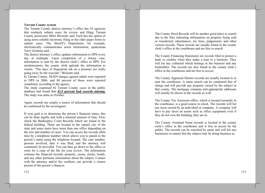#### **Tarrant County system**

The Tarrant County district attorney's office has 43 agencies that routinely submit cases for review and filing, Tarrant County prosecutor Miles Brissette said. Each has the option of using more reliable electronic filing or the older paper forms to submit cases. The Sheriff's Department, for example, electronically communicates arrest information, spokesman Terry Grisham said.

The district attorney's office updates information to DPS every day at midnight. Upon completion of a felony case, information is sent by the district clerk's office to DPS. For misdemeanors, the county clerk uploads the information to Austin. "The days of fingerprint ink on a prisoner are really going away by the wayside," Brissette said.

In Tarrant County, 49,029 charges against adults were reported to DPS in 2006, and 80 percent of those were reported completed, according to the agency.

The study examined 62 Tarrant County cases in the public database and found that 43.5 percent had records missing. The study was done in October.

Again, records are simply a source of information that should be confirmed by the investigator.

If your goal is to determine the person's financial status, this can be done legally and with a minimal amount of time. First, check the Bankruptcy Court Records which are found in the federal building. These are located in the capitol city of the state and some states have more than one office depending on the size and number of cases. You can access the records often time by a telephone number which allows you to punch in the person's name using the telephone keypad. The case number, persons involved, date it was filed, and the attorney will commonly be provided. You can then go down to the office or write for a copy of the file for your review. The information contains the financial records, property, assets, stocks, bonds, and any other pertinent information about the subject. Contact with the attorney and/or the creditors can provide a clearer picture of the person's finances.

The County Deed Records will be another good place to search due to the files indicating information on property being sold or transferred, inheritances, tax liens, judgements, and other various records. These records are usually found in the county clerk's office at the courthouse and are free to search.

The County Financing Statements are records filed to protect a bank or creditor when they make a loan to a business. They will list any collateral which belongs to the business and any lienholders. The records are also found in the county clerk's office in the courthouse and are free to access.

The County Appraisal District records are usually located in or near the courthouse. A name search can be conducted free of charge and will provide any property owned by the subject in that county. The mortgage company and appropriate addresses will usually be shown in the records as well.

The County Tax Assessors office, which is located normally in the courthouse, is a good source to check. The records will list any taxes owned by an individual or company. A company will have to pay taxes on assets such as office equipment even if they do not own the building, they are in.

The County Assumed Name records is located in the county clerk's office in the courthouse and is free to access by the public. The records can be searched by name and will list any businesses or names that the subject may be doing business as.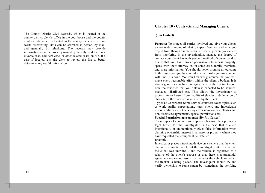The County District Civil Records, which is located in the county district clerk's office in the courthouse and the county civil records which is located in the county clerk's office are worth researching. Both can be searched in person, by mail, and generally by telephone. The records may provide information as to the property owned by the subject if there is a divorce case, bad debt case, or other related cases on file. If a case if located, ask the clerk to review the file to better determine any useful information.

# **Chapter 10 - Contracts and Managing Clients:**

## (Jim Casteel)

**Purpose:** To protect all parties involved and give your clients a clear understanding of what to expect from you and what you expect from them. Contracts can be used to prevent your client from interfering in the investigation, manage the degree of contact your client has with you and method of contact, and to assure that you have proper permissions to access property, speak with their attorney or, in some case, family members, and share information. You should never promise an outcome to the case since you have no idea what results you may end up with until it's done. You can however guarantee that you will make every reasonable effort within the client's budget. It is also a good idea to have an agreement in the contract about how the evidence that you obtain is expected to be handled, managed, distributed etc. This allows the Investigator to protect him or herself from liability of slander or defamation of character if the evidence is misused by the client.

Types of Contracts: Some service contracts cover topics such as work quality expectations, rates, client, and Investigator responsibilities etc. Others may cover non-compete clauses and non-disclosure agreements, special permissions etc.

# **Special Permission agreements:** (By Jim Casteel)

These types of contracts are important because they provide a legal buffer for the Investigator in the case that a client intentionally or unintentionally gives false information when claiming ownership interest in an asset or property where they have requested that equipment be installed.

#### Example 1:

Investigator places a tracking device on a vehicle that the client claims is a marital asset, but the Investigator later learns that the client was untruthful, and the vehicle is registered to a relative of the client's spouse or that there is a prenuptial agreement separating assets that includes the vehicle on which the tracker is being placed. The Investigator should try and verify ownership to some extent but sometimes the verifying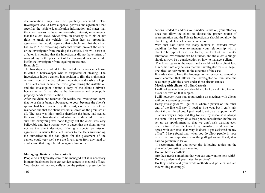documentation may not be publicly accessible. The Investigator should have a special permissions agreement that specifies the vehicle identification information and states that the client swears to have an ownership interest, recommends that the client seeks advice from an attorney as to his or her right to track the vehicle, the client has no prenuptial agreement that would separate that vehicle and that the client has no PFA or restraining order that would prevent the client or the Investigator from tracking the vehicle. This will serve as a factor in showing that the Investigator did not have intent of wrongdoing in the placement of the tracking device and could buffer the Investigator from legal repercussions. Example 2:

The Investigator is asked to place a hidden camera in a house to catch a house keeper who is suspected of stealing. The Investigator hides a camera in a position to film the nightstands on each side of the bed where medication and cash are kept. The client accompanies the Investigator during the installation and the Investigator obtains a copy of the client's driver's license to verify that she is the homeowner and even pulls property deeds for verification.

After the video had recorded for weeks, the Investigator learns that he or she is being subpoenaed to court because the client's spouse had been granted, by the court, exclusive use of the residence and that the client was not allowed on the premises at all. The case was high profile therefore the judge had sealed the case. The Investigator did what he or she could to make sure that everything was done legally but the client was very believable and there was no way to detect that the situation was not as the client described. Having a special permission agreement in which the client swears to the facts surrounding the authorization she had given for the placement of the camera could very well save the Investigator from any legal or civil action that might be taken against him or her.

## **Managing clients:** (By Jim Casteel)

People do not typically care to be managed but it is necessary in many businesses from car service centers to medical offices. Your doctor will not typically allow the patient to prescribe the

actions needed to address your medical situation, your attorney does not allow the client to choose the proper course of representation and the Private Investigator should not allow the client to guide his or her course of action.

With that said there are many factors to consider when deciding the best way to manage your relationship with a client. The type of case is a factor, the level of the client's emotional involvement can be a factor, and the client's budget should always be a consideration on how to manage a client.

The Investigator is the expert and should not let a client lead him or her into any actions that the Investigator feels is illegal, unethical, or detrimental to the outcome of the case.

It is advisable to have the language in the service agreement or work contract that allows the Investigator to terminate the relationship with the client under those circumstances.

#### **Meeting with clients:** (By Jim Casteel)

I will not go into how you should act, look, speak etc., to each his or her own on that subject.

I will however warn you about setting up meetings with clients without a screening process.

Every Investigator will get calls where a person on the other end of the line will say "I need to hire you, but I can't talk about it over the phone, I just need to set up an appointment". That is always a huge red flag for me, my response is always the same. "We always do a free phone consultation before we set up an appointment so that we don't risk wasting each other's time if we elect not to get involved or if you don't agree with our rate; that way it doesn't get awkward in my office". I have found that, when you do allow people in your office that are requesting something illegal or unethical, it is hard to get them to leave.

I recommend that you cover the following topics on the phone before setting up a meeting:

Do you have a conflict?

Are their needs something that you can and want to help with? Do they understand your rates for services?

Do they understand your work methods and policies and are they willing to comply?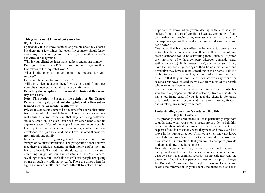## Things you should know about your client:

(By Jim Casteel)

I personally like to know as much as possible about my client's but there are a few things that every Investigator should know about any client asking you to investigate another person's activities or background.

Who is your client? At least name address and phone number. Does your client have a PFA or restraining order against them that relates to the requested work?

What is the client's motive behind the request for your services?

Can your client pay for your services?

Will the services requested benefit you client, and if not, does your client understand that it may not benefit them?

Detecting the symptoms of Paranoid Delusional Behavior: (By Jim Casteel)

Note: This section is based on the opinion of Jim Casteel, Private Investigator, and not the opinion of a licensed or trained medical or mental health expert.

Private Investigators seem to be a magnet for people that suffer from paranoid delusional behavior. This condition sometimes will cause a person to believe that they are being followed, stalked, spied on, or even terrorized by other people for no apparent reason. Most of the people I have been in contact with that I put in this category are functioning adults who have developed this paranoia, and most have isolated themselves from friends and family.

Most calls, that Investigators get in this category, are for bug sweeps or counter surveillance. The perspective client believes that there are hidden cameras in their home and/or they are being followed. The red flag should go up when they start describing things that sound unrealistic such as ("the cameras" say things to me, but I can't find them") or ("people are spying on me through my radio in my car"). There are times when the signs are much subtler and more difficult to detect. I find it

important to know when you're dealing with a person that suffers from this type of condition because, commonly, if you can't solve their problem, they may assume that you are part of a conspiracy against them and if the problem doesn't exist you can't solve it.

One tactic that has been effective for me is to, during your initial telephone interview, ask them if they know of any reason someone would be surveilling them (such as litigation they are involved with, a company takeover, domestic issues with a lover etc.). If the answer "no", ask the person if they have had any social gatherings at their home at which a friend or relative may have planted something in their home. This is a probe to see it they will give you information that will establish that they are not in close contact with any friends or relatives but have isolated themselves from most of the people who were once close to them.

There are a number of creative ways to try to establish whether you feel the perspective client is suffering from a disorder or has a legitimate case. If you do feel the client is obviously delusional, I would recommend that avoid moving forward and/or taking any money from them.

# Understanding your client's needs and liabilities:

(By Jim Casteel)

This probably seems redundant, but it is particularly important to understand what your client's needs are in order to help him or her in their situation. Sometimes what your client may request of you is not exactly what they need and may even be a move in the wrong direction. Also, your client may not know their liabilities so it's up to you to understand the reason that they want the information, that you would attempt to provide to them, and how they hope to use it.

Example: Your client may come to you and request a background check to see if a person who is a factor in a child custody case has a criminal record. The Investigator runs the check and finds that the person in question has prior charges for Domestic Abuse and child neglect. Two weeks after you release the information to your client, the client calls and tells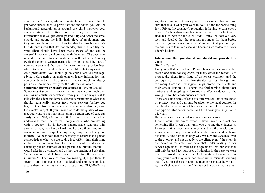you that the Attorney, who represents the client, would like to get some surveillance to prove that the individual you did the background research on is around the child however your client continues to inform you that they had taken the information that you provided, posted it up and down the street outside and around the individuals place of employment and they are now being sued by him for slander. Just because it's true doesn't mean that it's not slander, this is a liability that your client should have been made aware of and can be covered in your original contract with the client. The best route is to deliver the information directly to the client's Attorney (with the client's written permission which should be part of your contract) and that way the Attorney can provide legal advice to the client and explain the liabilities that may exist.

As a professional you should guide your client to seek legal advice before acting on their own with any information that you provide to them. The best alternative (although not always possible) is to work directly for the Attorney involved.

**Understanding your client's expectations:** (By Jim Casteel) Sometimes it seems that your client has watched to much Si-fi and has unrealistic expectations from you. It is always best to talk with the client and have a clear understanding of what they should realistically expect from your services before you begin. Be up front about cost and have an understanding about the client's budget. If you know that to do the quality of work that you want to put your name on in a certain type of case can easily cost \$10,000 to \$15,000 make sure the client understands that, Realize that many clients , who are dealing with a spouse who is having inappropriate relations with another person, may have a hard time keeping their mind in the conversation and comprehending everything that's being said to them. I've been told that the best way to assure that a person acknowledges what you are saying is to offer it into their mind in three different ways; have them hear it, read it, and speak it. I usually put an estimate of the possible minimum amount it would take into a contract and as they are reading it I ask them "what amount did I have listed there for the estimated minimum?". That way as they are reading it, I get them to speak it and I repeat it back out load and comment on it to assure they hear and understand it. i.e., "now \$15,000.00 is a

significant amount of money and it can exceed that, are you sure that this is what you want to do?" To me the worse thing for a Private Investigator's reputation is having to turn over a report of a less than complete investigation that is lacking in final results because the client didn't think the cost out very well and decided that the cost was too much for them before the investigation was completed. Make sure that you don't get too anxious to take in a case and become inconsiderate of your client's budget.

## Information that you should and should not provide to a client:

# (By Jim Casteel)

Everything that is asked of a Private Investigator comes with a reason and with consequences, in many cases the reason is to protect the client from fraud of dishonest testimony and the consequence is that the Investigator carries through and testimony from the Investigator helps protect the clients and their assets. But not all clients are forthcoming about their motives and suppling information and/or evidence to the wrong person has consequences as well.

There are some types of sensitive information that is protected by privacy laws and can only be given to the legal counsel for the client in anticipation of litigation. Wrongful distribution of that type of information could land the Investigator in jail or in a lawsuit.

But what about video evidence in a domestic case?

I can't count the times when I have heard a client say something like "I can't wait until you give me the evidence so I can post it all over social media and let the whole world know what a tramp she is and how she ran around with my husband!". And that is exactly why we turn the evidence over to the attorney and not directly to the client even if the client is the payer in the case. We have that understanding in our service agreement as well as the agreement that our evidence will only be used for purposes of litigation in the case we were hired to provide evidence for. As I mentioned earlier in this book; your client may be under the common misunderstanding that if you post the truth about someone no matter how bad it is, it isn't slander if it's true. That is not the way it works at all,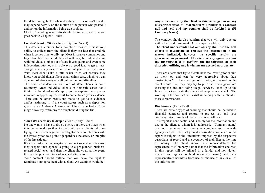the determining factor when deciding if it is or isn't slander may depend heavily on the motive of the person who posted it and not on the information being true or false. Much of deciding what info should be turned over to whom

goes back to Chapter 6-Ethics.

Local -VS- out of State clients: (By Jim Casteel)

This deserves attention for a couple of reasons, first is your ability to collect from the client if they are less that credible when it comes time to tally up. Most insurance companies and large law firms are credible and will pay, but when dealing with individuals, other out of state investigators and even some independent attorney's it is always a good idea to get at least enough to cover your cost and some of your time in advance. With local client's it's a little easier to collect because they know you could always file a small claims case, which you can do in out of state cases as well but with more difficulties.

The other consideration with out of state clients is court testimony. Most individual clients in domestic cases don't think that far ahead so it's up to you to explain the expenses involved in appearing for court to authenticate your evidence. There can be other provisions made to get your evidence and/or testimony in if the court agrees such as a deposition given by an Alabama Attorney or, I have even had a Texas judge allow my testimony vie telephone during the trial.

**When it's necessary to drop a client:** (Kelly Riddle)

No one wants to have to drop a client, but there are times when it is better to do so then to deal with some clients who are trying to micro-manage the Investigator or who interferes with the investigation to a point it jeopardizes the safety or integrity of the Investigator.

If a client asks the investigator to conduct surveillance because they suspect their spouse is going to a pre-planned businessrelated social event and then the client shows up at the event, this has the potential for violence and altercations.

Your contract should outline that you have the right to terminate your agreement with a client. An example would be:

122

Any interference by the client in this investigation or any misrepresentation of information will render this contract null and void and any retainer shall be forfeited to (PI **Company Name).** 

The contract should also confirm that you will only operate within the legal framework. An example would be:

The client understands that our agency shall use the best efforts to investigate or retrieve the information in the matter indicated, however, no specific results are guaranteed or promised. The client hereby agrees to allow the Investigator(s) to perform the investigation at their discretion utilizing any lawful means deemed appropriate.

There are clients that try to dictate how the Investigator should do their job and can be very aggressive about their "instructions." If the investigation is not going as well as the client would like, they may try to push the Investigator into crossing the line and doing illegal services. It is up to the Investigator to educate the client and keep them in check. The wording in the contract will assist in helping with the client in these circumstances.

## **Disclaimers:** (Kelly Riddle)

There are certain types of wording that should be included in financial contracts and reports to protect you and your company. An example of one we use is as follows:

This report is confidential and is solely for the information and use of the client to whom it is addressed. (Company name) does not guarantee the accuracy or completeness of outside agency records. The background information contained in this report is subject to the limitations imposed by the respective custodians of record and the accuracy of their files at the time of inquiry. The client and/or their representatives has represented to (Company name) that the information enclosed in this report will be utilized in a lawful and non-violent manner and agrees to hold (Company name) and their representatives harmless from use or mis-use of any or all of this information.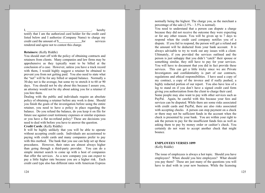hereby testify that I am the authorized card holder for the credit card listed below and I authorize (Company Name) to charge my credit card the amount of \$ for services rendered and agree not to contest this charge.

#### **Retainers:** (Kelly Riddle)

You should start off with the policy of obtaining contracts and retainers from clients. Many companies and law firms may be apprehensive as they typically want to be billed at the conclusion of a case. However, unless you have a track record with them, I would highly suggest a retainer be obtained to prevent you from not getting paid. You also need to state what the "net" will be for any billed or unpaid balance. Normally a 30-day net is the average, but some try to stretch it to 60 or 90 days. You should not be shy about this because I assure you, an attorney would not be shy about asking you for a retainer if you hire them.

Dealing with the public and individuals require an absolute policy of obtaining a retainer before any work is done. Should you finish the goals of the investigation before using the entire retainer, you need to have a policy in place regarding the balance. Do you refund the balance, do you keep it on file for future use against court testimony expenses or similar expenses or you have a flat no-refund policy? These are decisions you need to deal with before you have to answer the question.

## Credit Cards: (Kelly Riddle)

It will be highly unlikely that you will be able to operate without accepting credit cards. Individuals are accustomed to paying with credit cards and many companies prefer to pay with this method. The bank that you use can help set up these procedures. However, their rates are almost always higher than going through a third-party provider. You can do a simple internet search to come up with a host of companies that offer the services. As a new company you can expect to pay a little higher rate because you are a higher risk. Each credit card type also has different rates with American Express normally being the highest. The charge you, as the merchant a percentage of the sale  $(2.5\% - 3.5\%$  is normal).

You need to understand that a person can dispute a charge because they did not receive the outcome they were expecting or for any other reason. You will be given up to 7 days to respond when the credit card company notifies you of a dispute. If you fail to respond, the person will get a refund and the amount will be deducted from your bank account. It is always advisable to try to work out any issues with a client. Ultimately, if you provided the services outlined and the person is just unhappy that you didn't "catch" their spouse or something similar, they still have to pay for your services. You will have to document that you did in fact provide these services. This can get a little tricky since we are Private Investigators and confidentiality is part of our contracts, regulations and ethical responsibilities. I have used a copy of my contract, a copy of the invoice and if really pushed, a highly redacted portion of our report. You also have less of a leg to stand on if you don't have a signed credit card form giving you authorization from the client to charge their card.

Some people may also want to pay with other services such as PayPal. Again, be careful with this because your fees and services can be disputed. While there are some risks associated with credit cards and PayPal, there are also risks associated with accepting checks. A person can stop payment on a check or there may not be sufficient funds in the account when the check is presented by your bank. You are within your right to ask the person to pay for the insufficient funds fees as well as asking them to pay by money order or cashier's check. You certainly do not want to accept another check that might bounce.

## **EMPLOYEES VERSES 1099** (Kelly Riddle)

The issue of employees is always a hot topic. Should you have employees? When should you hire employees? What should you pay them? These are just many of the questions you will have to deal with in your new business. While the licensing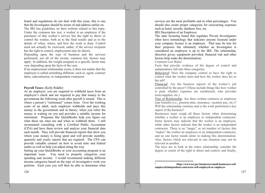board and regulations do not deal with this issue, this is one that the Investigator should be aware of and address earlier on. The IRS has guidelines on their website related to this topic. Under the common law test, a worker is an employee if the purchaser of that worker's service has the right to direct or control the worker, both as to the final results and as to the details of when, where, and how the work is done. Control need not actually be exercised; rather, if the service recipient has the right to control, employment may be shown.

Depending upon the type of business and the services performed, not all of the twenty common law factors may apply. In addition, the weight assigned to a specific factor may vary depending upon the facts of the case.

If an employment relationship exists, it does not matter that the employee is called something different, such as: agent, contract labor, subcontractor, or independent contractor.

## **Payroll Taxes:** (Kelly Riddle)

As an employer, you are required to withhold taxes from an employee's check and are required to pay that money to the government the following week after payroll is issued. This is where a person's "retirement" comes from. Over the working years of an adult, each employer withholds and pays this money to the government and in theory, when you retire the money is waiting on you and provides a suitable income for retirement. Programs like QuickBooks help you figure out what these tax rates are and when to withhold them. I still recommend consulting with a Certified Public Accountant (CPA) and have them review and analyze your financial data each month. They will provide financial reports that show you where your money is being spent and will provide monthly, quarterly and yearly reports that are required. The CPA can provide valuable counsel on how to avoid state and federal audits as well as help you adjust along the way.

Setting up your QuickBooks or your accounting program is an important issue. You need to properly categorize your spending and income. I would recommend making different income categories based on the type of investigative work you perform. Each year you will then be able to determine what

services are the most profitable and in what percentages. You should also create proper categories for reoccurring expenses such as hotel, records, database fees, etc.

IRS Description of an Employee

The state licensing board that regulates Private Investigators often have terminology that indicates anyone licensed under your company license is an employee. That may be true for their purposes but ultimately whether an Investigator is considered an employee is up to the IRS. The relationship, direction given, equipment provided, financial risk and other factors help make the determination.

Common Law Rules<sup>1</sup>

Facts that provide evidence of the degree of control and independence fall into three categories:

*Behavioral:* Does the company control or have the right to control what the worker does and how the worker does his or her iob?

*Financial:* Are the business aspects of the worker's job controlled by the payer? (These include things like how worker is paid, whether expenses are reimbursed, who provides tools/supplies, etc.)

*Type of Relationship*: Are there written contracts or employee type benefits (i.e., pension plan, insurance, vacation pay, etc.)? Will the relationship continue and is the work performed a key aspect of the business?

Businesses must weigh all these factors when determining whether a worker is an employee or independent contractor. Some factors may indicate that the worker is an employee, while other factors indicate that the worker is an independent contractor. There is no "magic" or set number of factors that "makes" the worker an employee or an independent contractor, and no one factor stands alone in making this determination. Also, factors which are relevant in one situation may not be relevant in another.

The keys are to look at the entire relationship, consider the degree or extent of the right to direct and control, and finally,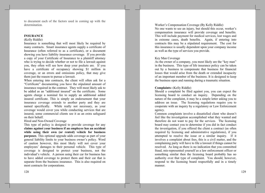to document each of the factors used in coming up with the determination.

## **INSURANCE**

#### (Kelly Riddle)

Insurance is something that will most likely be required by many contracts. Smart insurance agents supply a certificate of Insurance (often referred to as a certificate), or a document showing you have liability insurance coverage. If you provide a copy of your Certificate of Insurance to a plaintiff attorney who is trying to decide whether or not to file a lawsuit against you, they often will see how deep your pockets are. If you have a certificate of occupancy showing \$1 million in coverage, or an errors and omissions policy, that may give them just the reason to pursue a lawsuit.

When entering into contracts, the client will often ask for a "Certificate" documenting you have the stipulated amount of insurance required in the contract. They will most likely ask to be added as an "additional insured" on the certificate. Some agents charge a nominal fee to supply an additional added insured certificate. This is simply an endorsement that your insurance coverage extends to another party and they are named specifically. While really not necessary, as your coverage would cover you while conducting services that are insured, some commercial clients see it as an extra safeguard on their behalf.

## Hired and Non-Owned Coverage

This type of policy is designed to provide coverage for any claims against your business if an employee has an accident while using their own (or rented) vehicle for business **purposes**. This optional upgrade adds coverage as part of your general liability limits to your business owner's policy. Word of caution however, this most likely will not cover your employees' damages to their personal vehicle. This type of coverage is designed to protect your business, not the individual's vehicle. A person using their car for business has to have added coverage to protect them and their car that is separate from the business insurance. This is also required on most contracts for corporations.

Worker's Compensation Coverage (By Kelly Riddle)

No one wants to see an injury, but should this occur, worker's compensation insurance will provide coverage and benefits. This will include payment for medical services, lost wages and in extreme cases, death benefits. Again, if entering into contracts this may be a stipulated requirement. The cost for this insurance is usually dependent upon your company income as well as the type of services you provide.

## Key Man Coverage

As the owner of a company, you most likely are the "key man" in the business. This type of life insurance policy can be taken out by a business to compensate that business for financial losses that would arise from the death or extended incapacity of an important member of the business. It is designed to keep the business open and running during a traumatic situation.

#### **Complaints:** (Kelly Riddle)

Should a complaint be filed against you, you can expect the licensing board to conduct an inquiry. Depending on the nature of the complaint, it may be a simple letter asking you to address an issue. The licensing regulations require you to cooperate with an inquiry by a regulatory or Law Enforcement agency.

Common complaints involve a dissatisfied client who doesn't feel like the investigation accomplished what they wanted and therefore do not want to pay for the services. The licensing board may contact you to determine if you did in fact conduct the investigation, if you offered the client a contract (as often required by licensing and administrative regulations), if you attempted to resolve the issue or a similar inquiry. If it involves a complaint about fees, this is a civil matter, and the complaining party will have to file a lawsuit if things cannot be resolved. As long as there is no indication that you committed fraud, mis-represented yourself as a law enforcement officer or something similar then the licensing board probably has no authority over that type of complaint. You should, however, respond to the licensing board respectfully and in a timely manner.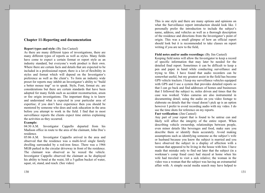# **Chapter 11-Reporting and documentation**

## **Report types and style:** (By Jim Casteel)

As there are many different types of investigations, there are many different types of reports as well as styles. Many fields have come to expect a certain format or report style as an industry standard, but everyone's work product is their own. Where there are certain facts and details that are expected to be included in a professional report, there is a lot of flexibility in styles and format which will depend on the Investigator's preference as well as the client's. To form an industry wide preset for reports may inhibit an Investigator's ability to "build" a better mouse trap" so to speak. Style, Font, format etc. are considerations but there are certain standards that have been adopted for many fields such as accident reconstruction, arson or fire origin investigations. The important thing is to know and understand what is expected in your particular area of expertise; if you don't have experience then you should be mentored by someone who does and seek education in the area before you attempt to work in the field. I find that in most surveillance reports the clients expect time entries explaining the activities as they occurred.

## **Example:**

04:30 A.M. Investigator Cappello departed from his Madison office in route to the area of the claimant. John Doe's residence.

05:06 A.M. Investigator Cappello arrived in the area and observed that the residence was a multi-level single family dwelling surrounded by a rod-iron fence. There was a 1966 MGB parked in the circular driveway in front of the residence. The claimant was observed as he waxed the vehicle. Investigator Cappello observed the claimant as he displayed his ability to bend at the waist, lift a 5-gallon bucket of water, squat, sit, stand, and reach. (See video)

This is one style and there are many options and opinions on what the Surveillance report introduction should look like. I personally prefer the introduction to include the subject's name, address, and vehicles as well as a thorough description of the residence and directions from the Investigator's point of origin. This was a small glimpse of how an official report should look but it is recommended to take classes on report writing if you are new to the field.

## Field notes and/or audio recordings: (By Jim Casteel)

Keeping field notes will allow the Investigator to keep a record of specific information that may later be needed for the detailed final report. Sometimes it can be difficult to keep a pen and paper in hand while conducting surveillance and trying to film. I have found that audio recorders can be somewhat useful, but my greatest assist in the field has become GPS vehicle trackers. I keep my surveillance vehicles equipped with GPS and I use a system that provides detailed reports so that I can go back and find addresses of homes and businesses that I followed the subject to, miles driven and times that the case was worked. Video cameras are also instrumental in documenting detail; using the audio on you video footage to elaborate on details that the visual doesn't pick up is an option however I prefer to avoid recording audio with my video. I do use the time shots for reference on my reports.

## **Fact verification:** (Jim Casteel)

Any part of your report that is found to be untrue can and likely will affect the integrity of the entire report. When describing vehicle ownership, relationships between people, even minor details like beverages and food, make sure you describe them or identify them accurately. Avoid making assumptions such as identifying someone as the subject's wife or husband because you know the subject is married and you have observed the subject in a display of affection with a woman that appeared to be living in the house with him. I have made that mistake only to find out later that the subject (in a workman's comp fraud case) had stayed at home when his wife had traveled to visit a sick relative; the woman in the video was a woman that the subject was having an extramarital affair with. A simple social media search may have helped to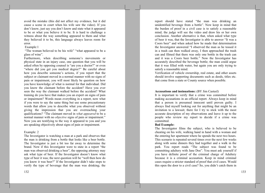avoid the mistake (this did not affect my evidence, but it did cause a scene in court when his wife saw the video). If you don't know, just say you don't know and state what it appeared to be or what you believe it to be. It is hard to challenge a witness about the way something appeared to them and what they believed it to be, this language always leaves room for error.

## Example:1

"The woman believed to be his wife" "what appeared to be a glass of wine".

Furthermore, when describing someone's movements or physical state in an injury case, one question that you will be asked often by opposing counsel is "are you a doctor?" or even "where did you get you medical degree?" Be careful about how you describe someone's actions, if you report that the subject or claimant moved in a normal manner with no signs of pain or impairment, you will most likely be question on how you have knowledge of what is normal for that individual. Did you know the claimant before the accident? Have you ever seen the way the claimant walked before the accident? What training do you have that makes you an expert on signs of pain or impairment? Words mean everything in a report, now what if you were to say the same thing but use some precautionary words that allow you to describe what you observed without giving the impression that you are overreaching your qualifications? "The claimant moved in what appeared to be a normal manner with no *objective* signs of pain or impairment." Now you are testifying to the way it appeared to you and you are speaking objectively about signs of pain or impairment.

#### Example: 2

The Investigator is watching a man at a park and observes that the man is drinking from a bottle that looks like a beer bottle. The Investigator is just a bit too far away to determine the brand. Now if this Investigator were to state in a report "the man was observed drinking a beer", the opposing attorney may ask what type of beer. If the Investigator doesn't know what type of beer it was; the next question will be "well then how do" you know it was been?" If the Investigator didn't take steps to verify the type of beverage that the man was drinking; the

report should have stated "the man was drinking an unidentified beverage from a bottle". Now keep in mind that the burden of proof in a civil case is to satisfy a reasonable mind; the judge will see the video and draw his or her own conclusion. Another alternative is that, when asked what type of beer it was, that the Investigator is able to answer "It was a Coors beer" and when asked how he made that determination the Investigator answered "I observed the man as he tossed it in a trash can then walked away, I then approached the trash can and filmed that there was only one bottle in the trash can and it was a Coors beer bottle." Now the Investigator has accurately described the beverage bottle; the man could argue that it was filled with water, but again you are only trying to satisfy a reasonable mind.

Verification of vehicle ownership, real estate, and other assets should involve supporting documents such as deeds, titles etc. that come from a state or County source when possible.

#### **Accusations and insinuations:** (BY Jim Casteel)

It is important to verify that a crime was committed before making accusations in an official report. Always keep in mind that a person is presumed innocent until proven guilty. I always find myself looking out for anything that might be an invitation to a lawsuit; there for I try to stick with the most accurate description of my observations and leave it up to the people who review my report to decide if a crime was committed.

#### **Bad Example:**

The Investigator films the subject, who is believed to be cheating on his wife, walking hand in hand with a woman and the entering her apartment where he spends the next two hours. This scenario is repeated several times over the next few weeks along with some dinners they had together and a walk in the park. You report reads "The subject was found to be committing adultery with Jane Doe". You must ask yourself if you have definite proof of the criminal charge of Adultery because it is a criminal accusation. Keep in mind criminal cases require a stricter standard of proof that civil cases. Would this open the door to a civil case? So, you didn't catch them in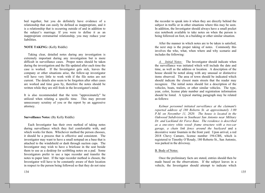bed together, but you do definitely have evidence of a relationship that can easily be defined as inappropriate, and it is a relationship that is occurring outside of and in addition to the subject's marriage. If you were to define it as an inappropriate extramarital relationship, you may reduce your liabilities.

## **NOTE TAKING:** (Kelly Riddle)

Taking clear, detailed notes during any investigation is extremely important during any investigation but is more difficult in surveillance cases. Proper notes should be taken during the investigation and the file updated after each time the case is worked. If the Investigator gets sick, leaves the company or other situations arise, the follow-up investigator will have very little to work with if the file notes are not current. The details also seem to be forgotten after other cases are worked and time goes by, therefore the notes should be written while they are still fresh in the Investigator's mind.

It is also recommended that the term "approximately" be utilized when relating a specific time. This may prevent unnecessary scrutiny of you or the report by an aggressive attorney.

## **Surveillance Notes: (By Kelly Riddle)**

Each Investigator has their own method of taking notes during surveillance which they feel comfortable with, and which works for them. Whichever method the person chooses, it should be a process that is effective and consistent. The investigator may want to have a small notepad on a base that is attached to the windshield or dash through suction cups. The Investigator may wish to have a brief case in the seat beside them to use as a desktop for scribbling notes on a pad. Some Investigators prefer to use a tape recorder and transfer the notes to paper later. If the tape recorder method is chosen, the Investigator will have to be constantly aware of their location in respect to the person being followed so that they do not raise

the recorder to speak into it when they are directly behind the subject in traffic or in other situations where this may be seen. In addition, the Investigator should always have a small pocket size notebook available to take notes on when the person is being followed on foot, in a building or other similar situation.

After the manner in which notes are to be taken is satisfied. the next step is the proper taking of notes. Commonly this involves the who, what, when where and why scenario and includes the following:

A. Initial Notes: The Investigator should indicate when the surveillance was initiated which will include the date and time, as well as the address or location. A description of the house should be noted along with any unusual or distinctive items observed. The area of town should be indicated which should indicate the closest main streets that the reader may recognize. The initial notes should list a description of the vehicles, boats, trailers, or other similar vehicles. The type, year, color, license plate number and registration information should be listed. A typical starting paragraph may be related as follows:

Kelmar personnel initiated surveillance at the claimant's reported address of 180 Roberto St. at approximately 1:00 P.M. on November 11, 2020. The house is located in the Oakwood Subdivision in Southeast San Antonio near Military Dr. and Lackland Air Force Base. The residence is described as a one-story white wood- frame structure with a two-car garage, a chain link fence around the backyard and a decorative water fountain in the front yard. Upon arrival, a red 2018 Chevy Camaro, license number 194-CBS, which is registered to Timothy O'Roudy, 180 Roberto St., San Antonio, was parked in the driveway.

## B. Body of Notes:

Once the preliminary facts are stated, entries should then be made based on the observations. If the subject leaves in a vehicle, the Investigator should attempt to indicate which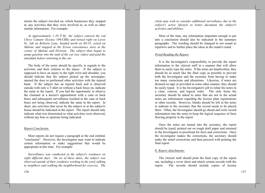streets the subject traveled on, which businesses they stopped at, any activities that they were involved in, as well as other similar information. For example:

At approximately 1:10 P.M., the subject entered the red Chevy Camaro (license 194-CBS) and turned right on Lewis St., left on Roberto Lane, headed north on IH-35, exited on Malone and stopped at the Exxon convenience store at the corner of Malone and Division. The subject then began to pump gasoline into the tank of the car (see video) and paid the attendant before returning to the car.

The body of the notes should be specific in regards to the activities and their relation to the injury. If the subject is supposed to have an injury to the right wrist and shoulder, you should indicate that the subject picked up the newspaper, opened the door or performed other activities with the injured hand. If the subject has an injured back and is observed outside with only a T-shirt on without a back brace on, indicate the same in the report. If you had the opportunity to observe the claimant at a doctor's appointment with a cane or back brace and subsequent surveillance resulted in the cane or back brace not being observed, indicate the same in the report. In short, any activities that occur by the subject or at the subject's house should be indicated in the report. The report should only indicate what was determined or what activities were observed, without any bias or opinions being indicated.

## **Report Conclusion:**

Most reports do not require a paragraph at the end entitled, "conclusion". However, the Investigator may want to indicate certain information or make suggestions that would be appropriate at this time. For example:

Surveillance was conducted at the subject's residence on eight different days. On six of these dates, the subject was observed outside of their residence working in the vard, talking to neighbors and walking the neighborhood for exercise. The client may wish to consider additional surveillance due to the subject's active lifestyle to better document the subject's activities and abilities.

> Most of the time, any information important enough to put into a conclusion should also be indicated in the summary paragraphs. The wording should be changed to not sound as repetitive and to further place the ideas in the reader's mind.

# Proof-Reading the Report:

It is the Investigator's responsibility to provide the report information to the clerical staff in a manner that will allow them to easily type the notes. If the notes are handwritten, they should be as much like the final copy as possible to prevent both the Investigator and the secretary from having to make too many corrections and alterations. Likewise, if notes are dictated on tape or provided in some other manner, they should be easily typed. It is the Investigator's job to relate the notes in a clear, concise, and logical order. The only items the secretary should be asked to enter that are not in the actual notes are information regarding the license plate registrations or other records. However, blanks should be left in the notes to indicate to the secretary that the record needs to be placed there. Often, the Investigator should go ahead and write record information into the notes to keep the logical sequence of facts flowing properly in the report.

Once the notes are turned into the secretary, the report should be typed, printed out on rough draft paper and returned to the Investigator to proofread for facts and corrections. Once the investigator makes the corrections, the secretary should make the noted corrections and then proceed with printing the final report.

# E. Report Attachments:

The clerical staff should print the final copy of the report out, including a cover sheet and attach certain records with the report. The records should include copies of license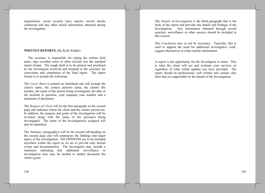registrations, social security trace reports, record checks conducted and any other useful information obtained during the investigation.

## **WRITTEN REPORTS: (By Kelly Riddle)**

The secretary is responsible for typing the written field notes, tape recorded notes or other records into the standard report format. The rough draft is to be printed and proofread by the investigator involved and returned to the secretary for corrections and completion of the final report. The report format is to include the following:

The Cover Sheet is printed on letterhead and will include the client's name, the contact person's name, the client's file number, the name of the person being investigated, the date of the incident in question, your company case number and a statement of disclaimer.

The Request of Client will be the first paragraph on the second page and indicates whom the client and the contact person are. In addition, the purpose and goals of the investigation will be re-stated along with the name of the person(s) being investigated. The name of the Investigator(s) assigned will also be identified.

The Summary paragraph(s) will be the second sub-heading on the second page and will summarize the findings and major topics of the investigation. NO OPINIONS are to be included anywhere within the report as we are to provide only factual events and documentation. The Investigator may include a statement indicating that additional surveillance or investigation time may be needed to further document the client's goals.

The *Details of Investigation* is the third paragraph that is the body of the report and provides the details and findings of the Investigation. Any information obtained through record searches, surveillance or other sources should be included in this section.

The *Conclusion* may or not be necessary. Typically, this is used to support the need for additional investigative work, suggest alternatives or relate similar information.

A report is the opportunity for the Investigator to shine. This is what the client will see and evaluate your services on regardless of what verbal updates you have provided. The report should be professional, well written and contain only facts that are supportable by the details of the Investigation.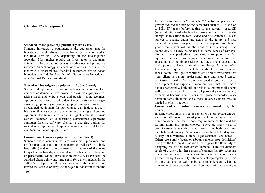# **Chapter 12 - Equipment**

## **Standard investigative equipment:** (By Jim Casteel)

Standard investigative equipment is the equipment that the Investigator would always expect that he or she may need in the field. This will vary depending on the Investigator's specialty. Most niches require an Investigator to document details therefore a pad and pen is a no-brainer and possibly a recorder. As technology advances more of these needs can be met with a smart phone. Standard equipment for an Arson Investigator will differ from that of a Surveillance Investigator or a Criminal Defense Investigator.

## **Specialized investigative equipment:** (By Jim Casteel)

Specialized equipment for an Arson Investigator may include evidence containers, cloves, tweezers, a camera appropriate for taking black and white photos and possibly some technical equipment that can be used to detect accelerants such as a gas chromatograph or a gas chromatography mass spectrometer. Specialized equipment for surveillance can include DVR s, NVRs or their successors, Silent running heating and cooling equipment for surveillance vehicles. signal jammers to avoid camera detection while installing surveillance equipment, computer forensic software, alternative charging options for surveillance equipment, frequency scanners, metal detectors, countersurveillance equipment etc.

## **Conventional Camera equipment:** (By Jim Casteel)

Standard video cameras that are consumer, prosumer, and professional grade fall in this category as well as SLR (single lens reflex) and mirrorless cameras. This is one of the many things that an Investigator should refresh his or her education on periodically. Since I have been in this field, I have seen the standard change time and time again for camera media. In the 1980s VHS tapes and Betamax tapes were the standard and toward the late 80s or early 90s it began to transform to smaller

formats beginning with VHS-C (the "C" is for compact) which greatly reduced the size of the camcorder then to Hi-8 and on to Mini DV tapes before getting to the currently used SD (secure digital) card which is the most common type of media storage at this time in most video and still cameras. This is subject to change again and again in the future and may eventually stream from your camera to your phone and then to your cloud server without the need of media storage. The technology is already being used on some types of cameras. Not to make predictions, but simply to point out that equipment is an ever-changing technology that requires an Investigator to continue seeking the latest and greatest. The main points to keep in mind is to always focus on what features are required to meet the needs of the case (manual focus, zoom, low light capabilities etc.) and to remember that your client is paying professional rate and should expect professional results. You are only as good as your worst piece of equipment. One especially important point that I will make about photography, both still and video is that most all clients will expect a date and time stamp. I personally carry a variety of cameras because smaller consumer grade camcorders work better in some situations and a more advance camera may be needed in other situations.

## Covert and custom-built camera equipment: (By Jim Casteel)

In some cases, an Investigator can enter a store, restaurant etc. and film with his or her smart phone without being detected; I don't condemn that, but it does require some caution and has its limitations and inconveniences. There are many types of covert camera's available which range from body-worn and handheld to stationary. Some cameras are built to be disguised as key fobs, watches, buttons, light switches, you name it. Others are simply board or ribbon cameras (see definitions) that give the technically inclined Investigator the flexibility of designing his or her own covert camera. There are different levels of quality with these types of cameras therefor some are much more reliable than others and have sharper pictures and a greater low light capability. The media storge capability differs in these cameras as well so be sure to understand what the maximum storage capacity is and how much of that capacity is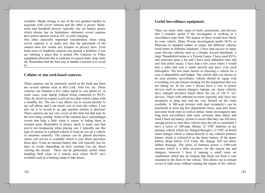available. Media storage is one of the two greatest hurdles to negotiate with covert cameras and the other is power. Bodyworn and handheld devices typically rely on battery power which always has its limitations, stationary covert cameras have power options such as A/C or solar charging.

One other especially important consideration when using covert cameras is to make sure that the placement of the camera does not violate any trespass or privacy laws. Even body-worn or handheld cameras can present a problem if you are entering a place that is posted (No Cameras or Video equipment allowed) this is common in concert halls, strip clubs etc. Remember that the best way to handle a lawsuit is to avoid it!

# Cellular or sim card-based cameras.

These cameras can be extremely useful in the field and there are several options such as Rio Link, Arlo Go, etc. These cameras can transmit a live video signal to you phone or, in some cases, your laptop without being connected to Wi-Fi. They do, however require a cell service plan which comes with a monthly fee. The one I use allows me to record directly to my cell phone and I can email, text or store the videos. I can also set it to record to an app anytime motion is detected. These cameras are not very covert at this time but that may be the next thing coming. Some of the cameras have camouflaged covers that help a little when it comes to hiding them in wooded areas. Remember to always check to make sure that you're not trespassing when placing one. I typically use this type of camera in a parked vehicle to keep an eye on a vehicle or situation remotely. The camera can be placed anywhere where cell service is available which is just about anywhere these days. It has an internal battery that will typically last for days or weeks depending on how constant you are about viewing the stream. These can be particularly useful when handling theft cases in a remote area where Wi-Fi isn't available such as a hunting camp or lake house.

Useful Surveillance equipment.

There are many other types of tools, accessories, and devices that I consider useful if the investigator is working in a surveillance type field. The largest of these would most likely be your vehicle. Many Private Investigators prefer SUVs or Minivans to standard sedans or coups, but different vehicles work better in different situations. I have had success in many cases driving vehicles such as a Honda Accord hatchback, a large Thunderbird sedan or a Toyota Camry. I have used SUVs and minivans quite a bit and I have used industrial vans and tool bed utility trucks. I have had a few cases where I would hire a pilot and rent a small aircraft and have even used helicopters. The two main factors in choosing a vehicle for a case is adaptability and budget. The vehicle that you choose to be your primary surveillance vehicle should be equip with everything you can foresee needing for the assignment that you are taking on. In my case I always have a way to power devices such as camera chargers, laptops, etc. many vehicles have onboard inverters which allow the use of 120 V A/C devices. Those with onboard inverters typically only have one receptacle to plug into and are very limited on the watts available. A 300-watt inverter with dual receptacle's can be purchased at most big box department stores, auto part stores and some truck stops as well as online. Some investigators take long term surveillance jobs more seriously than others and want a back-up battery system to assure that they can still have enough power to start their vehicle once the job is concluded. I have a series of 100-amp lithium 12 VDC batteries in my primary vehicle which are charged through a 12 VDC on board smart charger which is linked directly to my vehicles primary battery which is referred to as the doner battery. If the doner battery drops below 12.4 Volts, the charger will not allow further drainage. The series of batteries power a 1500-watt inverter which is a little excessive for the typical fan and chargers, however I have it running a small room air conditioner which has an exhaust that feeds out from a vent mounted in the floor of the vehicle. This allows me to remain covert in tight areas without running the engine of the vehicle.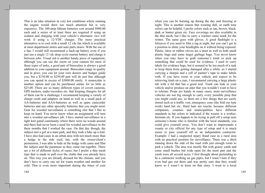This is an idea situation in very hot conditions where running the engine would draw too much attention but is very expensive. The 100-amp lithium batteries cost around \$900.00 each and a series of at least three are required if using an isolator and charging with your vehicle's alternator; two will work if using a 12-VDC charger. The more practical alternative is to cool with a small 12 vdc fan which is available at most department stores and auto parts stores. With the use of a fan, I would still recommend a back-up battery even if you just use a single 12 vdc deep cycle marine battery and charge it between jobs. Visual aid is another handy piece of equipment, although you can use the zoom on your camera for most of these types of tasks, a good pair of binoculars is always a good addition to your equipment arsenal. Binoculars range in quality and in price, you can let your own desires and budget guide you, but a \$150.00 to \$250.00 pair will do just fine although you can spend in excess of \$3000.00 easily. A monocular is another option and can be purchased online for as little as \$25.00. There are so many different types of covert cameras, GPS trackers, audio recorders etc. that keeping chargers for all of them can be a challenge; I recommend keeping a variety of charge cords and adapters on hand as well as a small pack of AA-batteries and AAA-batteries as well as spare camcorder batteries and any other specialty batteries that you might need. Gear for wooded surveillance is something else that I like to keep on hand. You never know when an assignment will turn into a wooded surveillance job. I have started surveillance in a tight knit gated community where there were no woods around and there had never been a need for wooded surveillance in the three months that I worked the case. On that day though, the subject met a girl at a state park, and they took a hike up a trail. I have also had cases in an urban area with not much more than a hedge in the side vard, but, with the owner/client's permission, I was able to hide in the hedge with camo and film the subject and the paramour as they came out together. There are a lot of different styles of camo, but I prefer a thin mesh type that is made to pull over the cloths that you already have on. This way you are already dressed for the climate, and you don't have to carry one set for warm weather and another for cold. That is even more important during the times of year

when you can be burning up during the day and freezing at night. This is another reason that wearing dull, or earth tone colors can be helpful, I prefer colors such as tan, brown, black, dark or hunter green etc. Face coverings are also available in the thin mesh, but I like to carry a warmer camo mask for the winter. The same goes with gloves. A good flashlight is a lifesaver if you need to film a tag at night, but you can't get in a position to shine your headlights on it without being exposed. Plastic, latex or rubber cloves are a must as well as both small plastic bags and some larger garbage bags. You never know when you may have to grab someone's trash or pick up something that could be used for evidence. I used to carry labels for evidence bags, but it seemed to be too much of a task to keep them from getting damaged after a while, so I started carrying a sharpie and a roll of painter's tape to make labels with. If you have room in your vehicle and expect to be retrieving trash on a case, I recommend carrying a large plastic tub with a lid that has a good seal. Trash can leak in your vehicle and/or produce an odor that you wouldn't want to have to tolerate. Props are handy in many cases; most surveillance vehicles are not big enough to carry every possible prop that you might could use, so there are a few things that are easily stored such as a traffic vest, emergency cone (the fold out type) work) hard hat etc. Hard hats are touchy because different companies, counties and municipalities have different standards in hat colors to indicated if the wearer is a worker, foreman etc. If you happen to be trying to pull off a setup near someone's home who is familiar with the local standards, you could give yourself away. You don't want to impersonate a county or city official for any type of setup and it is much easier to pass yourself off as an independent contractor. Example: I had a suspected injury fraud case in a rural area with no practical position for surveillance. There was a ditch running down the side of the road with just enough room to park a vehicle. The area was mostly flat with grassy yards and some small bushes but wide open for the most part and the yards were all several acres. I first thought about pretending to be a contractor working on gas pipes, but I wasn't sure if they even had gas out there and was pretty sure that they would know so I wasn't to keen on that story. I went to a local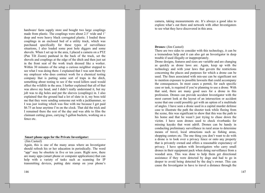hardware/ farm supply store and bought two large couplings made from plastic. The couplings were about 2.5' wide and 1' deep and were heavy black corrugated plastic. I loaded these couplings in an enclosed bed of a utility truck, which was purchased specifically for these types of surveillance situations, I also loaded some post hole diggers and some shovels. When I set up in the area, I placed a camera on a PTZ (Pan Tilt Zoom) panhead in the back of the truck, set the shovels and couplings at the edge of the ditch and then just sat in the front seat of the work truck dressed like a worker. Within 30 minutes of the setup a curious neighbor stopped to see what I was doing there. I explained that I was sent there by my employer who does contract work for a chemical testing company that is putting some sort of traps in the ditch, something about testing to see if the weed killers used would affect the wildlife in the area. I further explained that all of that was above my head, and I didn't really understand it, but my job was to dig holes and put the sleeves (couplings) in. I also explained that the ground had a lot of slate in it, my boss told me that they were sending someone out with a jackhammer, so I was just waiting which was fine with me because I get paid \$6.75 an hour anytime I'm on the clock. That did the trick and I remained there the rest of the day and was able to film the claimant cutting grass, carrying 5-gallon buckets, working on a fence etc.

#### **Smart phone apps for the Private Investigator:**

#### (Jim Casteel)

Again, this is one of the many areas where an Investigator should refresh his or her education in periodically. The word "app" may be obsolete in five or ten years. Right now, there are many apps (smart phone or computer applications) that can help with a variety of tasks such as scanning for IP transmitting devices, putting date stamp on your phone's

146

camera, taking measurements etc. It's always a good idea to explore what's out there and network with other Investigators to see what they have discovered in this area.

#### **Drones:** (Jim Casteel)

There are two sides to consider with this technology, it can be a tremendous help and it can also get an Investigator in deep trouble if used illegally or inappropriately.

Drone designs, features and sizes are variable and are changing as quickly as drone laws are. Again, keep up with the technology and with your laws that govern the restrictions concerning the places and purposes for which a drone can be used. The fines associated with mis-use can be significant not to mention exposure to possible lawsuits that could accompany the consequences. In most cases a permit, for each specific case or task, is required if you're planning to use a drone. With that said, there are many good uses for a drone in this profession. Drones can provide accident Investigator with the most current look at the layout of an intersection or accident scene that one could possibly get with an option of a multitude of angles. I have seen a drone used in a capital murder defense case to illustrate the path the shooter took while fleeing from the scene, this was significant to show that this was the path to his home and that he wasn't just trying to chase down the victim. I have seen drones used to check riverbanks for missing kayaks that went adrift. Drones can be handy in conducting preliminary surveillance in rural areas to determine means of travel, local attractions such as fishing areas, shopping centers etc. The one thing you don't want to do with a drone is to look over a privacy fence or onto any property that is privately owned and offers a reasonable expectancy of privacy. I have spoken with Investigators who carry small drones in their equipment pack when doing surveillance from a wooded area. This was done to help them get directional assistance if they were detected by dogs and had to go in deeper to avoid being detected by the dog's owner. This can cause the Investigator to have to travel a distance through the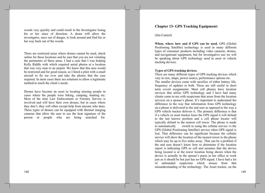woods very quickly and could result in the Investigator losing his or her since of direction. A drone will allow the investigator, once out of danger, to look around and find his or her way back out of the woods.

There are restricted areas where drones cannot be used, check online for these locations and be sure that you are not violating the perimeters of these areas. I had a case that I was helping Kelly Riddle with which required aerial photos at a location that was very near to an airport. We knew that this area would be restricted and for good reason, so I hired a pilot with a small aircraft to fly me over and take the photos that the case required. In most cases there are solutions to allow a legitimate method to reach the client's needs.

Drones have become an asset in locating missing people in cases where the people were hiking, camping, hunting etc. Most of the time Law Enforcement or Forestry Service is involved and will have their own drones, but in cases where they don't, they will often except help from anyone who does. These types of drones can be equipped with thermal imaging cameras that allow the user to see the heat signature of the person or people who are being searched for.

# **Chapter 13- GPS Tracking Equipment:**

#### (Jim Casteel)

When, where how and if GPS can be used. GPS (Global Positioning Satellite) technology is used in many different types of consumer products including video cameras, drones, and navigational equipment, but for investigative use we will be speaking about GPS technology used in asset or vehicle tracking devices.

# Types of GPS tracking devices.

There are many different types of GPS tracking devices which vary in size, shape, power source, performance options etc.

The smaller devices come with sacrifice of either battery life, frequency of updates or both. These are still useful in short term covert assignments. Most cell phones have location services that utilize GPS technology and I have had many clients come to me with suspicions that arose from the location services on a spouse's phone. It's important to understand the difference in the way that information from GPS technology on a phone is delivered to the end user as opposed to the way a GPS vehicle tracker delivers it. The primary difference is that if a vehicle or asset tracker loses the GPS signal it will default to the last known position and a cell phone locater will typically default to the nearest cell tower. The phone is made to automatically switch to using the cellular service vs the GPS (Global Positioning Satellite) service when GPS signal is lost. That difference can be significant because the cellular service will show the location of the nearest tower to the phone which may be up to five miles away. That can be a problem if the end user doesn't know how to determine if the location report is indicating GPS or cell and assumes that the device being located is at the tower location being shown when the device is actually in the spouse's purse in her office at work just as it should be but just has no GPS signal. I have had a lot of unfounded suspicions which arouse from that misunderstanding of the technology. The Asset tracker, on the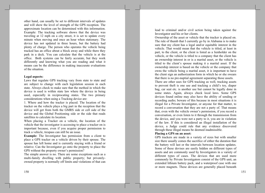other hand, can usually be set to different intervals of updates and will show the level of strength of the GPS reception. The approximate location can be determined with this information. Example: The tracking software shows that the device was traveling at 12 mph on a city street, it is set to update every minute when moving and once an hour when stationary. The device has not updated in three hours, but the battery had plenty of charge. The person who operates the vehicle being tracked has an office about a block away and while there they park in a deck. You can calculate that the vehicle is at the office. Both systems can be fairly accurate, but they work differently and knowing what you are reading and what it means can be the difference in making inaccurate evaluations of the situation.

#### Legal aspects:

Laws that regulate GPS tracking vary from state to state and are subject to change with each legislation session in each state. Always check to make sure that the method in which the device is used is within state law where the device in being used, especially in reciprocating states. The two primary considerations when using a Tracking device are:

1. Where and how the tracker is placed. The location of the tracker on the vehicle plays a big part in the reception that the device will get from both the GMRS side or cell side of the device and the Global Positioning side or the side that reads satellites to calculate its location.

When placing a Tracker on a vehicle, the location of the vehicle that the investigator is accessing to place a tracker on is important because, even if you acquire proper permission to track a vehicle, trespass can still be an issue.

**Example:** The Investigator has permission from a client to place a GPS tracker on a vehicle driven by their spouse. The spouse has left home and is currently staying with a friend or relative. Can the Investigator go onto the property to place the GPS without the property owner's permission?

The simple answer is no. There are some exceptions such as a multi-family dwelling with public property; but privatelyowned property is normally off limits and violations of that can

150

lead to criminal and/or civil action being taken against the Investigator and his or her clients.

Ownership of the asset or vehicle that the tracker is placed on. The rule of thumb that I currently go by in Alabama is to make sure that my client has a legal and/or equitable interest in the vehicle. That would mean that the vehicle is titled, at least in part, to the client, or the client is listed as a lienholder on the vehicle, or the vehicle is titled to a company that the client has an ownership interest in or is a marital asset, or the vehicle is titled to the client's spouse making it a marital asset. If the ownership interest is based on the vehicle or the company that owns the vehicle being a marital asset, it is important to have the client sign an authorization form in which he or she swears that there is no pre-nuptial agreement separating those assets.

There are other uses for GPS tracking as well, tracking assets to prevent theft is one use and tracking a child's toy, diaper bag, car seat etc. is another use but cannot be legally done in some states. Again, always check local laws. Some GPS devices found online may also have the ability of sending or recording audio; beware of this because in most situations it is illegal for a Private Investigator, or anyone for that matter, to record a conversation that they are not a party of. That means that, even with the vehicle owner's permission, if you record a conversation, or even listen to it through the transmission from the device, and you were not a party to it, you are in violation of the law. If this is considered an illegal installation of the device, a Judge could rule that any evidence discovered through these illegal means be deemed inadmissible.

## Placing a GPS on an asset:

GPS trackers are made in a variety of sizes but with smaller size there usually comes the sacrifice of either the duration that the battery will last or the intervals between location updates. Some of these devises are easily hidden on different types of assets and are commonly used by Investigators in a variety of different types of cases. The devices that are used more commonly by Private Investigators consist of the GPS unit, an extended lithium battery pack, and a waterproof case with one or more magnets. These devices are generally placed beneath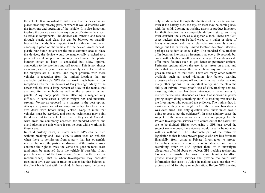the vehicle. It is important to make sure that the device is not placed near any moving parts or where it would interfere with the functions and operation of the vehicle. It is also important to place the device away from any source of extreme heat such as exhaust components. The devices can transmit and receive through plastic and glass but can be blocked or partially blocked by metals. It is important to keep this in mind when choosing a place on the vehicle for the device. Areas beneath plastic rear bump covers are the most common area to place the devices, the device would be magnetically attached to a piece of metal support or unibody panel under the plastic bumper cover to keep it concealed but allow optimal connection to the satellites and cell towers. This is not always an option, especially in trucks and some types of Jeeps where the bumpers are all metal. One major problem with these vehicles is reception from the limited locations that are available, but today's GPS devices work much better in low reception areas that the devices of ten years ago. Many of the newer vehicle have a large percent of alloy in the metals that are used for the unibody as well as the exterior structural panels. Alloy body parts make attaching a magnet very difficult, in some cases a lighter weight box and industrial strength Velcro as opposed to a magnet is the best option. Always carry some sort of wet-wipe and a dry cloth to wipe an area down with before using Velcro. Keep in mind that vehicles must be serviced, and service technicians may point the device out to the vehicle's driver if they see it. Consider what areas are commonly accessed for standard service and avoid placing the unit where it can be seen while working in these areas.

In child custody cases, in states where GPS can be used without breaking and laws, GPS is often used on vehicles when there is permission from a party that has ownership interest; but once the parties are divorced, if the custody issues continue the right to track the vehicle is gone in most cases (and must be removed from the vehicle if possible, if not possible a record of the termination of service to the device is recommended). That is when Investigators may consider tracking a toy, a car seat or travel or diaper bag that belongs to the client but is kept with the child. In these cases, the battery

152

only needs to last through the duration of the visitation and, even if the battery dies, the toy, or asset may be coming back with the child. Looking at tracking assets or product inventory for theft detection is a completely different story, you may even consider the GPS as a disposable tool. There are GPS asset trackers that can be hard-wired to a trailer or piece of heavy equipment and has a relatively low monthly service charge but has extremely limited location detection intervals, perhaps as seldom as once a day. The standard GPS trackers offer location intervals as frequently as every 10 seconds but come with a higher monthly service charge. These devices do offer more features such as geo fence or perimeter options. Perimeter options allows the user to set areas on a map and alerts that will message the users phone anytime the device goes in and out of that area. There are many other features available such as speed violation, low battery warning excessive idle and engine off and on (in wired in devices) and many other options. It is important to try and maintain the ability of Private Investigator's use of GPS tracking devices, most legislation that has been introduced in other states to restrict the use was introduced as a result of someone in power getting caught doing something and GPS tracking was used by the Investigator who obtained the evidence. The truth is that, in most cases, they were caught before the Private Investigator was ever hired. The only question was, "how much was it going to cost to get the evidence?". In most adultery cases the subject of the investigation either ends up paying for the Private Investigators services of it comes out of the assets that are to be divided. Either way, using a GPS just saved the subject some money, the evidence would usually be obtained with or without it. The unfortunate part of the restrictive legislation is that it does prevent people who are less fortunate financially from using a Private Investigator to protect themselves against a spouse who is abusive and has a restraining order or PFA against them or to investigate allegations of child abuse or neglect. GPS tracking technology has made it possible for lower income families to afford private investigative services and provide the court with information that assist a Judge in making decisions that will protect a child for abuse or molestation. Before GPS tracking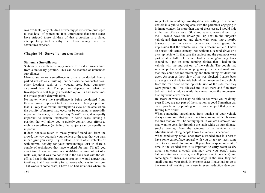was available; only children of wealthy parents were privileged to that level of protection. It is unfortunate that some states have stripped those children of that protection in a failed attempt to protect wealthy men from having their mis adventures exposed.

# **Chapter 14 - Surveillance:** (Jim Casteel)

#### **Stationary Surveillance:**

Stationary surveillance simply means to conduct surveillance from a stationary position. This can be manned or unmanned surveillance.

Manned stationary surveillance is usually conducted from a parked vehicle or a building; but can also be conducted from other locations such as a wooded area, boat, dumpster, cardboard box etc. The position depends on what the Investigator's best legally accessible option is and sometimes the Investigator's determination.

No matter where the surveillance is being conducted from, there are some important factors to consider. Having a position that is likely to allow the Investigator a view of the area where the activity of interest may occur or be occurring is especially important. In many, or I should say "most" cases, it is equally important to remain undetected. In some cases, having a position that will allow you to quickly convert your efforts to mobile surveillance (or tailing the subject) can be equally as important.

It does not take much to make yourself stand out from the crowd, the way you park your vehicle or the area that you park in can give you away. Try to blend in with other vehicles or with normal activity for your surroundings. Just to share a couple of techniques that have worked for me, I'll tell you about time I was working in a Wal-Mart parking lot out of a rental car, and it was too hot to sit in the back seat with the AC off, so I sat in the front passenger seat so, it would appear that to others, that I was waiting for someone who was in the store. That works in some cases, I have also had situations where the

subject of an adultery investigation was sitting in a parked vehicle in a public parking area with the paramour engaging in intimate contact. In more than one of these cases, I would hide in the rear of a van or an SUV and have someone drive it for me. I would have the driver pull up next to the subject's vehicle and then get out and either walk away into a nearby business or get in another vehicle and leave, giving the impression that the vehicle was now a vacant vehicle. I have also used this same concept bot without a second drive or a pick-up vehicle. In that case the subject and the paramour were parked at a ball field which had a running/walking track around it. I put on some running clothes that I had in the vehicle with me and got out of the vehicle. The couple had seen me pull up and were keeping an eye on me so I made sure that they could see me stretching and then taking off down the track. As soon as their view of me was blocked, I snuck back up using my vehicle to hide behind then re-entered my vehicle from the rear door on the opposite side of the side that they were parked on. This allowed me to sit there and film from behind tinted windows while they were under the impression that my vehicle was vacant.

Be aware of who else may be able to see what you're doing, even if they are not part of the situation, a good Samaritan can cause problems by pointing out to your subject that you are filming him or her.

When conducting surveillance from outside of your vehicle always make sure that you are not trespassing while choosing the area that you will be setting up in. If you are a smoker, you may want to consider dropping the habit while on surveillance; smoke coming from the window of a vehicle is an advertisement letting people know the vehicle is occupied.

When conducting surveillance from a wooded area it is best to have some camouflage apparel with you or at very least some earth tone colored clothing on. If you plan on spending a bit of time in the wooded area it is important to carry water (a dry throat can cause a cough that may give you away), extra batteries for your camera, a cell phone (kept on silent) and some type of snack. Be aware of dogs in the area, they can smell you and your food. In extreme cases I have had to go to the extent of washing my close in scent reduction detergent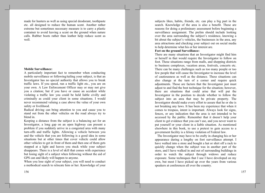made for hunters as well as using special deodorant, toothpaste etc. all designed to reduce the human scent. Another rather extreme but sometimes necessary measure is to carry a plastic container to avoid leaving a scent on the ground when nature calls. Rubber boots rather than leather help reduce scent as well.

## **Mobile Surveillance:**

A particularly important fact to remember when conducting mobile surveillance or following/tailing your subject, is that an Investigator has no special authority that allows you to break traffic laws. If you speed, run a traffic light etc., you are on your own. A Law Enforcement Officer may or may not give you a citation; but if you have or cause an accident while violating a traffic law you could be held liable civilly and criminally as could your client in some situations. I would never recommend valuing a case above the value of your own safety or livelihood.

Radical driving can bring attention to you and cause you to stand out from the other vehicles on the road always try to blend in.

Keeping a distance from the subject is a balancing act for an Investigator, a long gap on an open highway can present a problem if you suddenly arrive in a congested area with many turn-offs and traffic lights. Allowing a vehicle between you and the vehicle that you are following is a good idea in some situations but at other times that cover vehicle could allow other vehicles to get in front of them and then one of them gets stopped at a light and leaves you stuck while your subject disappears. There is a level of skill that comes with experience but losing sight of a subject when following without the aid of GPS can and likely will happen to anyone.

When you lose sight of your subject, you will need to conduct a methodical search to relocate him or her. Knowledge of your

subjects likes, habits, friends, etc. can play a big part in the search. Knowledge of the area is also a benefit. These are reasons for doing a preliminary assessment before beginning a surveillance assignment. The prelim should include looking over the area surrounding the subject's residence, knowing a bit about the subject's vehicles, the businesses in the area, any area attractions and checking your subject out on social media to help determine what his or her interest are.

#### Feet on the ground Surveillance:

There are many situations that an Investigator might find him or herself in that would require the Investigator to follow on foot. These situations range from malls, and shopping districts to business complexes, vacation areas, festivals, concerts etc. There can be many challenges such as too many people or too few people that will cause the Investigator to increase the level of cautiousness as well as the distance. These situations can also change at the turn of a corner and require quick adjustments. Those are factors that the Investigator just must adjust to and find the best technique for the situation; however, there are situations that could arise that will put the Investigator in the position to decide whether to follow the subject into an area that may be private property. The Investigator should make every effort to assure that he or she is not breaking any laws. It has been my experience that when it comes to trespass, intent is important. Always look for signs, fences, or any indication that the area is not intended to be accessed by the public. Remember that it doesn't help your client to get evidence that you can't use, and you never want to put yourself or your client in a liable situation. As mentioned elsewhere in this book, to use a pretext to gain access to a government facility is a felony violation of Federal law.

The Investigator may have to be crafty in changing his or her appearance during a lengthy on foot surveillance attempt. I have walked into a store and bought a hat or shirt off a rack to quickly change when the subject was in another part of the store, and I have walked in and out of surrounding buildings in order to watch the subject through widows and reduce exposure. Some techniques that I use I have developed on my own, but most I have picked up over the years from various speakers at conferences all over the country.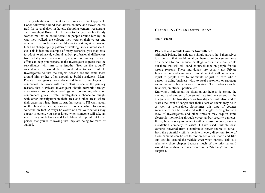Every situation is different and requires a different approach. I once followed a blind man across country and stayed on his trail for several days in hotels, shopping centers, restaurants etc. throughout Boise ID. This was tricky because his family warned me that he could detect the people around him by the way they walked, the cologne they wear or their voices and accents. I had to be very careful about speaking at all around him and change up my pattern of walking, shoes, avoid scents etc. This is just one example of many scenarios, you may have to adapt to physical, cultural and/or professional differences from what you are accustom to, a good preliminary research effort can help you prepare. If the Investigator expects that the surveillance will turn to a lengthy "feet on the ground" surveillance, it would be a good idea to use multiple Investigators so that the subject doesn't see the same faces around him or her often enough to build suspicions. Many Private Investigators work alone and have no employees or contractors that work with them. This is one of the primary reasons that a Private Investigator should network through associations. Association meetings and continuing education conferences gives Private Investigators a chance to mingle with other Investigators in their area and other areas where their cases may lead them to. Another scenario I'll warn about is the Investigator's appearance to others while following someone on foot. Always be aware of how your actions may appear to others, you never know when someone will take an interest in your behavior and feel obligated to point out to the person that you're following that they are being followed or stalked.

# **Chapter 15 - Counter Surveillance:**

(Jim Casteel)

#### **Physical and mobile Counter Surveillance:**

Although Private Investigators should always hold themselves to a standard that would not allow them to conduct surveillance on a person for an unethical or illegal reason, there are people out there that will still conduct surveillance on people for the wrong reasons. These individuals are usually not Private Investigators and can vary from attempted stalkers or even rapist to people hired to intimidate or just to learn who a person is doing business with, to steal customers or sabotage an individual's business or corporation. The motives can be financial, emotional, political etc.

Knowing a little about the situation can help to determine the methods and amount of personnel required to succeed in the assignment. The Investigator or Investigators will also need to assess the level of danger that their client or clients may be in as well as themselves. Sometimes this type of counter surveillance can be conducted with a single Investigator or a crew of Investigators and other times it may require some electronic monitoring through covert and/or security cameras. It may be necessary to contract with a licensed security camera installation company to assist. I have used multiple dash cameras powered from a continuous power source to surveil from the potential victim's vehicle in every direction. Some of these cameras can be set to motion activation mode and film any activity around the vehicle even when parked. This is a relatively short chapter because much of the information I would like to share here is covered in the "stalking" portion of chapter 8.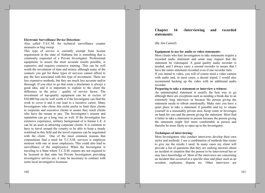#### **Electronic Surveillance Device Detection:**

Also called T.S.C.M. for technical surveillance counter measures or bug sweep.

This type of service is currently exempt from license requirement in the state of Alabama but is something that is commonly requested of a Private Investigator. Professional equipment, to assure the most accurate results possible, is expensive and requires extensive training. This can be well worth the investment of time and money although many of the contacts you get for these types of services cannot afford to pay the fees associated with this type of investment. There are less expensive methods, but they are much less accurate and/or thorough. If you elect to go that route a disclaimer is always a good idea, and it is important to explain to the client the difference in the price / quality of service factor. The investment of top-quality equipment can be in excess of \$30,000 but can be well worth it if the Investigator can find the work to cover it and it can lead to a lucrative career. Many Investigators who chose this niche prefer to limit their clients to corporate and executive clients to assure they reach clients who have the means to pay. The Investigator's resume and reputation can go a long way as well. If the Investigator has extensive experience, military background of is former L.E. it can be an asset in attracting corporate clients. It is common to have to travel around the country to be able to keep a steady workload in this field and the travel expenses can be negotiated with the client. One of the most common reasons that corporations find a need for T.C.S.M. services is employee mistrust with one or more employees. This could also lead to surveillance of the employee(s). When the Investigator is traveling to a State where T.C.S.M. experts are not required to be licensed in that state but Private Investigators providing investigative service are, it may be necessary to contract with some local investigative licensees.

#### **Chapter** -Interviewing 16 and recorded statements:

# (By Jim Casteel)

#### Equipment to use for audio or video statements:

Most clients who hire Investigators to take statements require a recorded audio statement and some may request that the statement be videotaped. A good quality audio recorder is needed, and I always carry a second recorder to assure that I have the entire statement recorded even if one recorder fails.

If you intend to video, you will of course need a video camera with audio and, in most cases, a decent tripod. I would also recommend backing up the video with an additional audio recorder.

#### Preparing to take a statement or interview a witness:

An uninterrupted statement is usually the best way to go although there are exceptions such as needing a break due to an extremely long interview or because the person giving the statement needs to reboot emotionally. Make sure you have a quiet place to take a statement if possible and try to situate yourself in a reasonably private area. Keep water or beverages on hand for you and the person giving the statement. Most find it better to take a statement in person because the person giving the statement might feel more comfortable in person and therefor be more likely to open up to the Investigator.

#### **Techniques of interviewing:**

Most Investigators who conduct interviews develop their own styles and methods. I use a combination of methods that seems to give me the results I need. In many cases my client will provide a list of questions that they are seeking answers about an incident or situation that the person to be interviewed has or may have knowledge of. Most of the interviews are concerning an incident that occurred at a specific time and place such as an accident, explosion, dispute etc. Other interviews are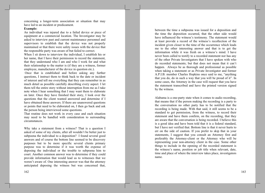concerning a longer-term association or situation that may have led to an incident or predicament.

## Example:

An individual was injured due to a failed device or piece of equipment at a commercial location. The Investigator may be asked to interview past and current maintenance personnel and supervisors to establish that the device was not properly maintained or that there were safety issues with the device that the responsible party was aware of but failed to correct.

When I sit down to interview the individual, I establish his or her name, that I have their permission to record the statement, that they understand who I am and who I work for and what their relationship to the matter is (if they are a witness, former employee, manufacturer of the device in question etc.).

Once that is established and before asking any further questions, I instruct them to think back to the date or incident of interest and tell me everything that they can remember in as much detail as possible carefully describing every aspect. I let them tell the entire story without interruption from me as I take note when I hear something that I may want them to elaborate on later. Once they have finished their story, I look over the questions that the client wanted answered and determine if I have obtained those answers. If there are unanswered questions or points that need to be elaborated on, I then go back and ask the person being interviewed some questions.

That routine does not work in every case and each situation may need to be handled with consideration to surrounding circumstances.

Why take a statement from a witness? That is a question I asked of some of my clients, after all wouldn't be better just to subpoena the individual to a deposition? I found several good answers and of course the bottom line seemed to be discovery purposes but to be more specific several clients primary purpose was to determine if it was worth the expense of deposing the individual or the trouble to subpoena him to court. Another common answer was to determine if they could provide information that would lead us to witnesses that we weren't aware of. One interesting answer was that the attorney anticipated deposing the witness but was concerned that,

between the time a subpoena was issued for a deposition and the time the deposition occurred, that the other side would have influenced the witness's testimony. The statement would at least provide a record of the witness's recollection of the incident given closer to the time of the occurrence which leads me to the other interesting answer and that is to get the information while it was fresh on a witness's mind. I have never been called to testify to a recorded statement nor has any of the other Private Investigators that I have spoken with who do recorded statements; but that does not mean that it can't happen. Always be as thorough and professional as possible when taking a statement or as Private Investigator and former A.P.I.B. member Charles Hopkins once said to me, "anything that you do, do in such a way that you will be proud of it". In some cases, the Attorney in the case will request that you have the statement transcribed and have the printed version signed by the witness.

Alabama is a one-party state when it comes to audio recording, that means that if the person making the recording is a party to the conversation no other party has to be notified that the recording is being made. With that said, it still seems to be a standard to get permission, from the witness, to record their statement and have them confirm, on the recording, that they are aware that the conversation is being recorded. I believe this is a good idea and have been told that it is a federal standard, but I have not verified that. Bottom line is that it never hurts to err on the side of caution. If you prefer to skip that in your statements, I suggest that you consult an Attorney first and preferably the Attorney-client or the Attorney who will be representing your non-attorney client in the case. Some other things to include in the opening of the recorded statement is the witness's name, position or job title when relevant, date, time and place of where the interview takes place, investigators name.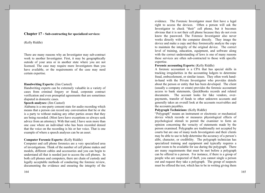# **Chapter 17 - Sub-contracting for specialized services:**

(Kelly Riddle)

There are many reasons why an Investigator may sub-contract work to another Investigator. First, it may be geographically outside of your area or in another state where you are not licensed. The case may require more Investigators than you have available, or the requirements of the case may need certain expertise.

# **Handwriting Experts: (Jim Casteel)**

Handwriting experts can be extremely valuable in a variety of cases from criminal forgery or fraud, corporate contract verification and even prenuptial agreements that are sometimes disputed in domestic cases.

# **Speech analyses:** (Jim Casteel)

Alabama is a one-party consent state for audio recording which means that a person can record any conversation that he or she is a party to without making any other parties aware that they are being recorded. (Most laws have exceptions so always seek advice from an attorney). With that said, I have seen more than one case where an individual who has been recorded denied that the voice on the recording is his or her voice. That is one example of where a speech analyses can be an asset.

## **Computer Forensic Experts: (Kelly Riddle)**

Computer and cell phone forensics are a very specialized area of investigations. Think of the number of cell phone makes and models, different cables and accessories and you can begin to understand all that is needed just to access the cell phones. In both cell phones and computers, there are chain of custody and legally acceptable methods of conducting the forensic review. documenting the evidence and ensuring the integrity of the

evidence. The Forensic Investigator must first have a legal right to access the devices. Often a person will ask the Investigator to check "their" cell phone, but it becomes obvious that it is not their cell phone because they do not even know the password. The Forensic Investigator also never works directly with the computer directly. They image the device and make a copy and they forentically analyze the copy to maintain the integrity of the original device. The correct level of training, education, equipment, and software along with the correct understanding of laws is one of many reasons these services are often sub-contracted to those with specific expertise.

# **Forensic accounting Experts:** (Kelly Riddle)

A forensic accountant is a CPA that has special skills in tracking irregularities in the accounting ledgers to determine fraud, embezzlement, or similar issues. They often work handin-hand with the Private Investigator who provides details about the person or entity that has been developed. The client (usually a company or estate) provides the forensic accountant access to bank statements, QuickBooks records and related documents. The account looks for fake vendors, overpayments, transfer of funds to other unknown accounts and generally takes an overall look at the accounts receivables and the accounts payables.

## Polygraph Technicians: (Kelly Riddle)

"Polygraph" means an instrument or electronic or mechanical device which records or measures physiological effects of psychological stimuli to permit the examiner to form an opinion concerning the veracity of statements made by the person examined. Polygraphs are traditionally not accepted by courts but are one of many tools Investigators and their clients may be able to use to help determine the accuracy of a person's alibi, character, or credibility. The polygraph technician has specialized training and equipment and typically requires a quiet room to be available for use during the polygraph. There are many requirements that must be met before a polygraph can be offered to a person. For instance, if there is a group of people who are suspected of theft, you cannot single a person out and request they take a polygraph. The group of suspects must be offered the test, which has to be in writing giving them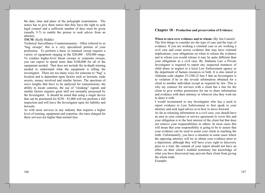the date, time and place of the polygraph examination. The notice has to give them notice that they have the right to seek legal counsel and a sufficient number of days must be given (usually 5-7) to enable the person to seek advice from an attorney.

# **TSCM:** (Kelly Riddle)

Technical Surveillance Countermeasures: Often referred to as "bug sweeps" this is a very specialized portion of your profession. To perform a basic or minimal sweep requires a variety of equipment ranging in the \$20,000 - \$50,000 range. To conduct higher-level threat sweeps or corporate sweeps, you can expect to spend more than \$100,000 for all of the equipment needed. That does not include the in-depth training needed to understand what the equipment is telling the investigator. There are too many ways for someone to "bug" a location and is dependent upon factors such as lawsuits, trade secrets, money involved and similar factors. The spectrum of wave lengths that have to be analyzed for transmissions, the ability to locate cameras, the use of "cloaking" signals and similar factors requires great skill not normally possessed by the Investigator. It should be noted that using a single device that can be purchased for \$250 - \$1,000 will not perform a full inspection and will leave the Investigator open for liability and lawsuits.

As with most services in any industry that requires a higher level of training, equipment and expertise, the rates charged for these services are higher than normal fees.

# **Chapter 18 - Production and preservation of Evidence:**

When to turn over evidence and to whom: (By Jim Casteel) The first things to consider are the type of case and the type of evidence. If you are working a criminal case or are working a civil case and come across evidence that may have criminal implications, your obligations on when to release the evidence and to whom you would release it may be quite different than your obligations in a civil case. By Alabama Law a Private Investigator is required to report any suspected instances of child abuse or neglect to a local Law Enforcement agency or the department of human resources or both. It is also stated in Alabama code chapter 35-25B-22 line 5 that an Investigator is in violation if he or she reveals information obtained for a client to another individual except as required by law. This is why my contract for services with a client has a line for the client to give written permission for me to share information and evidence with their attorney or whoever else they wish me to share it with.

I would recommend to any Investigator who has a need to report evidence to Law Enforcement to first speak to your attorney and seek legal advice as to how to move forward.

As far as releasing information in a civil case, you should have an area in your contract or service agreement to cover this and your obligation is to the best interest of the client but that does not remove your responsibilities to others. In most cases this will mean that your responsibility is going to be to assure that your evidence can be used to assist your client in reaching the truth. Unfortunately, you have a situation in some cases where the opposing attorney will try to obtain your evidence prior to a deposition, although they will have every right to discovery prior to a trial, the content of your report should not have an effect on their client's truthful testimony but knowledge of what you have discovered may prevent their client from giving the whole truth.

Example: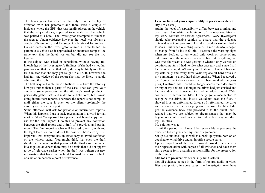The Investigator has video of the subject in a display of affection with her paramour and there were a couple of incidents where the GPS, that was legally placed on the vehicle that the subject drives, appeared to indicate that the vehicle was parked at a hotel. The Investigator attempted to travel to the area to obtain evidence however the hotel was always a couple of hours away and the subject only stayed for an hour. On one occasion the Investigator arrived in time to see the paramour's vehicle as it approached an interstate ramp at the same exit that the hotel was on but did not see the two together.

If the subject was asked in deposition, without having full knowledge of the Investigator's findings, if she had visited her paramour on that date at that hotel, she may be likely to tell the truth in fear that she may get caught in a lie. If, however she had full knowledge of the report she may be likely to avoid admitting the truth.

The best way to handle these situations is to have the attorney hire you rather than a party of the case. That can give your evidence some protection as the attorney's work product. I personally gather facts and make some field notes, but I avoid doing intermittent reports. Therefore the report is not compiled until either the case is over, or the client (preferably the attorney) requests the report.

Some attorneys will ask for periodic or intermittent reports. When this happens, I use a basic presentation in a word format marked "draft "as opposed to a printed and bound copy that I use for the final report. I do this to prevent any confusion between the final report and a draft of a previous and partial report. The final report is what will be used to testify with and the legal teams on both sides of the case will have a copy. It is important that everyone has an exact copy to avoid confusion on the witness stand. You might think that even the draft should be the same as that portion of the final case, but as an investigation advances there may be details that did not appear to be of relevance earlier when the draft was written but new information that has come to light has made a person, vehicle or a situation become a point of relevance.

# Level or limits of your responsibility to preserve evidence: (By Jim Casteel)

Again, the level of responsibility differs between criminal and civil cases. I regulate the limitation of my responsibilities in my work contract or service agreement. Every Investigator should take reasonable caution to assure that the evidence obtained is not compromised, lost, destroyed, or stolen. I had a lesson in this when operating systems in most desktops began to change from 32 bit to 64 bit. I discarded the warning signs when my back-up drives would only work on some of my older machines, the newer drives were fine but everything that was over four years old was getting to where it only worked on certain computers. I had no idea what caused it and, since I still had some access, didn't worry much about it. I would back up my data daily and every three years replace all hard drives in my computers to avoid hard drive crashes. When I received a call from a client about a case that had been worked five years prior, I realized that I could no longer access the older drives on any of my devices. I thought the drives had just crashed and had no idea that I needed to find an older model 32-bit computer to access the files. I finally got a mac laptop to recognize the drive, but it still would not read the files. It showed it as an unformatted drive, so I reformatted the drive and then ran a file recovery program to recover the files. I did get the evidence back and provided it to the client, but I realized that we are subject to circumstances that may be beyond our control, and I needed to find the best way to reduce my liabilities.

My solution was to:

Limit the period that I would be responsible to preserve the evidence to two years per my service agreement.

Set up a cloud back-up as well as a back-up system both on an attached external drive and an in office secure server.

Upon completion of the case, I would provide the client or their representation with copies of all evidence and have them sign a release form assuming responsibility for the preservation of the evidence.

#### **Methods to preserve evidence:** (By Jim Casteel)

Not all evidence comes in the form of reports, audio or video files and photos; in some cases, the Investigator may have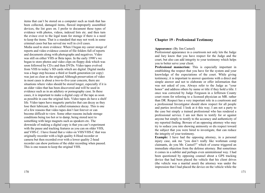items that can't be stored on a computer such as trash that has been collected, damaged items, flawed improperly assembled devices, the list goes on. I prefer to document these types of evidence with photos, videos, indexed lists etc. and then turn the evince over to the legal team for storage if there is a need to keep the items. That is a standard that may not work in some criminal cases but has served me well in civil cases. Media used to store evidence: When I began my career storge of reports and video evidence consist of file folders full of reports and documents along with photographs and negatives. Video was still on either VHS or Beta tapes. In the early 1990's we began to store photos and video clips on floppy disk which was soon followed by CD.s and then DVDs. Video tapes evolved from VHS to today's SD cards which are digital. Digital media was a huge step because a third or fourth generation (or copy) was just as clear as the original Although preservation of video in most cases is about a two-to-five-year concern, there are situations where video should be stored longer, especially if it is an older video that has been discovered and will be used in evidence such as in an adultery or pornography case. In these cases, it is important to make a digital copy of the tape as soon as possible in case the original fails. Video tapes do have a shelf life. Video tapes have magnetic particles that can decay as they lose their lubricant, this is called remanence decay. This is one of a few reasons that video tapes don't last forever or can become difficult to view. Some other reasons include storage conditions being too hot or to damp, being stored next to something with large magnets such as speakers etc. The downside of making a digital copy is that you can't experiment with the pause and tracking features as you can on older VHS, and VHS-C. I have found that a video on VHS/VHS-C that was originally recorder with a high quality 4-Head recorder or camera but then recorded over with a lower quality 2-head recorder can show portions of the older recording when paused. This is one reason to keep the original VHS.

# **Chapter 19 - Professional Testimony**

#### **Appearance:** (By Jim Casteel)

Professional appearance in a courtroom not only lets the Judge and Jury know that you have respect for the Judge and the court, but also can add integrity to your testimony which helps you to better serve your client.

Professional mannerism: This is especially important in establishing the respect that you have for the system and your knowledge of the expectations of the court. While giving testimony; it is important to answer questions with a direct and simple answer and not to elaborate or offer information that was not asked of you. Always refer to the Judge as "your honor" and address others by name or title if they hold a title. I once was corrected by Judge Ferguson in a Jefferson County court room for referring to a licensed physician as MR. rather than DR. Respect has a very important role in a courtroom and a professional Investigator should show respect for all people and parties involved. I look at it this way; I am not a party to the case but simply a trained professional who has rendered a professional service. I am not there to testify for or against anyone but simply to testify to the accuracy and authenticity of my reported finding. Beware of an opposing attorney who may try to seduce you into showing animosity or dis respect toward the subject that you were hired to investigate, that can reduce the integrity of your testimony.

**Example:** I have had the opposing attorney, in a personal injury case, ask me "you don't really like workman comp claimants, do you Mr. Casteel?" which of course triggered an immediate objection from the defense attorney. But sometimes it comes in a subtler and perhaps even unintentional way. I had been questioned by opposing counsel about a GPS tracking device that had been placed the vehicle that his client drives (the vehicle was a marital asset) the attorney was under the impression that I had placed the device on the vehicle while the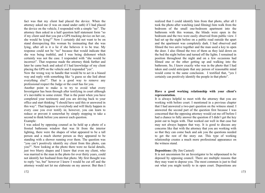fact was that my client had placed the device. When the attorney asked me (I was on stand under oath) if I had placed the device on the vehicle, I responded with a simple "no". The attorney then asked in a half question half statement form "so if my client said that you put a GPS tracking device on her car, she would be lying?" Now I certainly did not want to be on stand disrespecting this woman by insinuating that she was lying, after all is it a lie if she believes it to be true. My response could not be "no" because that would indicate that she was being truthful, and I was being dishonest which certainly was not the case. I responded with "she would be incorrect". That response made the attorney think further and later he came back and asked if I had knowledge of my client placing the GPS on the vehicle and I responded "yes".

Now the wrong way to handle that would be to act in a biased way and reply with something like "a guess so she lied about everything else!". That is a good way to remove any professional respect the Judge or the court has for you.

Another point to make is to try to avoid what every Investigator has been through after testifying in court although it's inevitable to some extent. That is the point when you have completed your testimony and you are driving back to your office and start thinking "I should have said this or answered in this way". That happens to everybody and will likely happen in every case you ever testify in; however, you can learn to reduce or prevent it somewhat by simply stopping to take a second to think before you answer each question. Example:

I was asked by opposing counsel as he held up a photo of a frosted bathroom window that was lit from the interior lighting, there were the shapes of what appeared to be a tall person and a much shorter person as they appeared to be standing with a shower running over them. The question was "you can't positively identify my client from this photo, can you?". Now looking at the photo there were no facial details, just two blurry shapes and I knew that even my client, who was married to the man in the photo for over thirty years, could not identify her husband from that photo. My first thought was to reply "no, but" however I knew I would be cut off and the attorney would not let me elaborate on my answer. But then I

realized that I could identify him from that photo, after all I took the photo after watching (and filming) him walk from the bedroom of the small one-bedroom apartment into the bathroom with this woman, the blinds were open in the bedroom and the two were easily observed from public view. I had set up the night before on a public road outside the apart and the apartment was completely dark. I had observed and filmed the two arrive together and the man used a key to open the door. I also filmed the two of them as they laid down on the bed the night before and turned off the lights. I remained in position throughout the night and on a few occasions had filmed one or the other getting up and walking into the bathroom. So, I knew exactly who was in the photo that I had taken and could anticipate that any person of reasonable mind would come to the same conclusion. I testified that, "yes I certainly can positively identify the people in that photo".

# Have a good working relationship with your client's representation.

It is always helpful to meet with the attorney that you are working with before court. I mentioned in a previous chapter that I had answered a two-part question on the witness stand. I answered the second part of the question first because I was concerned that the opposing attorney would cut me off before I had a chance to fully answer the question if I didn't get the key point out to begin with. That worked out well in that case but may not always happen that way. It is good to discuss any concerns like that with the attorney that you are working with so that they can come back and ask you the questions needed to get the rest of the story out. This type of working relationship creates a much more professional appearance on the witness stand.

# **Depositions:** (By Jim Casteel)

It is not uncommon for an Investigator to be subpoenaed to be deposed by opposing council. There are multiple reasons that they may want to depose you. The most common is just to find out what you might testify to in open court. Depositions are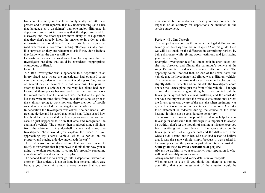like court testimony in that there are typically two attorneys present and a court reporter. It is my understanding (and I use that language as a disclaimer) that one major difference in depositions and court testimony is that the depos are used for discovery and the attorneys are more likely to ask questions that they don't already know the answer to in order to gain information that could benefit their efforts further down the road whereas in a courtroom setting attorneys usually don't like surprises so they are reluctant to ask if they don't believe they know what the answer will be.

Depositions can also be used as a hunt for anything that the Investigator has done that could be considered inappropriate, outrageous, or illegal.

# Example:

Mr. Bad Investigator was subpoenaed to a deposition in an injury fraud case where the investigator had obtained some very damaging video of the claimant working roofing houses on several days at several different locations. The plaintiff attorney became suspicious of the way his client had been located at these places because each time the case was work the report stated that the claimant was located at the jobsite, but there were no time shots from the claimant's house prior to the claimant going to work nor was there mention of mobile surveillance which led the Investigator to the job site.

In deposition the Investigator was asked if he had used a GPS tracking device and he stated that he had not. When asked how his client had been located the Investigator stated that on each case he just happened to be in that area and recognized the claimant's vehicle. The attorney then produced some still shots from the claimant's ring doorbell camera and asked the Investigator "how would you explain the video of you approaching my client's vehicle, which is parked on his property, and placing a device underneath the car?"

The first lesson is not do anything that you don't want to testify to remember that if you have to think about how you're going to explain something in court, it's probably something you shouldn't have done in the first place.

The second lesson is to never go into a deposition without an attorney. That typically is not an issue in a personal injury case because you client will almost always be sure that you are represented, but in a domestic case you may consider the expense of an attorney for depositions be included in the service agreement.

#### **Perjury:** (By Jim Casteel)

This subject is covered as far as what the legal definition and severity of the charge can be in Chapter #3 of this guide. Here we will just touch on the difference in committing perjury by being dishonest while giving sworn testimony and just having your facts wrong.

Example: Investigator testified under oath in open court that she had observed and filmed the paramour's vehicle at the subject's marital residence on seven different dates. The opposing council noticed that, on one of the seven dates, the vehicle that the Investigator had filmed was a different vehicle. This vehicle was the same make year model and color but had slightly different wheels and on this date the Investigator could not see the license plate, just the front of the vehicle. That type of mistake is never a good thing but once pointed out the Investigator agreed that she was mistaken, and the court did not have the impression that the mistake was intentional or that the Investigator was aware of the mistake when testimony was given. Intent is important in these types of situations. Also, if a false statement is redacted during the course of the same hearing, it might not be considered to be perfury.

The reason that I wanted to point this out is to help the new Investigator understand that, although it is important to always be truthful, don't let the thought of making a mistake keep you from testifying with confidence. In the above situation the Investigator was not a big car buff and the difference in the wheels didn't stand out to her. She also had reason to believe that it was the same vehicle simply because it was parked in the same place that the paramour parked each time he visited.

# Some good ways to avoid accusations of perjury:

Always be truthful in your testimony, your reputation is what will create stability in your career.

Always double check and verify details in your reports.

When unsure or even if you think that there is a remote possibility that your assessment of the situation could be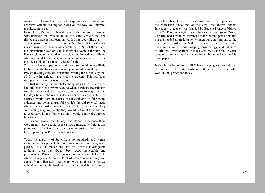wrong, use terms that can help explain exactly what you observed without assumption based on the way you interpret the situation to be.

Example: Let's say the Investigator in the previous example, who believed that vehicle to be the same vehicle that she filmed six times in that location worded her report like this.

"Investigator observed the paramour's vehicle at the subject's marital residence on several separate dates. Six of these dates the Investigator was able to identify the vehicle through the license plate, on the other occasion the Investigator filmed what appeared to be the same vehicle but was unable to view the license plate for a positive identification."

This has a better appearance, and the court would be less likely to think that the Investigator was trying to pull something.

Private Investigators are constantly battling the old fallacy that all Private Investigators are shady characters. This has been stamped in history for two reasons.

The first is simply the fact that nobody wants to be labeled the bad guy or girl or a wrongdoer, so when a Private Investigator would provide evidence, knowledge or testimony (especially in the days before photo and video evidence was available), the accused would deny it, accuse the Investigator of fabricating evidence and being untruthful etc. It's the old reversal tactic when a person lost a lawsuit or a custody battle because they were acting inappropriately, they would not want to admit that to their friends and family so they would blame the Private Investigator.

The second reason that fallacy was started is because there were many shady people in the Private Instigative field at one point and many States had low on non-existing standards for those operating as Private Investigators.

Today the majority of States have set standards and license requirements to protect the consumer as well as the general public. This has raised the bar for Private Investigators (although there has always been good respectable and professional Private Investigators around) and helped to educate many clients on the level of professionalism they can expect from a licensed Investigator. We should assure that we uphold an honorable level of work ethics and honesty as so

many bad characters of the past have tainted the reputation of the profession since one of the very first known Private Investigative agency was founded by Eugene Francois Vidocq in 1833. This Investigator, according to the writings of Ciaran Conliffe, had a troubled criminal life for the first part of his life but then ended up making some ingenious contributions to the investigative profession. Vidocq went on to be credited with the introduction of record keeping, criminology, and ballistics to criminal investigations. Vidocq also made the first plaster casts of shoe imprints, he created indelible ink and unalterable bond paper.

It should be important to all Private Investigators to help reaffirm the level of standards and ethics held by those who work in this profession today.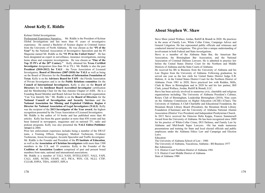# **About Kelly E. Riddle**

#### Kelmar Global Investigations

Professional Experience Narrative: Mr. Riddle is the President of Kelmar Global Investigations and has more than 41 years of investigative experience. He earned a Bachelor of Science degree in Criminal Justice from the University of North Alabama. He was chosen as the "PI of the Year" by the National Association of Investigative Specialists and the PI Magazine named Mr. Riddle as the "#1 PI in the United States". He has been designated an expert in surveillance, insurance investigations, nursing home abuse and computer investigations. He was chosen as "One of the Top 25 PI's of the 20<sup>th</sup> Century." Kelly obtained his Texas Certified **Investigator** designation (less than 50 in TX.) Mr. Riddle is also the past President (2010-2012) for TALI - the Texas Association of Licensed Investigators; Board of Directors (2007-2010) for TALI as well as being on the Board of Directors for the Freedom of Information Foundation of Texas. Kelly is on the Advisory Board for FAPI - the Florida Association of Private Investigators and is on the **Public Relations committee** for the Council of International Investigators. Kelly is also on the Board of Directors for the Intellenet Board Accredited Investigator certification and the Membership Chair for the San Antonio Chapter of ASIS. He is a Founding Board Member and Board Advisor for the non-profit organization "Can You Identify Me." Mr. Riddle is on the **Board of Directors** for the National Council of Investigation and Security Services and the National Association for Missing and Exploited Children. Region 4 Director for National Association of Legal Investigators (NALI). Kelly was the recipient of the 2013 Investigator of the Year award, the highest recognition presented by the Texas Association of Licensed Investigators. Mr. Riddle is the author of 14 books and has published more than 40

articles. Kelly has been the guest speaker at more than 850 events and has been featured in newspapers, magazines and on national TV, radio and podcast programs. Kelly was also presented the NALI Editor-Publisher Award in 2004.

Prior law enforcement experience includes being a member of the SWAT team, a Training Officer, Emergency Medical Technician, Evidence Technician, Arson Investigator, Juvenile Specialist and Traffic Investigator. Mr. Riddle is the Founder and President of the PI Institute of Education, as well as the Association of Christian Investigators with more than 1500 members in the U.S. and 19 countries. Kelly is the Founder of the Coalition of Association Leaders comprised of past and present board members from state, national and international associations.

Mr. Riddle is a member of TALI, NAIS, INTELLENET, NALI, FAPI, CALI, ASIS, NCISS, USAPI, ACI, PICA, WIN, CII, NLLI, CTIP, CLEAR, IOPIA, TIDA, ASSIST, ISPLA

# **About Stephen W. Shaw**

Steve Shaw joined Wallace, Jordan, Ratliff & Brandt in 2020. He practices in the areas of Family Law, White Collar Crime, Campaign Advice and General Litigation. He has represented public officials and witnesses and conducted internal investigations. This gives him a unique understanding of involvement in both Federal and State investigations.

Steve is a member of the Alabama State Bar, the American Bar Association, the Birmingham Bar Association, and the National Association of Criminal Defense Lawyers. He is admitted to practice law before the United States District Court for the Northern and Middle Districts of Alabama and the State Courts of Alabama.

He received his BS in Business from the University of Alabama and his Law Degree from the University of Alabama. Following graduation, he served one year as the law clerk for United States District Judge E.B. Haltom, Jr. in the United States District Court for the Northern District of Alabama. From 1981 to 2020, Steve practiced law with Redden, Mills, Clark  $\&$  Shaw in Birmingham and in 2020 he and his law partner, Bill Clark, joined Wallace, Jordan, Ratliff & Brandt, LLC.

Steve has been actively involved in numerous civic, charitable and religious organizations including: The University of Alabama President's Cabinet, Rotary Club of Birmingham, Leadership Birmingham (2010), Nine years on the Alabama Commission on Higher Education (ACHE) (Chair), The University of Alabama A Club Charitable and Educational Foundation, the Mountain Brook Library Board (President), the Mountain Brook Library Foundation (Chairman) and the University of Alabama National Alumni Association (District Vice President) and Independent Presbyterian Church. In 2015 Steve received the Omicron Delta Kappa, Frances Summersell Award from the University of Alabama. He has been recognized since 2009 for his practice of White-Collar Crime, DUI Defense, and Family Law by Alabama and Mid-South Super Lawyers. = He has made numerous presentations and training for State and local elected officials and public employees under the Alabama Ethics Law and Campaign and Election Laws.

#### Education

The University of Alabama School of Law - 1980

The University of Alabama, Tuscaloosa, Alabama - BS Business 1977 **Bar Admissions** 

U.S. District Court Northern District of Alabama 1981 U.S. District Court Middle District of Alabama State of Alabama 1980